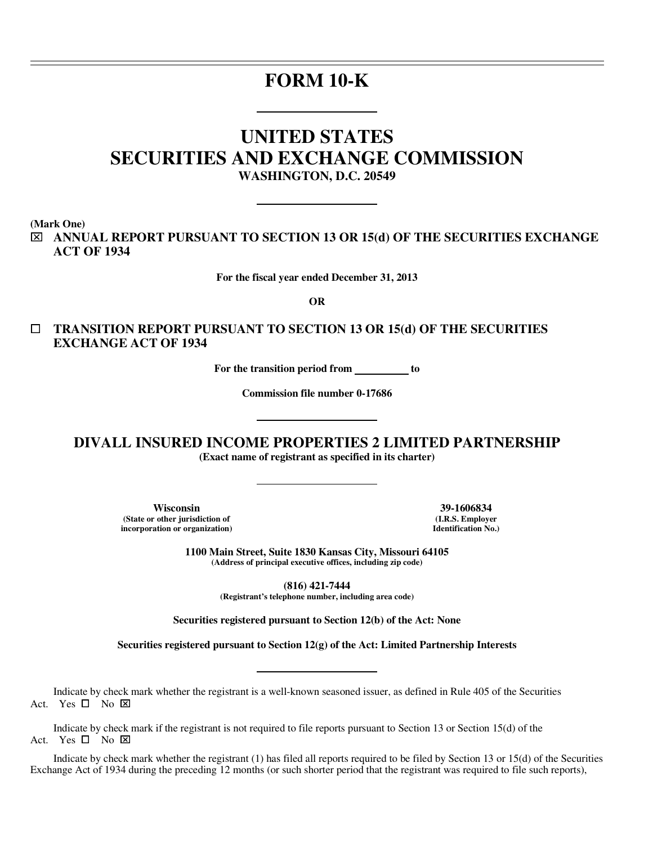## **FORM 10-K**

# **UNITED STATES SECURITIES AND EXCHANGE COMMISSION**

**WASHINGTON, D.C. 20549** 

**(Mark One)** 

 $\overline{a}$  $\overline{a}$ 

⌧ **ANNUAL REPORT PURSUANT TO SECTION 13 OR 15(d) OF THE SECURITIES EXCHANGE ACT OF 1934** 

**For the fiscal year ended December 31, 2013** 

**OR** 

 **TRANSITION REPORT PURSUANT TO SECTION 13 OR 15(d) OF THE SECURITIES EXCHANGE ACT OF 1934** 

For the transition period from \_\_\_\_\_\_\_\_\_ to

**Commission file number 0-17686** 

**DIVALL INSURED INCOME PROPERTIES 2 LIMITED PARTNERSHIP (Exact name of registrant as specified in its charter)** 

**Wisconsin 39-1606834 (State or other jurisdiction of incorporation or organization)**

**(I.R.S. Employer Identification No.)**

**1100 Main Street, Suite 1830 Kansas City, Missouri 64105 (Address of principal executive offices, including zip code)** 

> **(816) 421-7444 (Registrant's telephone number, including area code)**

**Securities registered pursuant to Section 12(b) of the Act: None** 

**Securities registered pursuant to Section 12(g) of the Act: Limited Partnership Interests** 

Indicate by check mark whether the registrant is a well-known seasoned issuer, as defined in Rule 405 of the Securities Act. Yes  $\square$  No  $\square$ 

Indicate by check mark if the registrant is not required to file reports pursuant to Section 13 or Section 15(d) of the Act. Yes  $\square$  No  $\square$ 

Indicate by check mark whether the registrant (1) has filed all reports required to be filed by Section 13 or 15(d) of the Securities Exchange Act of 1934 during the preceding 12 months (or such shorter period that the registrant was required to file such reports),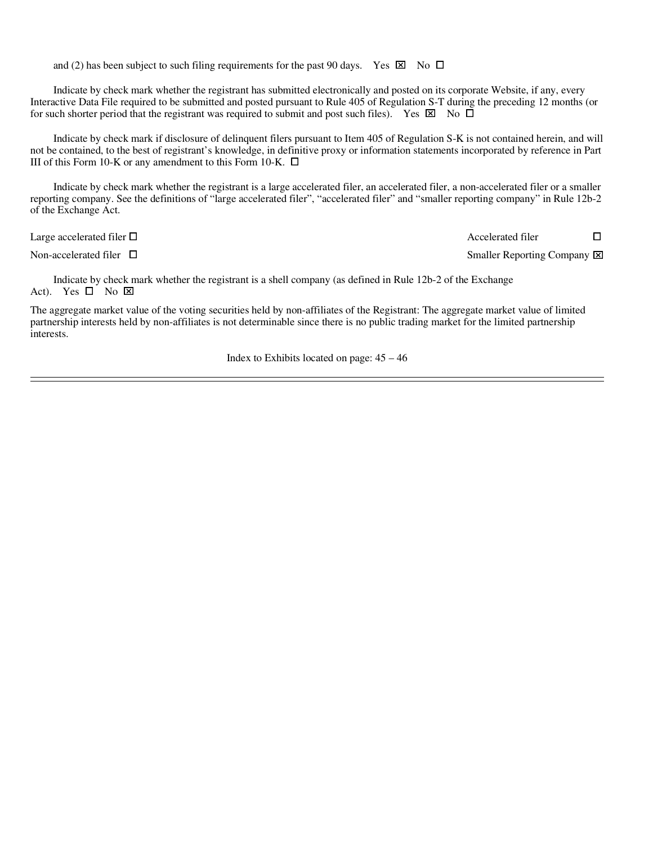and (2) has been subject to such filing requirements for the past 90 days. Yes  $\boxtimes$  No  $\Box$ 

Indicate by check mark whether the registrant has submitted electronically and posted on its corporate Website, if any, every Interactive Data File required to be submitted and posted pursuant to Rule 405 of Regulation S-T during the preceding 12 months (or for such shorter period that the registrant was required to submit and post such files). Yes  $\boxtimes$  No  $\square$ 

Indicate by check mark if disclosure of delinquent filers pursuant to Item 405 of Regulation S-K is not contained herein, and will not be contained, to the best of registrant's knowledge, in definitive proxy or information statements incorporated by reference in Part III of this Form 10-K or any amendment to this Form 10-K.  $\Box$ 

Indicate by check mark whether the registrant is a large accelerated filer, an accelerated filer, a non-accelerated filer or a smaller reporting company. See the definitions of "large accelerated filer", "accelerated filer" and "smaller reporting company" in Rule 12b-2 of the Exchange Act.

Large accelerated filer  $\Box$ 

Non-accelerated filer  $\Box$ 

 $\overline{a}$ 

Indicate by check mark whether the registrant is a shell company (as defined in Rule 12b-2 of the Exchange Act). Yes  $\square$  No  $\square$ 

The aggregate market value of the voting securities held by non-affiliates of the Registrant: The aggregate market value of limited partnership interests held by non-affiliates is not determinable since there is no public trading market for the limited partnership interests.

Index to Exhibits located on page:  $45 - 46$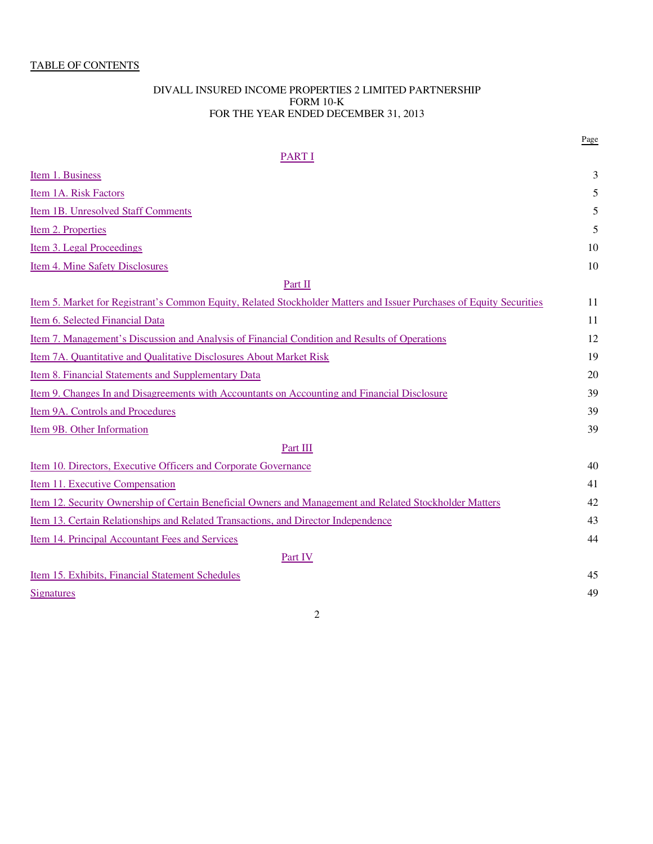## TABLE OF CONTENTS

#### DIVALL INSURED INCOME PROPERTIES 2 LIMITED PARTNERSHIP FORM 10-K FOR THE YEAR ENDED DECEMBER 31, 2013

|                                                                                                                      | Page           |
|----------------------------------------------------------------------------------------------------------------------|----------------|
| <b>PARTI</b>                                                                                                         |                |
| Item 1. Business                                                                                                     | 3              |
| Item 1A. Risk Factors                                                                                                | $\mathfrak{S}$ |
| <b>Item 1B. Unresolved Staff Comments</b>                                                                            | 5              |
| Item 2. Properties                                                                                                   | 5              |
| Item 3. Legal Proceedings                                                                                            | 10             |
| <b>Item 4. Mine Safety Disclosures</b>                                                                               | 10             |
| Part II                                                                                                              |                |
| Item 5. Market for Registrant's Common Equity, Related Stockholder Matters and Issuer Purchases of Equity Securities | 11             |
| Item 6. Selected Financial Data                                                                                      | 11             |
| Item 7. Management's Discussion and Analysis of Financial Condition and Results of Operations                        | 12             |
| Item 7A. Quantitative and Qualitative Disclosures About Market Risk                                                  | 19             |
| Item 8. Financial Statements and Supplementary Data                                                                  | 20             |
| Item 9. Changes In and Disagreements with Accountants on Accounting and Financial Disclosure                         | 39             |
| Item 9A. Controls and Procedures                                                                                     | 39             |
| Item 9B. Other Information                                                                                           | 39             |
| Part III                                                                                                             |                |
| Item 10. Directors, Executive Officers and Corporate Governance                                                      | 40             |
| Item 11. Executive Compensation                                                                                      | 41             |
| Item 12. Security Ownership of Certain Beneficial Owners and Management and Related Stockholder Matters              | 42             |
| Item 13. Certain Relationships and Related Transactions, and Director Independence                                   | 43             |
| Item 14. Principal Accountant Fees and Services                                                                      | 44             |
| Part IV                                                                                                              |                |
| Item 15. Exhibits, Financial Statement Schedules                                                                     | 45             |
| <b>Signatures</b>                                                                                                    | 49             |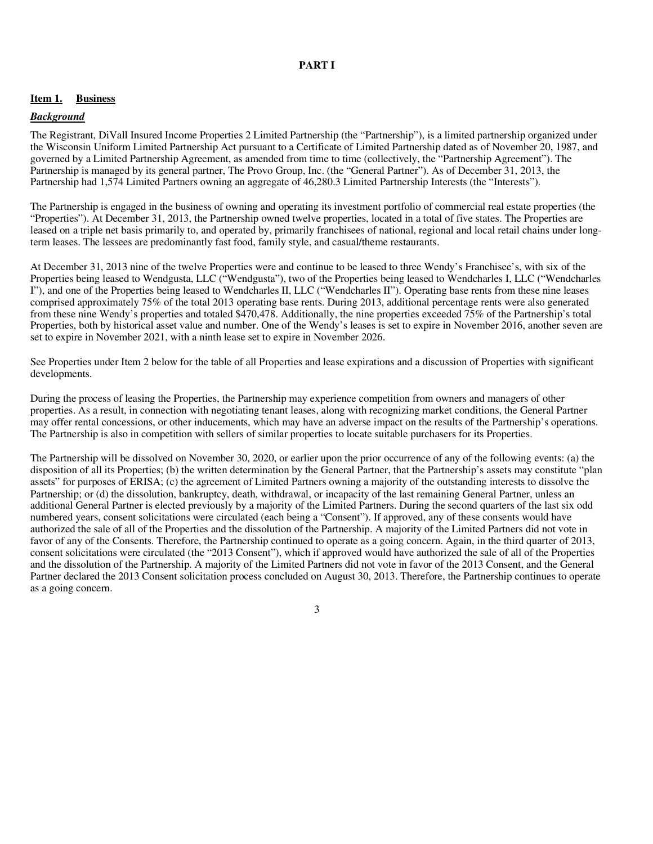#### **PART I**

## **Item 1. Business**

#### *Background*

The Registrant, DiVall Insured Income Properties 2 Limited Partnership (the "Partnership"), is a limited partnership organized under the Wisconsin Uniform Limited Partnership Act pursuant to a Certificate of Limited Partnership dated as of November 20, 1987, and governed by a Limited Partnership Agreement, as amended from time to time (collectively, the "Partnership Agreement"). The Partnership is managed by its general partner, The Provo Group, Inc. (the "General Partner"). As of December 31, 2013, the Partnership had 1,574 Limited Partners owning an aggregate of 46,280.3 Limited Partnership Interests (the "Interests").

The Partnership is engaged in the business of owning and operating its investment portfolio of commercial real estate properties (the "Properties"). At December 31, 2013, the Partnership owned twelve properties, located in a total of five states. The Properties are leased on a triple net basis primarily to, and operated by, primarily franchisees of national, regional and local retail chains under longterm leases. The lessees are predominantly fast food, family style, and casual/theme restaurants.

At December 31, 2013 nine of the twelve Properties were and continue to be leased to three Wendy's Franchisee's, with six of the Properties being leased to Wendgusta, LLC ("Wendgusta"), two of the Properties being leased to Wendcharles I, LLC ("Wendcharles I"), and one of the Properties being leased to Wendcharles II, LLC ("Wendcharles II"). Operating base rents from these nine leases comprised approximately 75% of the total 2013 operating base rents. During 2013, additional percentage rents were also generated from these nine Wendy's properties and totaled \$470,478. Additionally, the nine properties exceeded 75% of the Partnership's total Properties, both by historical asset value and number. One of the Wendy's leases is set to expire in November 2016, another seven are set to expire in November 2021, with a ninth lease set to expire in November 2026.

See Properties under Item 2 below for the table of all Properties and lease expirations and a discussion of Properties with significant developments.

During the process of leasing the Properties, the Partnership may experience competition from owners and managers of other properties. As a result, in connection with negotiating tenant leases, along with recognizing market conditions, the General Partner may offer rental concessions, or other inducements, which may have an adverse impact on the results of the Partnership's operations. The Partnership is also in competition with sellers of similar properties to locate suitable purchasers for its Properties.

The Partnership will be dissolved on November 30, 2020, or earlier upon the prior occurrence of any of the following events: (a) the disposition of all its Properties; (b) the written determination by the General Partner, that the Partnership's assets may constitute "plan assets" for purposes of ERISA; (c) the agreement of Limited Partners owning a majority of the outstanding interests to dissolve the Partnership; or (d) the dissolution, bankruptcy, death, withdrawal, or incapacity of the last remaining General Partner, unless an additional General Partner is elected previously by a majority of the Limited Partners. During the second quarters of the last six odd numbered years, consent solicitations were circulated (each being a "Consent"). If approved, any of these consents would have authorized the sale of all of the Properties and the dissolution of the Partnership. A majority of the Limited Partners did not vote in favor of any of the Consents. Therefore, the Partnership continued to operate as a going concern. Again, in the third quarter of 2013, consent solicitations were circulated (the "2013 Consent"), which if approved would have authorized the sale of all of the Properties and the dissolution of the Partnership. A majority of the Limited Partners did not vote in favor of the 2013 Consent, and the General Partner declared the 2013 Consent solicitation process concluded on August 30, 2013. Therefore, the Partnership continues to operate as a going concern.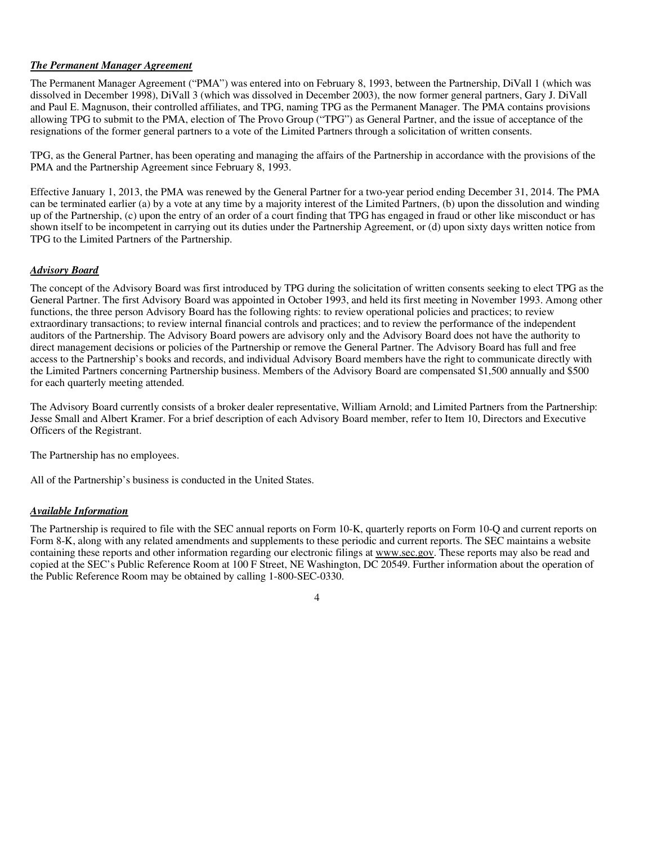## *The Permanent Manager Agreement*

The Permanent Manager Agreement ("PMA") was entered into on February 8, 1993, between the Partnership, DiVall 1 (which was dissolved in December 1998), DiVall 3 (which was dissolved in December 2003), the now former general partners, Gary J. DiVall and Paul E. Magnuson, their controlled affiliates, and TPG, naming TPG as the Permanent Manager. The PMA contains provisions allowing TPG to submit to the PMA, election of The Provo Group ("TPG") as General Partner, and the issue of acceptance of the resignations of the former general partners to a vote of the Limited Partners through a solicitation of written consents.

TPG, as the General Partner, has been operating and managing the affairs of the Partnership in accordance with the provisions of the PMA and the Partnership Agreement since February 8, 1993.

Effective January 1, 2013, the PMA was renewed by the General Partner for a two-year period ending December 31, 2014. The PMA can be terminated earlier (a) by a vote at any time by a majority interest of the Limited Partners, (b) upon the dissolution and winding up of the Partnership, (c) upon the entry of an order of a court finding that TPG has engaged in fraud or other like misconduct or has shown itself to be incompetent in carrying out its duties under the Partnership Agreement, or (d) upon sixty days written notice from TPG to the Limited Partners of the Partnership.

## *Advisory Board*

The concept of the Advisory Board was first introduced by TPG during the solicitation of written consents seeking to elect TPG as the General Partner. The first Advisory Board was appointed in October 1993, and held its first meeting in November 1993. Among other functions, the three person Advisory Board has the following rights: to review operational policies and practices; to review extraordinary transactions; to review internal financial controls and practices; and to review the performance of the independent auditors of the Partnership. The Advisory Board powers are advisory only and the Advisory Board does not have the authority to direct management decisions or policies of the Partnership or remove the General Partner. The Advisory Board has full and free access to the Partnership's books and records, and individual Advisory Board members have the right to communicate directly with the Limited Partners concerning Partnership business. Members of the Advisory Board are compensated \$1,500 annually and \$500 for each quarterly meeting attended.

The Advisory Board currently consists of a broker dealer representative, William Arnold; and Limited Partners from the Partnership: Jesse Small and Albert Kramer. For a brief description of each Advisory Board member, refer to Item 10, Directors and Executive Officers of the Registrant.

The Partnership has no employees.

All of the Partnership's business is conducted in the United States.

#### *Available Information*

The Partnership is required to file with the SEC annual reports on Form 10-K, quarterly reports on Form 10-Q and current reports on Form 8-K, along with any related amendments and supplements to these periodic and current reports. The SEC maintains a website containing these reports and other information regarding our electronic filings at www.sec.gov. These reports may also be read and copied at the SEC's Public Reference Room at 100 F Street, NE Washington, DC 20549. Further information about the operation of the Public Reference Room may be obtained by calling 1-800-SEC-0330.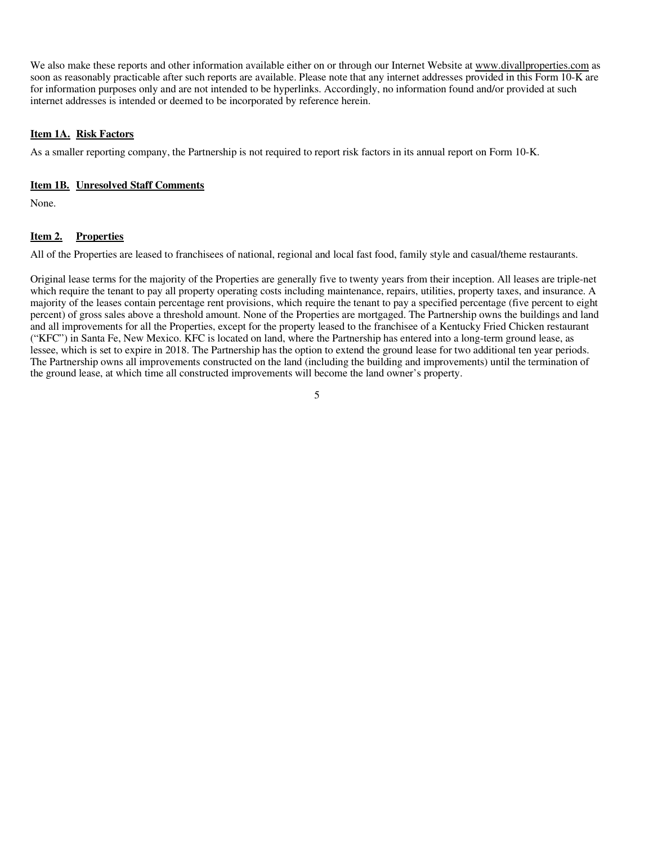We also make these reports and other information available either on or through our Internet Website at www.divallproperties.com as soon as reasonably practicable after such reports are available. Please note that any internet addresses provided in this Form 10-K are for information purposes only and are not intended to be hyperlinks. Accordingly, no information found and/or provided at such internet addresses is intended or deemed to be incorporated by reference herein.

#### **Item 1A. Risk Factors**

As a smaller reporting company, the Partnership is not required to report risk factors in its annual report on Form 10-K.

#### **Item 1B. Unresolved Staff Comments**

None.

#### **Item 2. Properties**

All of the Properties are leased to franchisees of national, regional and local fast food, family style and casual/theme restaurants.

Original lease terms for the majority of the Properties are generally five to twenty years from their inception. All leases are triple-net which require the tenant to pay all property operating costs including maintenance, repairs, utilities, property taxes, and insurance. A majority of the leases contain percentage rent provisions, which require the tenant to pay a specified percentage (five percent to eight percent) of gross sales above a threshold amount. None of the Properties are mortgaged. The Partnership owns the buildings and land and all improvements for all the Properties, except for the property leased to the franchisee of a Kentucky Fried Chicken restaurant ("KFC") in Santa Fe, New Mexico. KFC is located on land, where the Partnership has entered into a long-term ground lease, as lessee, which is set to expire in 2018. The Partnership has the option to extend the ground lease for two additional ten year periods. The Partnership owns all improvements constructed on the land (including the building and improvements) until the termination of the ground lease, at which time all constructed improvements will become the land owner's property.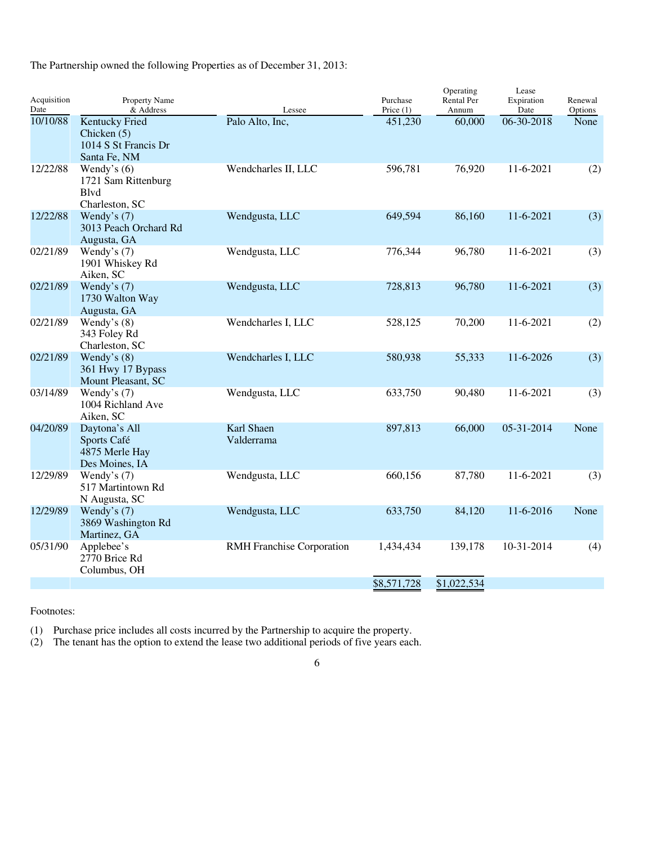| Acquisition<br>Date | Property Name<br>& Address                                              | Lessee                    | Purchase<br>Price $(1)$ | Operating<br>Rental Per<br>Annum | Lease<br>Expiration<br>Date | Renewal<br>Options |
|---------------------|-------------------------------------------------------------------------|---------------------------|-------------------------|----------------------------------|-----------------------------|--------------------|
| 10/10/88            | Kentucky Fried<br>Chicken $(5)$<br>1014 S St Francis Dr<br>Santa Fe, NM | Palo Alto, Inc,           | 451,230                 | 60,000                           | 06-30-2018                  | None               |
| 12/22/88            | Wendy's $(6)$<br>1721 Sam Rittenburg<br>Blvd<br>Charleston, SC          | Wendcharles II, LLC       | 596,781                 | 76,920                           | 11-6-2021                   | (2)                |
| 12/22/88            | Wendy's $(7)$<br>3013 Peach Orchard Rd<br>Augusta, GA                   | Wendgusta, LLC            | 649,594                 | 86,160                           | 11-6-2021                   | (3)                |
| 02/21/89            | Wendy's (7)<br>1901 Whiskey Rd<br>Aiken, SC                             | Wendgusta, LLC            | 776,344                 | 96,780                           | 11-6-2021                   | (3)                |
| 02/21/89            | Wendy's $(7)$<br>1730 Walton Way<br>Augusta, GA                         | Wendgusta, LLC            | 728,813                 | 96,780                           | 11-6-2021                   | (3)                |
| 02/21/89            | Wendy's $(8)$<br>343 Foley Rd<br>Charleston, SC                         | Wendcharles I, LLC        | 528,125                 | 70,200                           | 11-6-2021                   | (2)                |
| 02/21/89            | Wendy's $(8)$<br>361 Hwy 17 Bypass<br>Mount Pleasant, SC                | Wendcharles I, LLC        | 580,938                 | 55,333                           | 11-6-2026                   | (3)                |
| 03/14/89            | Wendy's $(7)$<br>1004 Richland Ave<br>Aiken, SC                         | Wendgusta, LLC            | 633,750                 | 90,480                           | 11-6-2021                   | (3)                |
| 04/20/89            | Daytona's All<br>Sports Café<br>4875 Merle Hay<br>Des Moines, IA        | Karl Shaen<br>Valderrama  | 897,813                 | 66,000                           | 05-31-2014                  | None               |
| 12/29/89            | Wendy's $(7)$<br>517 Martintown Rd<br>N Augusta, SC                     | Wendgusta, LLC            | 660,156                 | 87,780                           | 11-6-2021                   | (3)                |
| 12/29/89            | Wendy's $(7)$<br>3869 Washington Rd<br>Martinez, GA                     | Wendgusta, LLC            | 633,750                 | 84,120                           | 11-6-2016                   | None               |
| 05/31/90            | Applebee's<br>2770 Brice Rd<br>Columbus, OH                             | RMH Franchise Corporation | 1,434,434               | 139,178                          | 10-31-2014                  | (4)                |
|                     |                                                                         |                           | \$8,571,728             | \$1,022,534                      |                             |                    |

The Partnership owned the following Properties as of December 31, 2013:

Footnotes:

(1) Purchase price includes all costs incurred by the Partnership to acquire the property.

(2) The tenant has the option to extend the lease two additional periods of five years each.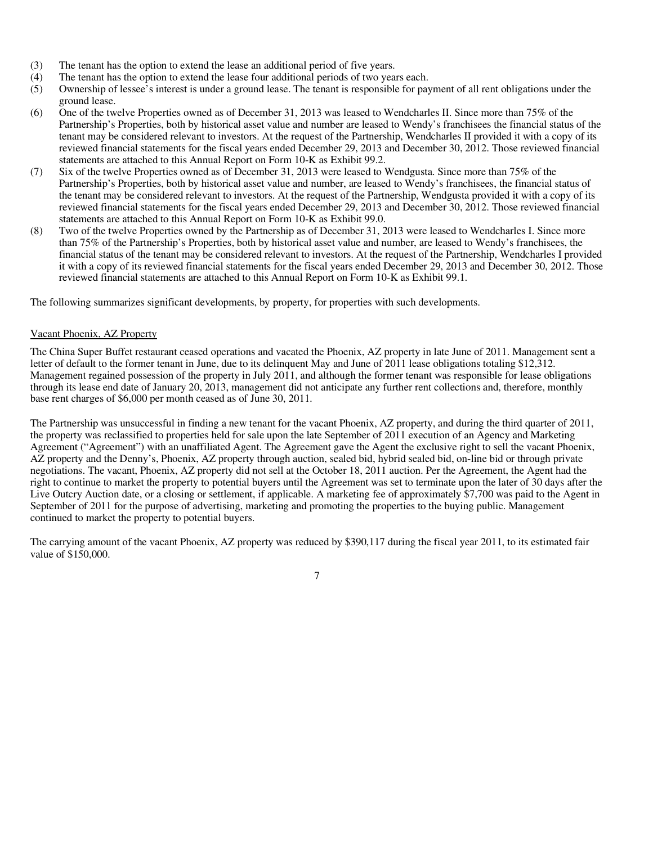- (3) The tenant has the option to extend the lease an additional period of five years.<br>(4) The tenant has the option to extend the lease four additional periods of two year
- (4) The tenant has the option to extend the lease four additional periods of two years each.<br>
(5) Ownership of lessee's interest is under a ground lease. The tenant is responsible for pay
- (5) Ownership of lessee's interest is under a ground lease. The tenant is responsible for payment of all rent obligations under the ground lease.
- (6) One of the twelve Properties owned as of December 31, 2013 was leased to Wendcharles II. Since more than 75% of the Partnership's Properties, both by historical asset value and number are leased to Wendy's franchisees the financial status of the tenant may be considered relevant to investors. At the request of the Partnership, Wendcharles II provided it with a copy of its reviewed financial statements for the fiscal years ended December 29, 2013 and December 30, 2012. Those reviewed financial statements are attached to this Annual Report on Form 10-K as Exhibit 99.2.
- (7) Six of the twelve Properties owned as of December 31, 2013 were leased to Wendgusta. Since more than 75% of the Partnership's Properties, both by historical asset value and number, are leased to Wendy's franchisees, the financial status of the tenant may be considered relevant to investors. At the request of the Partnership, Wendgusta provided it with a copy of its reviewed financial statements for the fiscal years ended December 29, 2013 and December 30, 2012. Those reviewed financial statements are attached to this Annual Report on Form 10-K as Exhibit 99.0.
- (8) Two of the twelve Properties owned by the Partnership as of December 31, 2013 were leased to Wendcharles I. Since more than 75% of the Partnership's Properties, both by historical asset value and number, are leased to Wendy's franchisees, the financial status of the tenant may be considered relevant to investors. At the request of the Partnership, Wendcharles I provided it with a copy of its reviewed financial statements for the fiscal years ended December 29, 2013 and December 30, 2012. Those reviewed financial statements are attached to this Annual Report on Form 10-K as Exhibit 99.1.

The following summarizes significant developments, by property, for properties with such developments.

## Vacant Phoenix, AZ Property

The China Super Buffet restaurant ceased operations and vacated the Phoenix, AZ property in late June of 2011. Management sent a letter of default to the former tenant in June, due to its delinquent May and June of 2011 lease obligations totaling \$12,312. Management regained possession of the property in July 2011, and although the former tenant was responsible for lease obligations through its lease end date of January 20, 2013, management did not anticipate any further rent collections and, therefore, monthly base rent charges of \$6,000 per month ceased as of June 30, 2011.

The Partnership was unsuccessful in finding a new tenant for the vacant Phoenix, AZ property, and during the third quarter of 2011, the property was reclassified to properties held for sale upon the late September of 2011 execution of an Agency and Marketing Agreement ("Agreement") with an unaffiliated Agent. The Agreement gave the Agent the exclusive right to sell the vacant Phoenix, AZ property and the Denny's, Phoenix, AZ property through auction, sealed bid, hybrid sealed bid, on-line bid or through private negotiations. The vacant, Phoenix, AZ property did not sell at the October 18, 2011 auction. Per the Agreement, the Agent had the right to continue to market the property to potential buyers until the Agreement was set to terminate upon the later of 30 days after the Live Outcry Auction date, or a closing or settlement, if applicable. A marketing fee of approximately \$7,700 was paid to the Agent in September of 2011 for the purpose of advertising, marketing and promoting the properties to the buying public. Management continued to market the property to potential buyers.

The carrying amount of the vacant Phoenix, AZ property was reduced by \$390,117 during the fiscal year 2011, to its estimated fair value of \$150,000.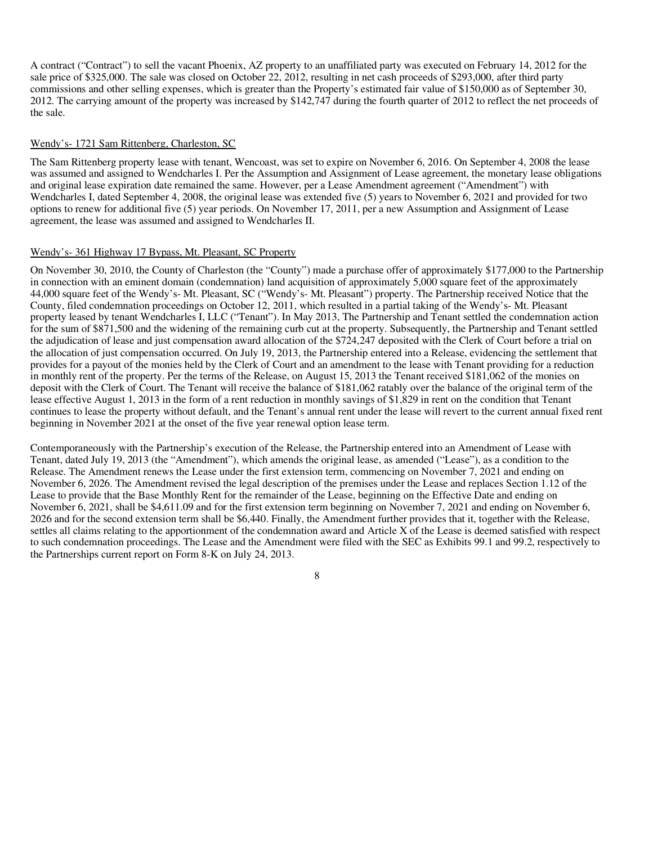A contract ("Contract") to sell the vacant Phoenix, AZ property to an unaffiliated party was executed on February 14, 2012 for the sale price of \$325,000. The sale was closed on October 22, 2012, resulting in net cash proceeds of \$293,000, after third party commissions and other selling expenses, which is greater than the Property's estimated fair value of \$150,000 as of September 30, 2012. The carrying amount of the property was increased by \$142,747 during the fourth quarter of 2012 to reflect the net proceeds of the sale.

#### Wendy's- 1721 Sam Rittenberg, Charleston, SC

The Sam Rittenberg property lease with tenant, Wencoast, was set to expire on November 6, 2016. On September 4, 2008 the lease was assumed and assigned to Wendcharles I. Per the Assumption and Assignment of Lease agreement, the monetary lease obligations and original lease expiration date remained the same. However, per a Lease Amendment agreement ("Amendment") with Wendcharles I, dated September 4, 2008, the original lease was extended five (5) years to November 6, 2021 and provided for two options to renew for additional five (5) year periods. On November 17, 2011, per a new Assumption and Assignment of Lease agreement, the lease was assumed and assigned to Wendcharles II.

#### Wendy's- 361 Highway 17 Bypass, Mt. Pleasant, SC Property

On November 30, 2010, the County of Charleston (the "County") made a purchase offer of approximately \$177,000 to the Partnership in connection with an eminent domain (condemnation) land acquisition of approximately 5,000 square feet of the approximately 44,000 square feet of the Wendy's- Mt. Pleasant, SC ("Wendy's- Mt. Pleasant") property. The Partnership received Notice that the County, filed condemnation proceedings on October 12, 2011, which resulted in a partial taking of the Wendy's- Mt. Pleasant property leased by tenant Wendcharles I, LLC ("Tenant"). In May 2013, The Partnership and Tenant settled the condemnation action for the sum of \$871,500 and the widening of the remaining curb cut at the property. Subsequently, the Partnership and Tenant settled the adjudication of lease and just compensation award allocation of the \$724,247 deposited with the Clerk of Court before a trial on the allocation of just compensation occurred. On July 19, 2013, the Partnership entered into a Release, evidencing the settlement that provides for a payout of the monies held by the Clerk of Court and an amendment to the lease with Tenant providing for a reduction in monthly rent of the property. Per the terms of the Release, on August 15, 2013 the Tenant received \$181,062 of the monies on deposit with the Clerk of Court. The Tenant will receive the balance of \$181,062 ratably over the balance of the original term of the lease effective August 1, 2013 in the form of a rent reduction in monthly savings of \$1,829 in rent on the condition that Tenant continues to lease the property without default, and the Tenant's annual rent under the lease will revert to the current annual fixed rent beginning in November 2021 at the onset of the five year renewal option lease term.

Contemporaneously with the Partnership's execution of the Release, the Partnership entered into an Amendment of Lease with Tenant, dated July 19, 2013 (the "Amendment"), which amends the original lease, as amended ("Lease"), as a condition to the Release. The Amendment renews the Lease under the first extension term, commencing on November 7, 2021 and ending on November 6, 2026. The Amendment revised the legal description of the premises under the Lease and replaces Section 1.12 of the Lease to provide that the Base Monthly Rent for the remainder of the Lease, beginning on the Effective Date and ending on November 6, 2021, shall be \$4,611.09 and for the first extension term beginning on November 7, 2021 and ending on November 6, 2026 and for the second extension term shall be \$6,440. Finally, the Amendment further provides that it, together with the Release, settles all claims relating to the apportionment of the condemnation award and Article X of the Lease is deemed satisfied with respect to such condemnation proceedings. The Lease and the Amendment were filed with the SEC as Exhibits 99.1 and 99.2, respectively to the Partnerships current report on Form 8-K on July 24, 2013.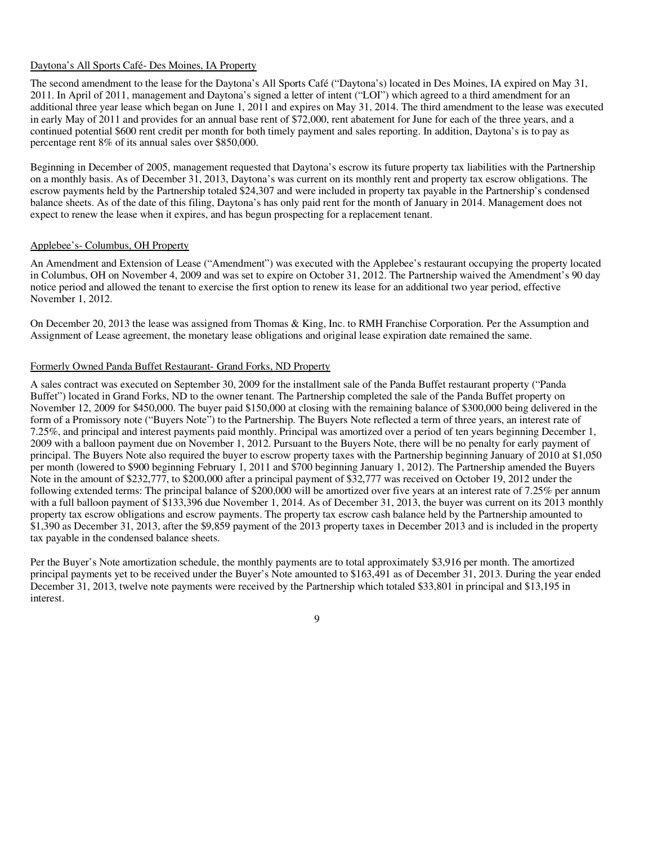#### Daytona's All Sports Café- Des Moines, IA Property

The second amendment to the lease for the Daytona's All Sports Café ("Daytona's) located in Des Moines, IA expired on May 31, 2011. In April of 2011, management and Daytona's signed a letter of intent ("LOI") which agreed to a third amendment for an additional three year lease which began on June 1, 2011 and expires on May 31, 2014. The third amendment to the lease was executed in early May of 2011 and provides for an annual base rent of \$72,000, rent abatement for June for each of the three years, and a continued potential \$600 rent credit per month for both timely payment and sales reporting. In addition, Daytona's is to pay as percentage rent 8% of its annual sales over \$850,000.

Beginning in December of 2005, management requested that Daytona's escrow its future property tax liabilities with the Partnership on a monthly basis. As of December 31, 2013, Daytona's was current on its monthly rent and property tax escrow obligations. The escrow payments held by the Partnership totaled \$24,307 and were included in property tax payable in the Partnership's condensed balance sheets. As of the date of this filing, Daytona's has only paid rent for the month of January in 2014. Management does not expect to renew the lease when it expires, and has begun prospecting for a replacement tenant.

## Applebee's- Columbus, OH Property

An Amendment and Extension of Lease ("Amendment") was executed with the Applebee's restaurant occupying the property located in Columbus, OH on November 4, 2009 and was set to expire on October 31, 2012. The Partnership waived the Amendment's 90 day notice period and allowed the tenant to exercise the first option to renew its lease for an additional two year period, effective November 1, 2012.

On December 20, 2013 the lease was assigned from Thomas & King, Inc. to RMH Franchise Corporation. Per the Assumption and Assignment of Lease agreement, the monetary lease obligations and original lease expiration date remained the same.

## Formerly Owned Panda Buffet Restaurant- Grand Forks, ND Property

A sales contract was executed on September 30, 2009 for the installment sale of the Panda Buffet restaurant property ("Panda Buffet") located in Grand Forks, ND to the owner tenant. The Partnership completed the sale of the Panda Buffet property on November 12, 2009 for \$450,000. The buyer paid \$150,000 at closing with the remaining balance of \$300,000 being delivered in the form of a Promissory note ("Buyers Note") to the Partnership. The Buyers Note reflected a term of three years, an interest rate of 7.25%, and principal and interest payments paid monthly. Principal was amortized over a period of ten years beginning December 1, 2009 with a balloon payment due on November 1, 2012. Pursuant to the Buyers Note, there will be no penalty for early payment of principal. The Buyers Note also required the buyer to escrow property taxes with the Partnership beginning January of 2010 at \$1,050 per month (lowered to \$900 beginning February 1, 2011 and \$700 beginning January 1, 2012). The Partnership amended the Buyers Note in the amount of \$232,777, to \$200,000 after a principal payment of \$32,777 was received on October 19, 2012 under the following extended terms: The principal balance of \$200,000 will be amortized over five years at an interest rate of 7.25% per annum with a full balloon payment of \$133,396 due November 1, 2014. As of December 31, 2013, the buyer was current on its 2013 monthly property tax escrow obligations and escrow payments. The property tax escrow cash balance held by the Partnership amounted to \$1,390 as December 31, 2013, after the \$9,859 payment of the 2013 property taxes in December 2013 and is included in the property tax payable in the condensed balance sheets.

Per the Buyer's Note amortization schedule, the monthly payments are to total approximately \$3,916 per month. The amortized principal payments yet to be received under the Buyer's Note amounted to \$163,491 as of December 31, 2013. During the year ended December 31, 2013, twelve note payments were received by the Partnership which totaled \$33,801 in principal and \$13,195 in interest.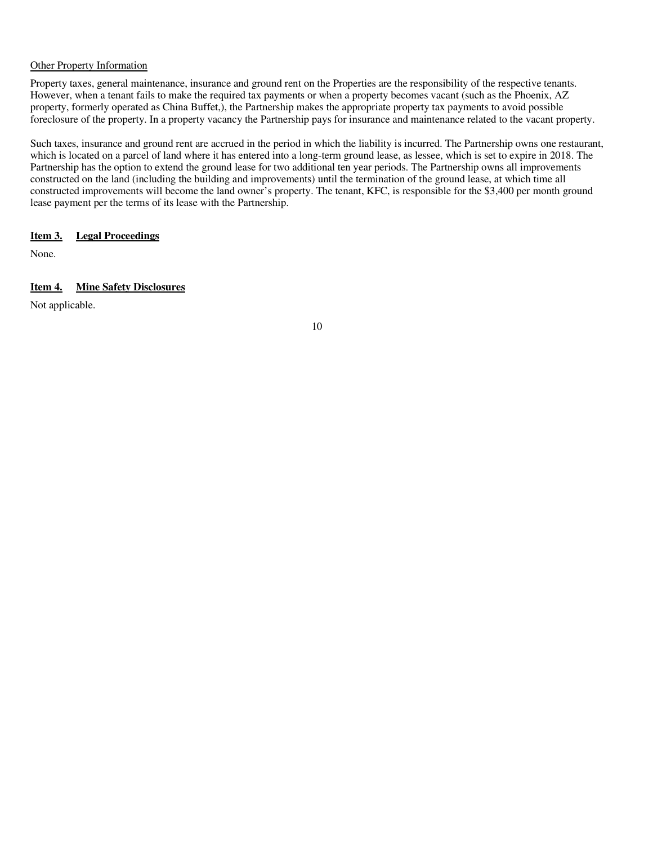## Other Property Information

Property taxes, general maintenance, insurance and ground rent on the Properties are the responsibility of the respective tenants. However, when a tenant fails to make the required tax payments or when a property becomes vacant (such as the Phoenix, AZ property, formerly operated as China Buffet,), the Partnership makes the appropriate property tax payments to avoid possible foreclosure of the property. In a property vacancy the Partnership pays for insurance and maintenance related to the vacant property.

Such taxes, insurance and ground rent are accrued in the period in which the liability is incurred. The Partnership owns one restaurant, which is located on a parcel of land where it has entered into a long-term ground lease, as lessee, which is set to expire in 2018. The Partnership has the option to extend the ground lease for two additional ten year periods. The Partnership owns all improvements constructed on the land (including the building and improvements) until the termination of the ground lease, at which time all constructed improvements will become the land owner's property. The tenant, KFC, is responsible for the \$3,400 per month ground lease payment per the terms of its lease with the Partnership.

## **Item 3. Legal Proceedings**

None.

## **Item 4. Mine Safety Disclosures**

Not applicable.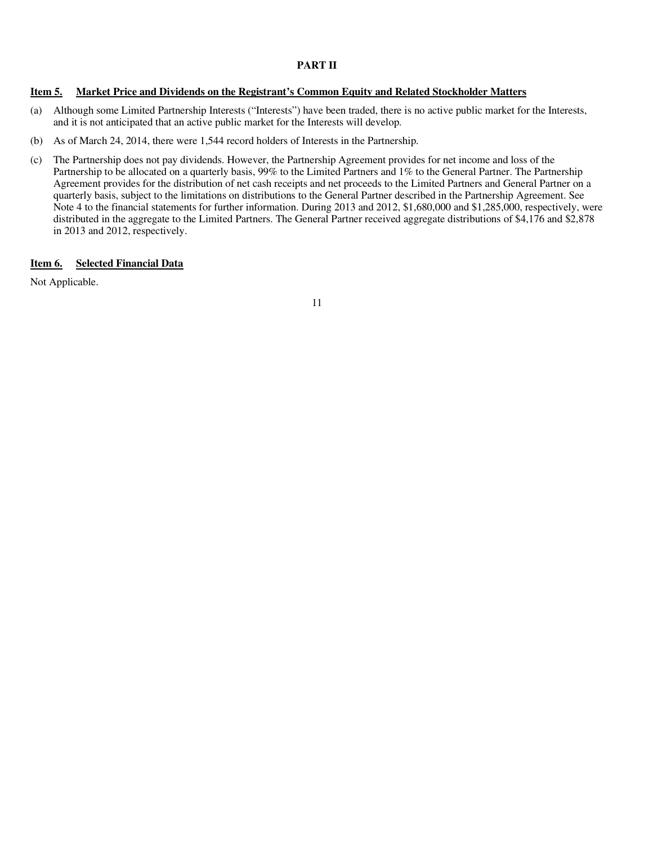#### **PART II**

#### **Item 5. Market Price and Dividends on the Registrant's Common Equity and Related Stockholder Matters**

- (a) Although some Limited Partnership Interests ("Interests") have been traded, there is no active public market for the Interests, and it is not anticipated that an active public market for the Interests will develop.
- (b) As of March 24, 2014, there were 1,544 record holders of Interests in the Partnership.
- (c) The Partnership does not pay dividends. However, the Partnership Agreement provides for net income and loss of the Partnership to be allocated on a quarterly basis, 99% to the Limited Partners and 1% to the General Partner. The Partnership Agreement provides for the distribution of net cash receipts and net proceeds to the Limited Partners and General Partner on a quarterly basis, subject to the limitations on distributions to the General Partner described in the Partnership Agreement. See Note 4 to the financial statements for further information. During 2013 and 2012, \$1,680,000 and \$1,285,000, respectively, were distributed in the aggregate to the Limited Partners. The General Partner received aggregate distributions of \$4,176 and \$2,878 in 2013 and 2012, respectively.

#### **Item 6. Selected Financial Data**

Not Applicable.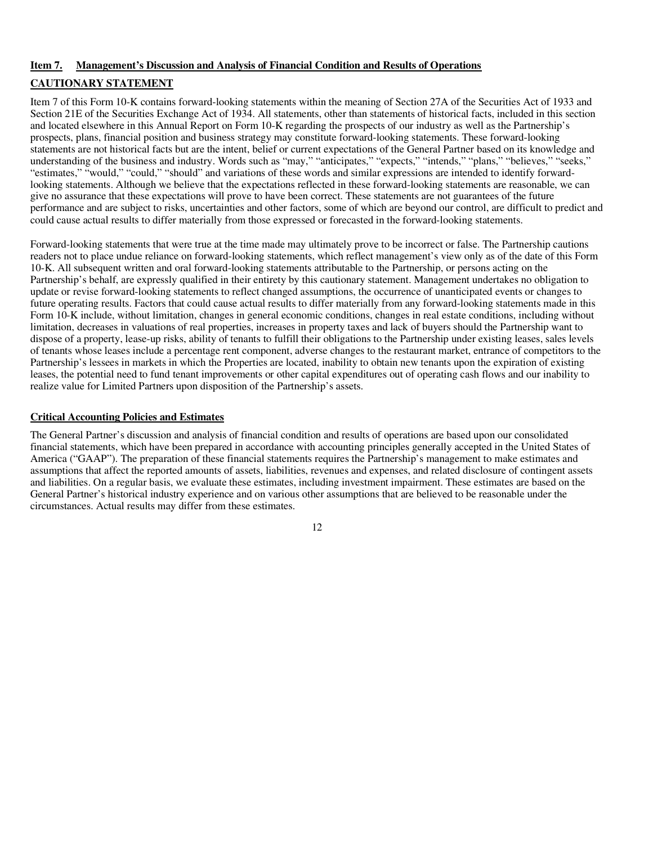#### **Item 7. Management's Discussion and Analysis of Financial Condition and Results of Operations**

## **CAUTIONARY STATEMENT**

Item 7 of this Form 10-K contains forward-looking statements within the meaning of Section 27A of the Securities Act of 1933 and Section 21E of the Securities Exchange Act of 1934. All statements, other than statements of historical facts, included in this section and located elsewhere in this Annual Report on Form 10-K regarding the prospects of our industry as well as the Partnership's prospects, plans, financial position and business strategy may constitute forward-looking statements. These forward-looking statements are not historical facts but are the intent, belief or current expectations of the General Partner based on its knowledge and understanding of the business and industry. Words such as "may," "anticipates," "expects," "intends," "plans," "believes," "seeks," "estimates," "would," "could," "should" and variations of these words and similar expressions are intended to identify forwardlooking statements. Although we believe that the expectations reflected in these forward-looking statements are reasonable, we can give no assurance that these expectations will prove to have been correct. These statements are not guarantees of the future performance and are subject to risks, uncertainties and other factors, some of which are beyond our control, are difficult to predict and could cause actual results to differ materially from those expressed or forecasted in the forward-looking statements.

Forward-looking statements that were true at the time made may ultimately prove to be incorrect or false. The Partnership cautions readers not to place undue reliance on forward-looking statements, which reflect management's view only as of the date of this Form 10-K. All subsequent written and oral forward-looking statements attributable to the Partnership, or persons acting on the Partnership's behalf, are expressly qualified in their entirety by this cautionary statement. Management undertakes no obligation to update or revise forward-looking statements to reflect changed assumptions, the occurrence of unanticipated events or changes to future operating results. Factors that could cause actual results to differ materially from any forward-looking statements made in this Form 10-K include, without limitation, changes in general economic conditions, changes in real estate conditions, including without limitation, decreases in valuations of real properties, increases in property taxes and lack of buyers should the Partnership want to dispose of a property, lease-up risks, ability of tenants to fulfill their obligations to the Partnership under existing leases, sales levels of tenants whose leases include a percentage rent component, adverse changes to the restaurant market, entrance of competitors to the Partnership's lessees in markets in which the Properties are located, inability to obtain new tenants upon the expiration of existing leases, the potential need to fund tenant improvements or other capital expenditures out of operating cash flows and our inability to realize value for Limited Partners upon disposition of the Partnership's assets.

#### **Critical Accounting Policies and Estimates**

The General Partner's discussion and analysis of financial condition and results of operations are based upon our consolidated financial statements, which have been prepared in accordance with accounting principles generally accepted in the United States of America ("GAAP"). The preparation of these financial statements requires the Partnership's management to make estimates and assumptions that affect the reported amounts of assets, liabilities, revenues and expenses, and related disclosure of contingent assets and liabilities. On a regular basis, we evaluate these estimates, including investment impairment. These estimates are based on the General Partner's historical industry experience and on various other assumptions that are believed to be reasonable under the circumstances. Actual results may differ from these estimates.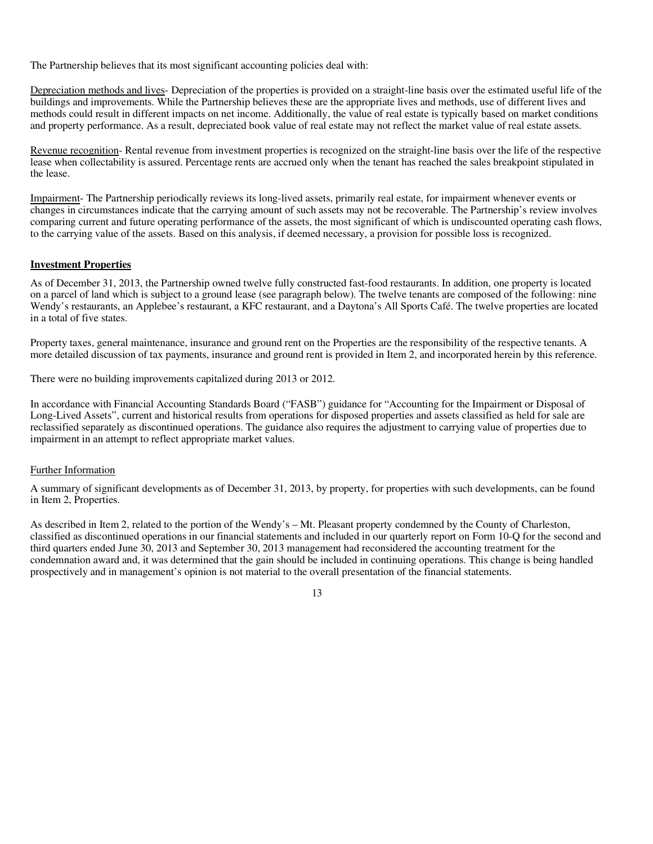The Partnership believes that its most significant accounting policies deal with:

Depreciation methods and lives- Depreciation of the properties is provided on a straight-line basis over the estimated useful life of the buildings and improvements. While the Partnership believes these are the appropriate lives and methods, use of different lives and methods could result in different impacts on net income. Additionally, the value of real estate is typically based on market conditions and property performance. As a result, depreciated book value of real estate may not reflect the market value of real estate assets.

Revenue recognition- Rental revenue from investment properties is recognized on the straight-line basis over the life of the respective lease when collectability is assured. Percentage rents are accrued only when the tenant has reached the sales breakpoint stipulated in the lease.

Impairment- The Partnership periodically reviews its long-lived assets, primarily real estate, for impairment whenever events or changes in circumstances indicate that the carrying amount of such assets may not be recoverable. The Partnership's review involves comparing current and future operating performance of the assets, the most significant of which is undiscounted operating cash flows, to the carrying value of the assets. Based on this analysis, if deemed necessary, a provision for possible loss is recognized.

#### **Investment Properties**

As of December 31, 2013, the Partnership owned twelve fully constructed fast-food restaurants. In addition, one property is located on a parcel of land which is subject to a ground lease (see paragraph below). The twelve tenants are composed of the following: nine Wendy's restaurants, an Applebee's restaurant, a KFC restaurant, and a Daytona's All Sports Café. The twelve properties are located in a total of five states.

Property taxes, general maintenance, insurance and ground rent on the Properties are the responsibility of the respective tenants. A more detailed discussion of tax payments, insurance and ground rent is provided in Item 2, and incorporated herein by this reference.

There were no building improvements capitalized during 2013 or 2012.

In accordance with Financial Accounting Standards Board ("FASB") guidance for "Accounting for the Impairment or Disposal of Long-Lived Assets", current and historical results from operations for disposed properties and assets classified as held for sale are reclassified separately as discontinued operations. The guidance also requires the adjustment to carrying value of properties due to impairment in an attempt to reflect appropriate market values.

#### Further Information

A summary of significant developments as of December 31, 2013, by property, for properties with such developments, can be found in Item 2, Properties.

As described in Item 2, related to the portion of the Wendy's – Mt. Pleasant property condemned by the County of Charleston, classified as discontinued operations in our financial statements and included in our quarterly report on Form 10-Q for the second and third quarters ended June 30, 2013 and September 30, 2013 management had reconsidered the accounting treatment for the condemnation award and, it was determined that the gain should be included in continuing operations. This change is being handled prospectively and in management's opinion is not material to the overall presentation of the financial statements.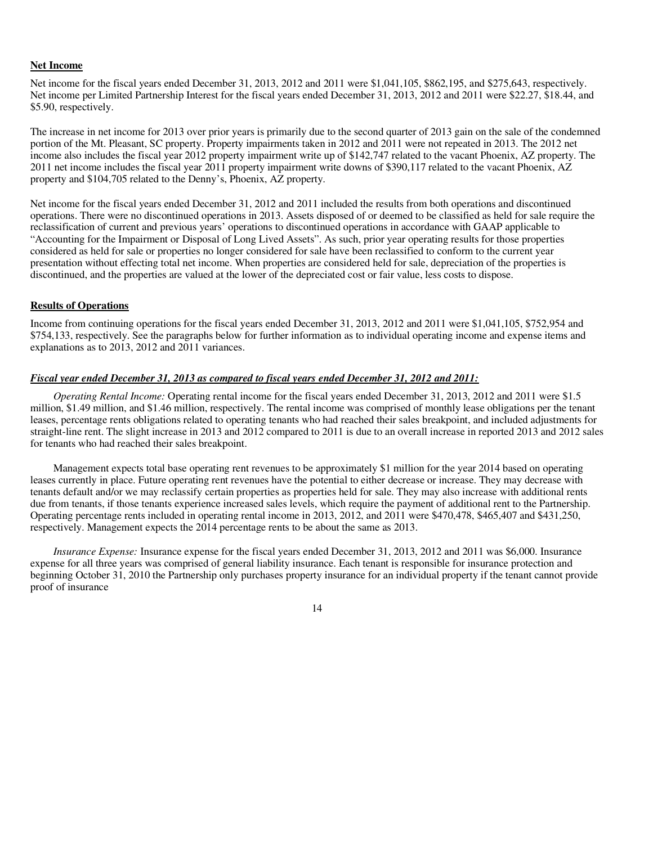#### **Net Income**

Net income for the fiscal years ended December 31, 2013, 2012 and 2011 were \$1,041,105, \$862,195, and \$275,643, respectively. Net income per Limited Partnership Interest for the fiscal years ended December 31, 2013, 2012 and 2011 were \$22.27, \$18.44, and \$5.90, respectively.

The increase in net income for 2013 over prior years is primarily due to the second quarter of 2013 gain on the sale of the condemned portion of the Mt. Pleasant, SC property. Property impairments taken in 2012 and 2011 were not repeated in 2013. The 2012 net income also includes the fiscal year 2012 property impairment write up of \$142,747 related to the vacant Phoenix, AZ property. The 2011 net income includes the fiscal year 2011 property impairment write downs of \$390,117 related to the vacant Phoenix, AZ property and \$104,705 related to the Denny's, Phoenix, AZ property.

Net income for the fiscal years ended December 31, 2012 and 2011 included the results from both operations and discontinued operations. There were no discontinued operations in 2013. Assets disposed of or deemed to be classified as held for sale require the reclassification of current and previous years' operations to discontinued operations in accordance with GAAP applicable to "Accounting for the Impairment or Disposal of Long Lived Assets". As such, prior year operating results for those properties considered as held for sale or properties no longer considered for sale have been reclassified to conform to the current year presentation without effecting total net income. When properties are considered held for sale, depreciation of the properties is discontinued, and the properties are valued at the lower of the depreciated cost or fair value, less costs to dispose.

#### **Results of Operations**

Income from continuing operations for the fiscal years ended December 31, 2013, 2012 and 2011 were \$1,041,105, \$752,954 and \$754,133, respectively. See the paragraphs below for further information as to individual operating income and expense items and explanations as to 2013, 2012 and 2011 variances.

#### *Fiscal year ended December 31, 2013 as compared to fiscal years ended December 31, 2012 and 2011:*

*Operating Rental Income:* Operating rental income for the fiscal years ended December 31, 2013, 2012 and 2011 were \$1.5 million, \$1.49 million, and \$1.46 million, respectively. The rental income was comprised of monthly lease obligations per the tenant leases, percentage rents obligations related to operating tenants who had reached their sales breakpoint, and included adjustments for straight-line rent. The slight increase in 2013 and 2012 compared to 2011 is due to an overall increase in reported 2013 and 2012 sales for tenants who had reached their sales breakpoint.

Management expects total base operating rent revenues to be approximately \$1 million for the year 2014 based on operating leases currently in place. Future operating rent revenues have the potential to either decrease or increase. They may decrease with tenants default and/or we may reclassify certain properties as properties held for sale. They may also increase with additional rents due from tenants, if those tenants experience increased sales levels, which require the payment of additional rent to the Partnership. Operating percentage rents included in operating rental income in 2013, 2012, and 2011 were \$470,478, \$465,407 and \$431,250, respectively. Management expects the 2014 percentage rents to be about the same as 2013.

*Insurance Expense:* Insurance expense for the fiscal years ended December 31, 2013, 2012 and 2011 was \$6,000. Insurance expense for all three years was comprised of general liability insurance. Each tenant is responsible for insurance protection and beginning October 31, 2010 the Partnership only purchases property insurance for an individual property if the tenant cannot provide proof of insurance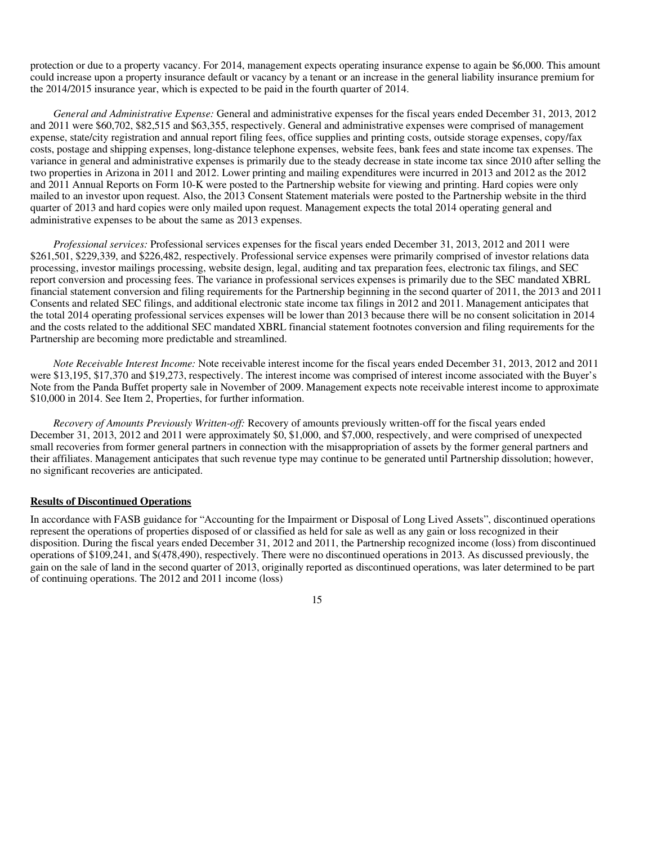protection or due to a property vacancy. For 2014, management expects operating insurance expense to again be \$6,000. This amount could increase upon a property insurance default or vacancy by a tenant or an increase in the general liability insurance premium for the 2014/2015 insurance year, which is expected to be paid in the fourth quarter of 2014.

*General and Administrative Expense:* General and administrative expenses for the fiscal years ended December 31, 2013, 2012 and 2011 were \$60,702, \$82,515 and \$63,355, respectively. General and administrative expenses were comprised of management expense, state/city registration and annual report filing fees, office supplies and printing costs, outside storage expenses, copy/fax costs, postage and shipping expenses, long-distance telephone expenses, website fees, bank fees and state income tax expenses. The variance in general and administrative expenses is primarily due to the steady decrease in state income tax since 2010 after selling the two properties in Arizona in 2011 and 2012. Lower printing and mailing expenditures were incurred in 2013 and 2012 as the 2012 and 2011 Annual Reports on Form 10-K were posted to the Partnership website for viewing and printing. Hard copies were only mailed to an investor upon request. Also, the 2013 Consent Statement materials were posted to the Partnership website in the third quarter of 2013 and hard copies were only mailed upon request. Management expects the total 2014 operating general and administrative expenses to be about the same as 2013 expenses.

*Professional services:* Professional services expenses for the fiscal years ended December 31, 2013, 2012 and 2011 were \$261,501, \$229,339, and \$226,482, respectively. Professional service expenses were primarily comprised of investor relations data processing, investor mailings processing, website design, legal, auditing and tax preparation fees, electronic tax filings, and SEC report conversion and processing fees. The variance in professional services expenses is primarily due to the SEC mandated XBRL financial statement conversion and filing requirements for the Partnership beginning in the second quarter of 2011, the 2013 and 2011 Consents and related SEC filings, and additional electronic state income tax filings in 2012 and 2011. Management anticipates that the total 2014 operating professional services expenses will be lower than 2013 because there will be no consent solicitation in 2014 and the costs related to the additional SEC mandated XBRL financial statement footnotes conversion and filing requirements for the Partnership are becoming more predictable and streamlined.

*Note Receivable Interest Income:* Note receivable interest income for the fiscal years ended December 31, 2013, 2012 and 2011 were \$13,195, \$17,370 and \$19,273, respectively. The interest income was comprised of interest income associated with the Buyer's Note from the Panda Buffet property sale in November of 2009. Management expects note receivable interest income to approximate \$10,000 in 2014. See Item 2, Properties, for further information.

*Recovery of Amounts Previously Written-off:* Recovery of amounts previously written-off for the fiscal years ended December 31, 2013, 2012 and 2011 were approximately \$0, \$1,000, and \$7,000, respectively, and were comprised of unexpected small recoveries from former general partners in connection with the misappropriation of assets by the former general partners and their affiliates. Management anticipates that such revenue type may continue to be generated until Partnership dissolution; however, no significant recoveries are anticipated.

#### **Results of Discontinued Operations**

In accordance with FASB guidance for "Accounting for the Impairment or Disposal of Long Lived Assets", discontinued operations represent the operations of properties disposed of or classified as held for sale as well as any gain or loss recognized in their disposition. During the fiscal years ended December 31, 2012 and 2011, the Partnership recognized income (loss) from discontinued operations of \$109,241, and \$(478,490), respectively. There were no discontinued operations in 2013. As discussed previously, the gain on the sale of land in the second quarter of 2013, originally reported as discontinued operations, was later determined to be part of continuing operations. The 2012 and 2011 income (loss)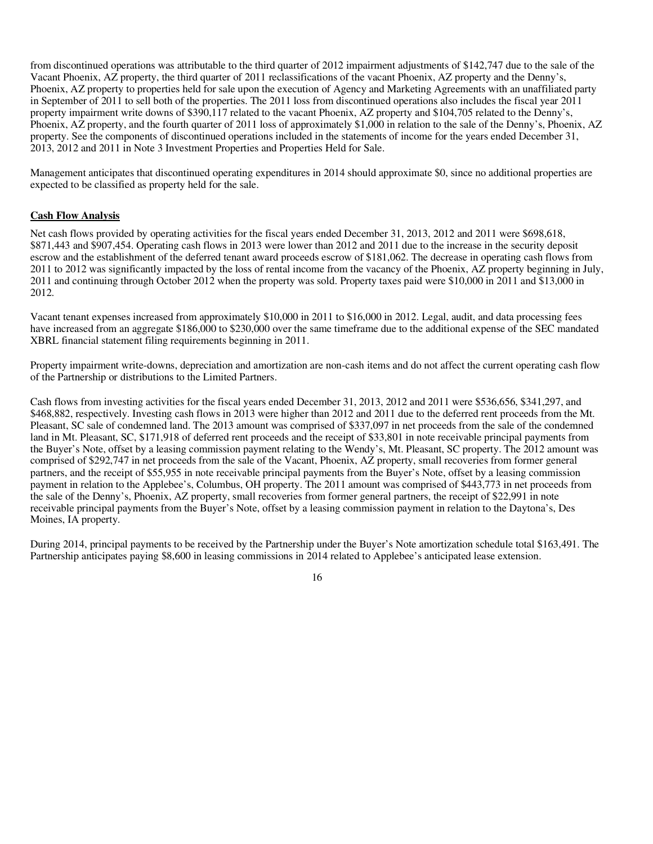from discontinued operations was attributable to the third quarter of 2012 impairment adjustments of \$142,747 due to the sale of the Vacant Phoenix, AZ property, the third quarter of 2011 reclassifications of the vacant Phoenix, AZ property and the Denny's, Phoenix, AZ property to properties held for sale upon the execution of Agency and Marketing Agreements with an unaffiliated party in September of 2011 to sell both of the properties. The 2011 loss from discontinued operations also includes the fiscal year 2011 property impairment write downs of \$390,117 related to the vacant Phoenix, AZ property and \$104,705 related to the Denny's, Phoenix, AZ property, and the fourth quarter of 2011 loss of approximately \$1,000 in relation to the sale of the Denny's, Phoenix, AZ property. See the components of discontinued operations included in the statements of income for the years ended December 31, 2013, 2012 and 2011 in Note 3 Investment Properties and Properties Held for Sale.

Management anticipates that discontinued operating expenditures in 2014 should approximate \$0, since no additional properties are expected to be classified as property held for the sale.

#### **Cash Flow Analysis**

Net cash flows provided by operating activities for the fiscal years ended December 31, 2013, 2012 and 2011 were \$698,618, \$871,443 and \$907,454. Operating cash flows in 2013 were lower than 2012 and 2011 due to the increase in the security deposit escrow and the establishment of the deferred tenant award proceeds escrow of \$181,062. The decrease in operating cash flows from 2011 to 2012 was significantly impacted by the loss of rental income from the vacancy of the Phoenix, AZ property beginning in July, 2011 and continuing through October 2012 when the property was sold. Property taxes paid were \$10,000 in 2011 and \$13,000 in 2012.

Vacant tenant expenses increased from approximately \$10,000 in 2011 to \$16,000 in 2012. Legal, audit, and data processing fees have increased from an aggregate \$186,000 to \$230,000 over the same timeframe due to the additional expense of the SEC mandated XBRL financial statement filing requirements beginning in 2011.

Property impairment write-downs, depreciation and amortization are non-cash items and do not affect the current operating cash flow of the Partnership or distributions to the Limited Partners.

Cash flows from investing activities for the fiscal years ended December 31, 2013, 2012 and 2011 were \$536,656, \$341,297, and \$468,882, respectively. Investing cash flows in 2013 were higher than 2012 and 2011 due to the deferred rent proceeds from the Mt. Pleasant, SC sale of condemned land. The 2013 amount was comprised of \$337,097 in net proceeds from the sale of the condemned land in Mt. Pleasant, SC, \$171,918 of deferred rent proceeds and the receipt of \$33,801 in note receivable principal payments from the Buyer's Note, offset by a leasing commission payment relating to the Wendy's, Mt. Pleasant, SC property. The 2012 amount was comprised of \$292,747 in net proceeds from the sale of the Vacant, Phoenix, AZ property, small recoveries from former general partners, and the receipt of \$55,955 in note receivable principal payments from the Buyer's Note, offset by a leasing commission payment in relation to the Applebee's, Columbus, OH property. The 2011 amount was comprised of \$443,773 in net proceeds from the sale of the Denny's, Phoenix, AZ property, small recoveries from former general partners, the receipt of \$22,991 in note receivable principal payments from the Buyer's Note, offset by a leasing commission payment in relation to the Daytona's, Des Moines, IA property.

During 2014, principal payments to be received by the Partnership under the Buyer's Note amortization schedule total \$163,491. The Partnership anticipates paying \$8,600 in leasing commissions in 2014 related to Applebee's anticipated lease extension.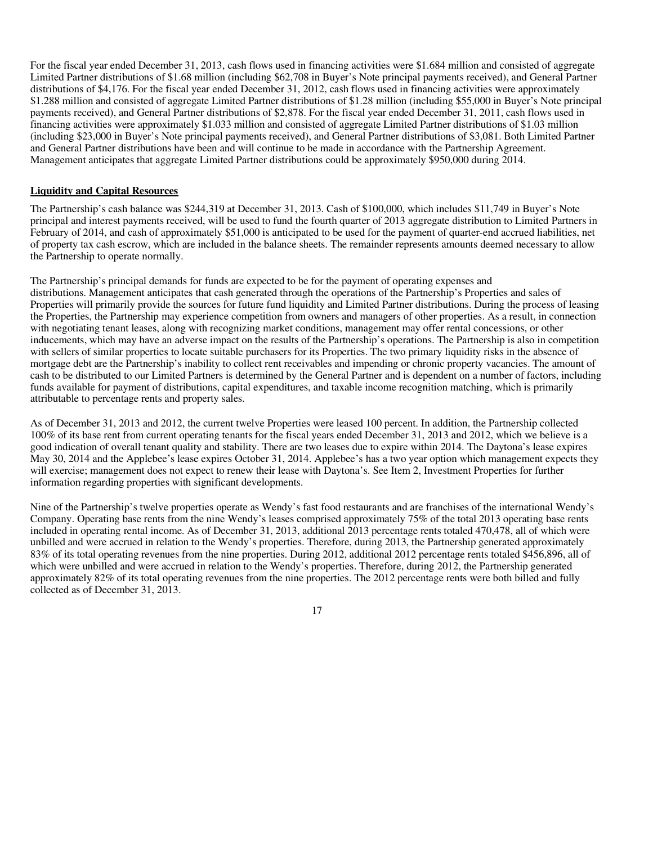For the fiscal year ended December 31, 2013, cash flows used in financing activities were \$1.684 million and consisted of aggregate Limited Partner distributions of \$1.68 million (including \$62,708 in Buyer's Note principal payments received), and General Partner distributions of \$4,176. For the fiscal year ended December 31, 2012, cash flows used in financing activities were approximately \$1.288 million and consisted of aggregate Limited Partner distributions of \$1.28 million (including \$55,000 in Buyer's Note principal payments received), and General Partner distributions of \$2,878. For the fiscal year ended December 31, 2011, cash flows used in financing activities were approximately \$1.033 million and consisted of aggregate Limited Partner distributions of \$1.03 million (including \$23,000 in Buyer's Note principal payments received), and General Partner distributions of \$3,081. Both Limited Partner and General Partner distributions have been and will continue to be made in accordance with the Partnership Agreement. Management anticipates that aggregate Limited Partner distributions could be approximately \$950,000 during 2014.

#### **Liquidity and Capital Resources**

The Partnership's cash balance was \$244,319 at December 31, 2013. Cash of \$100,000, which includes \$11,749 in Buyer's Note principal and interest payments received, will be used to fund the fourth quarter of 2013 aggregate distribution to Limited Partners in February of 2014, and cash of approximately \$51,000 is anticipated to be used for the payment of quarter-end accrued liabilities, net of property tax cash escrow, which are included in the balance sheets. The remainder represents amounts deemed necessary to allow the Partnership to operate normally.

The Partnership's principal demands for funds are expected to be for the payment of operating expenses and distributions. Management anticipates that cash generated through the operations of the Partnership's Properties and sales of Properties will primarily provide the sources for future fund liquidity and Limited Partner distributions. During the process of leasing the Properties, the Partnership may experience competition from owners and managers of other properties. As a result, in connection with negotiating tenant leases, along with recognizing market conditions, management may offer rental concessions, or other inducements, which may have an adverse impact on the results of the Partnership's operations. The Partnership is also in competition with sellers of similar properties to locate suitable purchasers for its Properties. The two primary liquidity risks in the absence of mortgage debt are the Partnership's inability to collect rent receivables and impending or chronic property vacancies. The amount of cash to be distributed to our Limited Partners is determined by the General Partner and is dependent on a number of factors, including funds available for payment of distributions, capital expenditures, and taxable income recognition matching, which is primarily attributable to percentage rents and property sales.

As of December 31, 2013 and 2012, the current twelve Properties were leased 100 percent. In addition, the Partnership collected 100% of its base rent from current operating tenants for the fiscal years ended December 31, 2013 and 2012, which we believe is a good indication of overall tenant quality and stability. There are two leases due to expire within 2014. The Daytona's lease expires May 30, 2014 and the Applebee's lease expires October 31, 2014. Applebee's has a two year option which management expects they will exercise; management does not expect to renew their lease with Daytona's. See Item 2, Investment Properties for further information regarding properties with significant developments.

Nine of the Partnership's twelve properties operate as Wendy's fast food restaurants and are franchises of the international Wendy's Company. Operating base rents from the nine Wendy's leases comprised approximately 75% of the total 2013 operating base rents included in operating rental income. As of December 31, 2013, additional 2013 percentage rents totaled 470,478, all of which were unbilled and were accrued in relation to the Wendy's properties. Therefore, during 2013, the Partnership generated approximately 83% of its total operating revenues from the nine properties. During 2012, additional 2012 percentage rents totaled \$456,896, all of which were unbilled and were accrued in relation to the Wendy's properties. Therefore, during 2012, the Partnership generated approximately 82% of its total operating revenues from the nine properties. The 2012 percentage rents were both billed and fully collected as of December 31, 2013.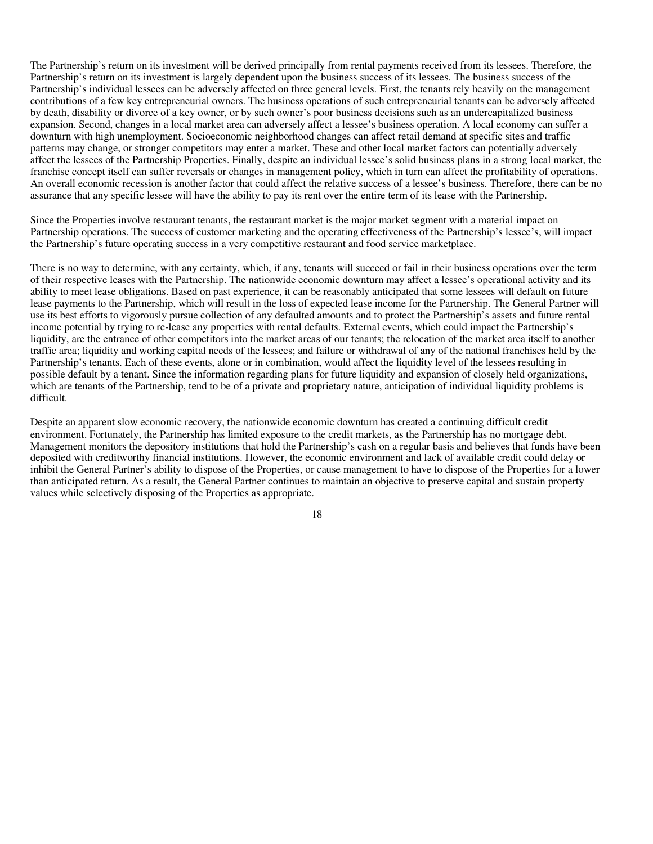The Partnership's return on its investment will be derived principally from rental payments received from its lessees. Therefore, the Partnership's return on its investment is largely dependent upon the business success of its lessees. The business success of the Partnership's individual lessees can be adversely affected on three general levels. First, the tenants rely heavily on the management contributions of a few key entrepreneurial owners. The business operations of such entrepreneurial tenants can be adversely affected by death, disability or divorce of a key owner, or by such owner's poor business decisions such as an undercapitalized business expansion. Second, changes in a local market area can adversely affect a lessee's business operation. A local economy can suffer a downturn with high unemployment. Socioeconomic neighborhood changes can affect retail demand at specific sites and traffic patterns may change, or stronger competitors may enter a market. These and other local market factors can potentially adversely affect the lessees of the Partnership Properties. Finally, despite an individual lessee's solid business plans in a strong local market, the franchise concept itself can suffer reversals or changes in management policy, which in turn can affect the profitability of operations. An overall economic recession is another factor that could affect the relative success of a lessee's business. Therefore, there can be no assurance that any specific lessee will have the ability to pay its rent over the entire term of its lease with the Partnership.

Since the Properties involve restaurant tenants, the restaurant market is the major market segment with a material impact on Partnership operations. The success of customer marketing and the operating effectiveness of the Partnership's lessee's, will impact the Partnership's future operating success in a very competitive restaurant and food service marketplace.

There is no way to determine, with any certainty, which, if any, tenants will succeed or fail in their business operations over the term of their respective leases with the Partnership. The nationwide economic downturn may affect a lessee's operational activity and its ability to meet lease obligations. Based on past experience, it can be reasonably anticipated that some lessees will default on future lease payments to the Partnership, which will result in the loss of expected lease income for the Partnership. The General Partner will use its best efforts to vigorously pursue collection of any defaulted amounts and to protect the Partnership's assets and future rental income potential by trying to re-lease any properties with rental defaults. External events, which could impact the Partnership's liquidity, are the entrance of other competitors into the market areas of our tenants; the relocation of the market area itself to another traffic area; liquidity and working capital needs of the lessees; and failure or withdrawal of any of the national franchises held by the Partnership's tenants. Each of these events, alone or in combination, would affect the liquidity level of the lessees resulting in possible default by a tenant. Since the information regarding plans for future liquidity and expansion of closely held organizations, which are tenants of the Partnership, tend to be of a private and proprietary nature, anticipation of individual liquidity problems is difficult.

Despite an apparent slow economic recovery, the nationwide economic downturn has created a continuing difficult credit environment. Fortunately, the Partnership has limited exposure to the credit markets, as the Partnership has no mortgage debt. Management monitors the depository institutions that hold the Partnership's cash on a regular basis and believes that funds have been deposited with creditworthy financial institutions. However, the economic environment and lack of available credit could delay or inhibit the General Partner's ability to dispose of the Properties, or cause management to have to dispose of the Properties for a lower than anticipated return. As a result, the General Partner continues to maintain an objective to preserve capital and sustain property values while selectively disposing of the Properties as appropriate.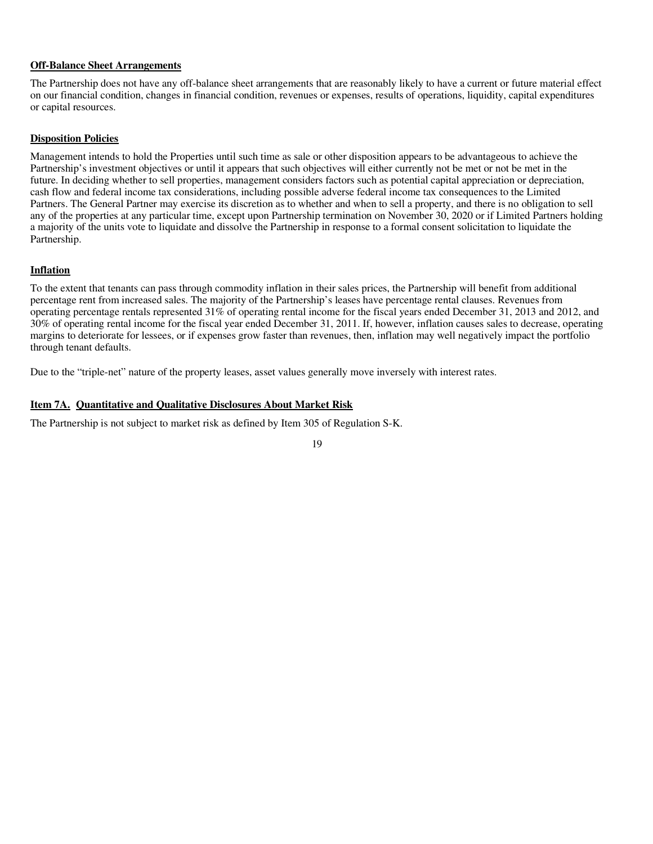#### **Off-Balance Sheet Arrangements**

The Partnership does not have any off-balance sheet arrangements that are reasonably likely to have a current or future material effect on our financial condition, changes in financial condition, revenues or expenses, results of operations, liquidity, capital expenditures or capital resources.

#### **Disposition Policies**

Management intends to hold the Properties until such time as sale or other disposition appears to be advantageous to achieve the Partnership's investment objectives or until it appears that such objectives will either currently not be met or not be met in the future. In deciding whether to sell properties, management considers factors such as potential capital appreciation or depreciation, cash flow and federal income tax considerations, including possible adverse federal income tax consequences to the Limited Partners. The General Partner may exercise its discretion as to whether and when to sell a property, and there is no obligation to sell any of the properties at any particular time, except upon Partnership termination on November 30, 2020 or if Limited Partners holding a majority of the units vote to liquidate and dissolve the Partnership in response to a formal consent solicitation to liquidate the Partnership.

#### **Inflation**

To the extent that tenants can pass through commodity inflation in their sales prices, the Partnership will benefit from additional percentage rent from increased sales. The majority of the Partnership's leases have percentage rental clauses. Revenues from operating percentage rentals represented 31% of operating rental income for the fiscal years ended December 31, 2013 and 2012, and 30% of operating rental income for the fiscal year ended December 31, 2011. If, however, inflation causes sales to decrease, operating margins to deteriorate for lessees, or if expenses grow faster than revenues, then, inflation may well negatively impact the portfolio through tenant defaults.

Due to the "triple-net" nature of the property leases, asset values generally move inversely with interest rates.

#### **Item 7A. Quantitative and Qualitative Disclosures About Market Risk**

The Partnership is not subject to market risk as defined by Item 305 of Regulation S-K.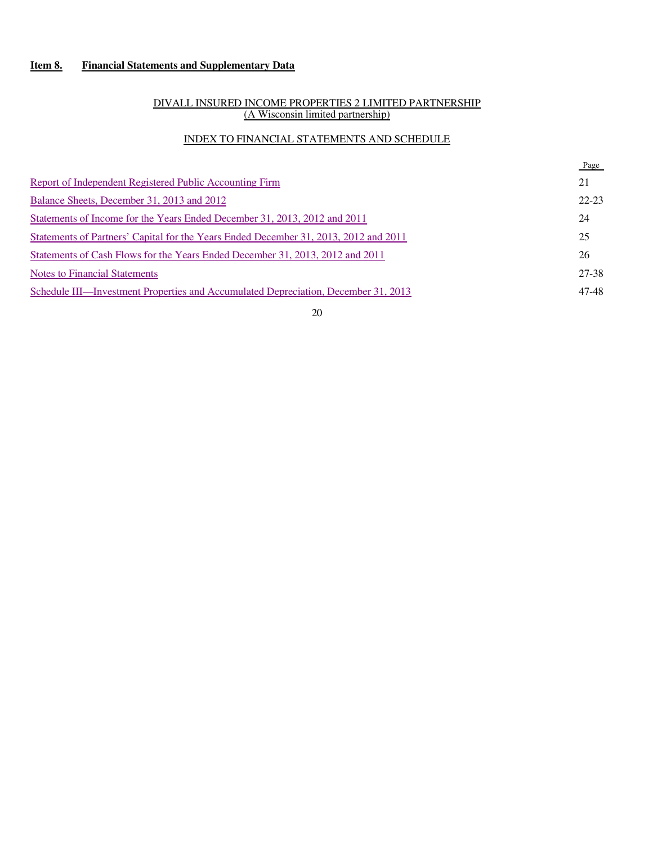## **Item 8. Financial Statements and Supplementary Data**

## DIVALL INSURED INCOME PROPERTIES 2 LIMITED PARTNERSHIP (A Wisconsin limited partnership)

## INDEX TO FINANCIAL STATEMENTS AND SCHEDULE

|                                                                                           | Page      |
|-------------------------------------------------------------------------------------------|-----------|
| Report of Independent Registered Public Accounting Firm                                   | 21        |
| Balance Sheets, December 31, 2013 and 2012                                                | $22 - 23$ |
| Statements of Income for the Years Ended December 31, 2013, 2012 and 2011                 | 24        |
| Statements of Partners' Capital for the Years Ended December 31, 2013, 2012 and 2011      | 25        |
| Statements of Cash Flows for the Years Ended December 31, 2013, 2012 and 2011             | 26        |
| <b>Notes to Financial Statements</b>                                                      | 27-38     |
| <u>Schedule III—Investment Properties and Accumulated Depreciation, December 31, 2013</u> | 47-48     |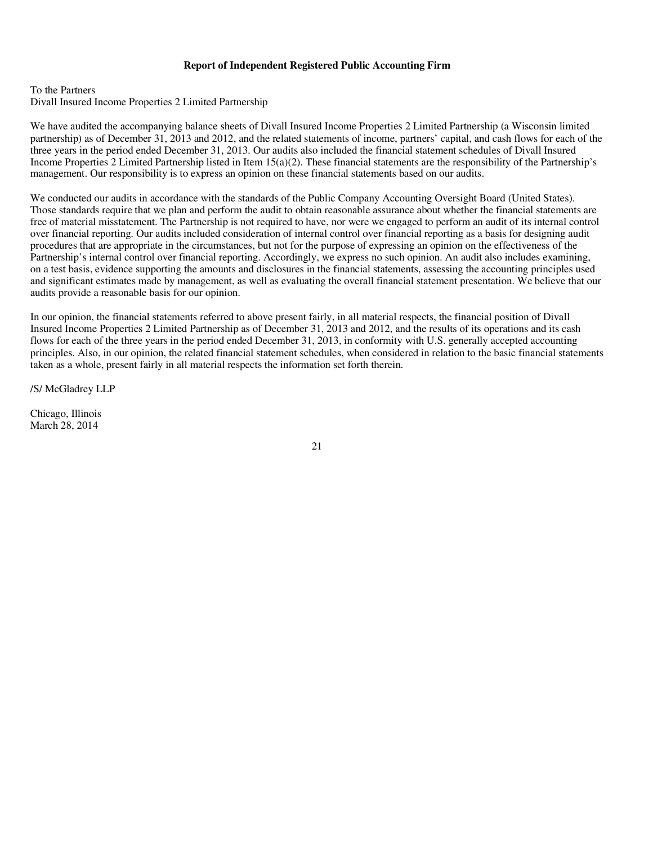#### **Report of Independent Registered Public Accounting Firm**

#### To the Partners Divall Insured Income Properties 2 Limited Partnership

We have audited the accompanying balance sheets of Divall Insured Income Properties 2 Limited Partnership (a Wisconsin limited partnership) as of December 31, 2013 and 2012, and the related statements of income, partners' capital, and cash flows for each of the three years in the period ended December 31, 2013. Our audits also included the financial statement schedules of Divall Insured Income Properties 2 Limited Partnership listed in Item 15(a)(2). These financial statements are the responsibility of the Partnership's management. Our responsibility is to express an opinion on these financial statements based on our audits.

We conducted our audits in accordance with the standards of the Public Company Accounting Oversight Board (United States). Those standards require that we plan and perform the audit to obtain reasonable assurance about whether the financial statements are free of material misstatement. The Partnership is not required to have, nor were we engaged to perform an audit of its internal control over financial reporting. Our audits included consideration of internal control over financial reporting as a basis for designing audit procedures that are appropriate in the circumstances, but not for the purpose of expressing an opinion on the effectiveness of the Partnership's internal control over financial reporting. Accordingly, we express no such opinion. An audit also includes examining, on a test basis, evidence supporting the amounts and disclosures in the financial statements, assessing the accounting principles used and significant estimates made by management, as well as evaluating the overall financial statement presentation. We believe that our audits provide a reasonable basis for our opinion.

In our opinion, the financial statements referred to above present fairly, in all material respects, the financial position of Divall Insured Income Properties 2 Limited Partnership as of December 31, 2013 and 2012, and the results of its operations and its cash flows for each of the three years in the period ended December 31, 2013, in conformity with U.S. generally accepted accounting principles. Also, in our opinion, the related financial statement schedules, when considered in relation to the basic financial statements taken as a whole, present fairly in all material respects the information set forth therein.

/S/ McGladrey LLP

Chicago, Illinois March 28, 2014

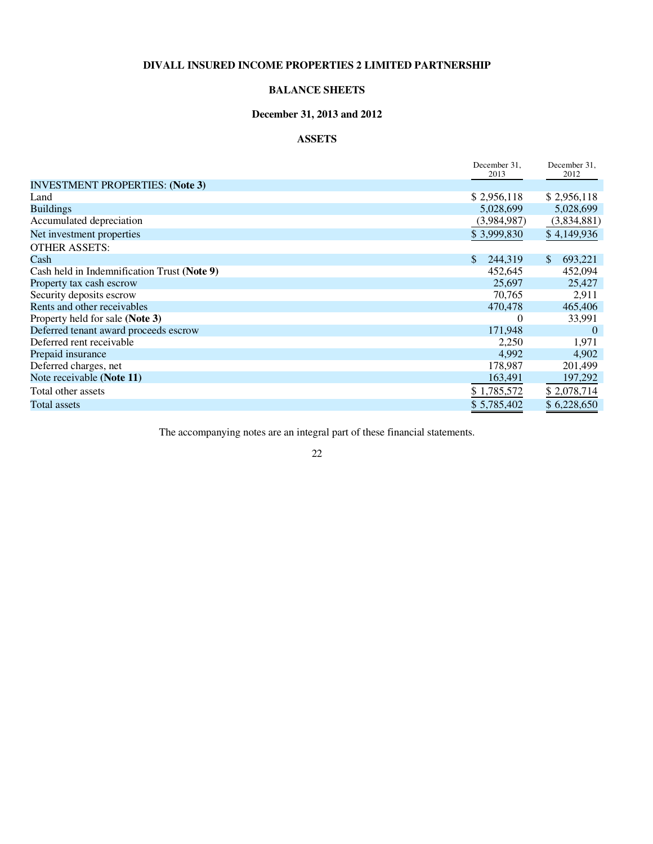## **BALANCE SHEETS**

## **December 31, 2013 and 2012**

## **ASSETS**

|                                             | December 31,<br>2013 | December 31,<br>2012    |
|---------------------------------------------|----------------------|-------------------------|
| <b>INVESTMENT PROPERTIES: (Note 3)</b>      |                      |                         |
| Land                                        | \$2,956,118          | \$2,956,118             |
| <b>Buildings</b>                            | 5,028,699            | 5,028,699               |
| Accumulated depreciation                    | (3,984,987)          | (3,834,881)             |
| Net investment properties                   | \$3,999,830          | \$4,149,936             |
| <b>OTHER ASSETS:</b>                        |                      |                         |
| Cash                                        | \$<br>244,319        | $\mathbb{S}$<br>693,221 |
| Cash held in Indemnification Trust (Note 9) | 452,645              | 452,094                 |
| Property tax cash escrow                    | 25,697               | 25,427                  |
| Security deposits escrow                    | 70,765               | 2,911                   |
| Rents and other receivables                 | 470,478              | 465,406                 |
| Property held for sale (Note 3)             | $\Omega$             | 33,991                  |
| Deferred tenant award proceeds escrow       | 171,948              | $\theta$                |
| Deferred rent receivable                    | 2,250                | 1,971                   |
| Prepaid insurance                           | 4,992                | 4,902                   |
| Deferred charges, net                       | 178,987              | 201,499                 |
| Note receivable (Note 11)                   | 163,491              | 197,292                 |
| Total other assets                          | \$1,785,572          | \$2,078,714             |
| Total assets                                | \$5,785,402          | \$6,228,650             |

The accompanying notes are an integral part of these financial statements.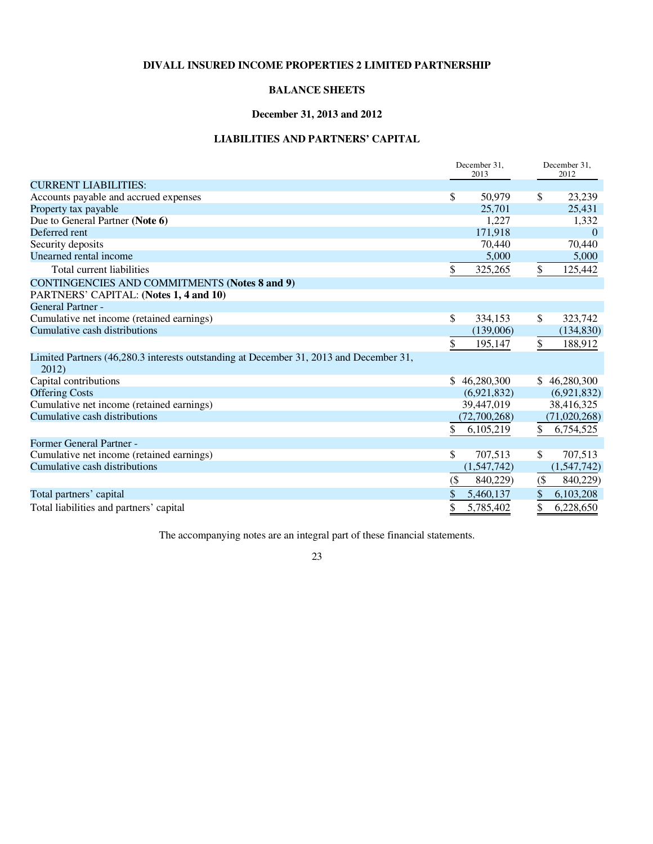## **BALANCE SHEETS**

## **December 31, 2013 and 2012**

## **LIABILITIES AND PARTNERS' CAPITAL**

|                                                                                                 |        | December 31,<br>2013 |              | December 31,<br>2012 |
|-------------------------------------------------------------------------------------------------|--------|----------------------|--------------|----------------------|
| <b>CURRENT LIABILITIES:</b>                                                                     |        |                      |              |                      |
| Accounts payable and accrued expenses                                                           | \$     | 50,979               | \$           | 23,239               |
| Property tax payable                                                                            |        | 25,701               |              | 25,431               |
| Due to General Partner (Note 6)                                                                 |        | 1,227                |              | 1,332                |
| Deferred rent                                                                                   |        | 171,918              |              | $\Omega$             |
| Security deposits                                                                               |        | 70,440               |              | 70,440               |
| Unearned rental income                                                                          |        | 5,000                |              | 5,000                |
| Total current liabilities                                                                       | \$     | 325,265              | \$           | 125,442              |
| <b>CONTINGENCIES AND COMMITMENTS (Notes 8 and 9)</b>                                            |        |                      |              |                      |
| PARTNERS' CAPITAL: (Notes 1, 4 and 10)                                                          |        |                      |              |                      |
| <b>General Partner -</b>                                                                        |        |                      |              |                      |
| Cumulative net income (retained earnings)                                                       | \$     | 334,153              | \$           | 323,742              |
| Cumulative cash distributions                                                                   |        | (139,006)            |              | (134, 830)           |
|                                                                                                 | \$     | 195,147              | $\mathbb{S}$ | 188,912              |
| Limited Partners (46,280.3 interests outstanding at December 31, 2013 and December 31,<br>2012) |        |                      |              |                      |
| Capital contributions                                                                           | \$     | 46,280,300           |              | \$46,280,300         |
| <b>Offering Costs</b>                                                                           |        | (6,921,832)          |              | (6,921,832)          |
| Cumulative net income (retained earnings)                                                       |        | 39,447,019           |              | 38,416,325           |
| Cumulative cash distributions                                                                   |        | (72,700,268)         |              | (71,020,268)         |
|                                                                                                 | \$     | 6,105,219            | \$           | 6,754,525            |
| <b>Former General Partner -</b>                                                                 |        |                      |              |                      |
| Cumulative net income (retained earnings)                                                       | \$     | 707,513              | \$           | 707,513              |
| Cumulative cash distributions                                                                   |        | (1,547,742)          |              | (1,547,742)          |
|                                                                                                 | $($ \$ | 840,229)             | $($ \$       | 840,229)             |
| Total partners' capital                                                                         | \$     | 5,460,137            | \$           | 6,103,208            |
| Total liabilities and partners' capital                                                         | \$     | 5,785,402            | \$           | 6,228,650            |

The accompanying notes are an integral part of these financial statements.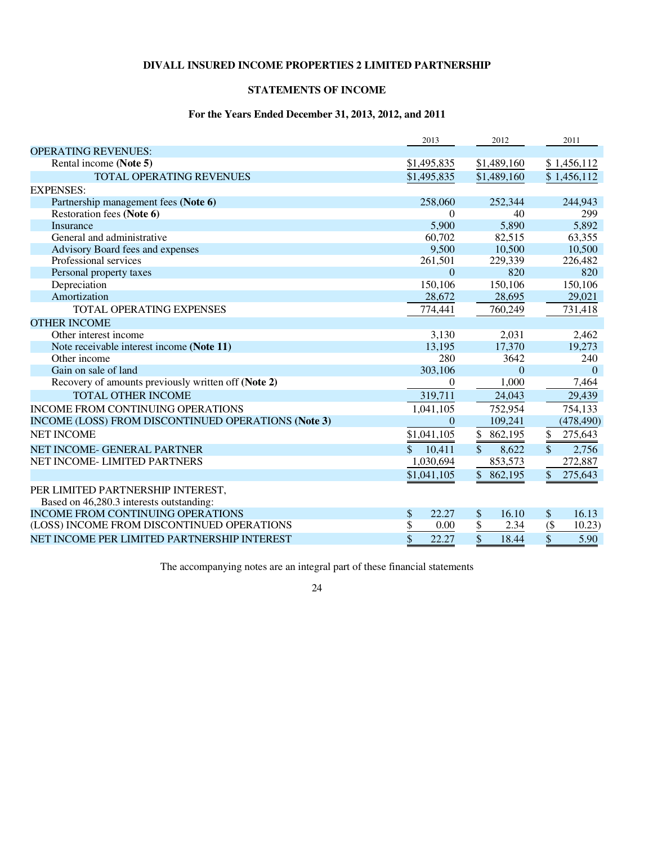## **STATEMENTS OF INCOME**

## **For the Years Ended December 31, 2013, 2012, and 2011**

|                                                     | 2013             | 2012                  | 2011                   |
|-----------------------------------------------------|------------------|-----------------------|------------------------|
| <b>OPERATING REVENUES:</b>                          |                  |                       |                        |
| Rental income (Note 5)                              | \$1,495,835      | \$1,489,160           | \$1,456,112            |
| TOTAL OPERATING REVENUES                            | \$1,495,835      | \$1,489,160           | \$1,456,112            |
| <b>EXPENSES:</b>                                    |                  |                       |                        |
| Partnership management fees (Note 6)                | 258,060          | 252,344               | 244,943                |
| Restoration fees (Note 6)                           | 0                | 40                    | 299                    |
| Insurance                                           | 5,900            | 5,890                 | 5,892                  |
| General and administrative                          | 60,702           | 82,515                | 63,355                 |
| Advisory Board fees and expenses                    | 9,500            | 10,500                | 10,500                 |
| Professional services                               | 261,501          | 229,339               | 226,482                |
| Personal property taxes                             | $\theta$         | 820                   | 820                    |
| Depreciation                                        | 150,106          | 150,106               | 150,106                |
| Amortization                                        | 28,672           | 28,695                | 29,021                 |
| <b>TOTAL OPERATING EXPENSES</b>                     | 774,441          | 760,249               | 731,418                |
| <b>OTHER INCOME</b>                                 |                  |                       |                        |
| Other interest income                               | 3,130            | 2,031                 | 2,462                  |
| Note receivable interest income (Note 11)           | 13,195           | 17,370                | 19,273                 |
| Other income                                        | 280              | 3642                  | 240                    |
| Gain on sale of land                                | 303,106          | $\theta$              | $\Omega$               |
| Recovery of amounts previously written off (Note 2) | 0                | 1,000                 | 7,464                  |
| <b>TOTAL OTHER INCOME</b>                           | 319,711          | 24,043                | 29,439                 |
| INCOME FROM CONTINUING OPERATIONS                   | 1,041,105        | 752,954               | 754,133                |
| INCOME (LOSS) FROM DISCONTINUED OPERATIONS (Note 3) | $\boldsymbol{0}$ | 109,241               | (478, 490)             |
| <b>NET INCOME</b>                                   | \$1,041,105      | \$<br>862,195         | \$<br>275,643          |
| NET INCOME- GENERAL PARTNER                         | \$<br>10,411     | $\mathbb{S}$<br>8,622 | $\mathsf{\$}$<br>2,756 |
| NET INCOME-LIMITED PARTNERS                         | 1,030,694        | 853,573               | 272,887                |
|                                                     | \$1,041,105      | \$862,195             | \$<br>275,643          |
| PER LIMITED PARTNERSHIP INTEREST,                   |                  |                       |                        |
| Based on 46,280.3 interests outstanding:            |                  |                       |                        |
| INCOME FROM CONTINUING OPERATIONS                   | \$<br>22.27      | \$<br>16.10           | \$<br>16.13            |
| (LOSS) INCOME FROM DISCONTINUED OPERATIONS          | \$<br>0.00       | \$<br>2.34            | $($ \$<br>10.23        |
| NET INCOME PER LIMITED PARTNERSHIP INTEREST         | \$<br>22.27      | \$<br>18.44           | \$<br>5.90             |
|                                                     |                  |                       |                        |

The accompanying notes are an integral part of these financial statements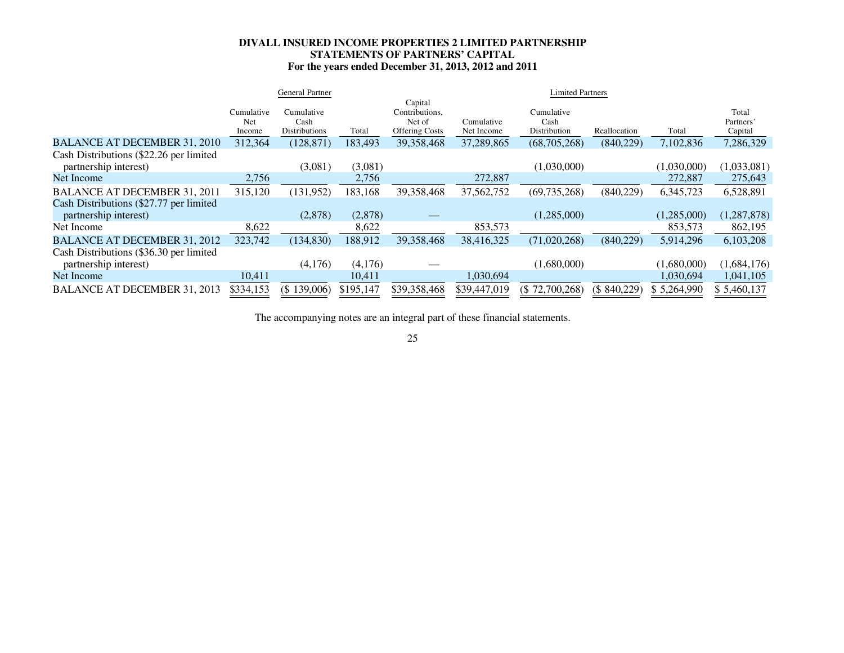#### **DIVALL INSURED INCOME PROPERTIES 2 LIMITED PARTNERSHIP STATEMENTS OF PARTNERS' CAPITAL For the years ended December 31, 2013, 2012 and 2011**

|                                         |                                        | <b>General Partner</b>                            | <b>Limited Partners</b> |                                                                            |                                        |                                                    |                            |                    |                                            |
|-----------------------------------------|----------------------------------------|---------------------------------------------------|-------------------------|----------------------------------------------------------------------------|----------------------------------------|----------------------------------------------------|----------------------------|--------------------|--------------------------------------------|
| <b>BALANCE AT DECEMBER 31, 2010</b>     | Cumulative<br>Net<br>Income<br>312,364 | Cumulative<br>Cash<br>Distributions<br>(128, 871) | Total<br>183.493        | Capital<br>Contributions,<br>Net of<br><b>Offering Costs</b><br>39,358,468 | Cumulative<br>Net Income<br>37,289,865 | Cumulative<br>Cash<br>Distribution<br>(68,705,268) | Reallocation<br>(840, 229) | Total<br>7,102,836 | Total<br>Partners'<br>Capital<br>7,286,329 |
| Cash Distributions (\$22.26 per limited |                                        |                                                   |                         |                                                                            |                                        |                                                    |                            |                    |                                            |
| partnership interest)                   |                                        | (3,081)                                           | (3,081)                 |                                                                            |                                        | (1,030,000)                                        |                            | (1,030,000)        | (1,033,081)                                |
| Net Income                              | 2,756                                  |                                                   | 2,756                   |                                                                            | 272,887                                |                                                    |                            | 272,887            | 275,643                                    |
| <b>BALANCE AT DECEMBER 31, 2011</b>     | 315,120                                | (131, 952)                                        | 183,168                 | 39,358,468                                                                 | 37,562,752                             | (69, 735, 268)                                     | (840, 229)                 | 6,345,723          | 6,528,891                                  |
| Cash Distributions (\$27.77 per limited |                                        |                                                   |                         |                                                                            |                                        |                                                    |                            |                    |                                            |
| partnership interest)                   |                                        | (2,878)                                           | (2,878)                 |                                                                            |                                        | (1,285,000)                                        |                            | (1,285,000)        | (1, 287, 878)                              |
| Net Income                              | 8,622                                  |                                                   | 8,622                   |                                                                            | 853,573                                |                                                    |                            | 853,573            | 862,195                                    |
| <b>BALANCE AT DECEMBER 31, 2012</b>     | 323,742                                | (134, 830)                                        | 188,912                 | 39,358,468                                                                 | 38,416,325                             | (71,020,268)                                       | (840, 229)                 | 5,914,296          | 6,103,208                                  |
| Cash Distributions (\$36.30 per limited |                                        |                                                   |                         |                                                                            |                                        |                                                    |                            |                    |                                            |
| partnership interest)                   |                                        | (4,176)                                           | (4,176)                 |                                                                            |                                        | (1,680,000)                                        |                            | (1,680,000)        | (1,684,176)                                |
| Net Income                              | 10,411                                 |                                                   | 10,411                  |                                                                            | 1,030,694                              |                                                    |                            | 1,030,694          | 1,041,105                                  |
| <b>BALANCE AT DECEMBER 31, 2013</b>     | \$334,153                              | (\$139,006)                                       | \$195,147               | \$39,358,468                                                               | \$39,447,019                           | $(S$ 72,700,268)                                   | $(\$840,229$               | \$5,264,990        | \$5,460,137                                |

The accompanying notes are an integral part of these financial statements.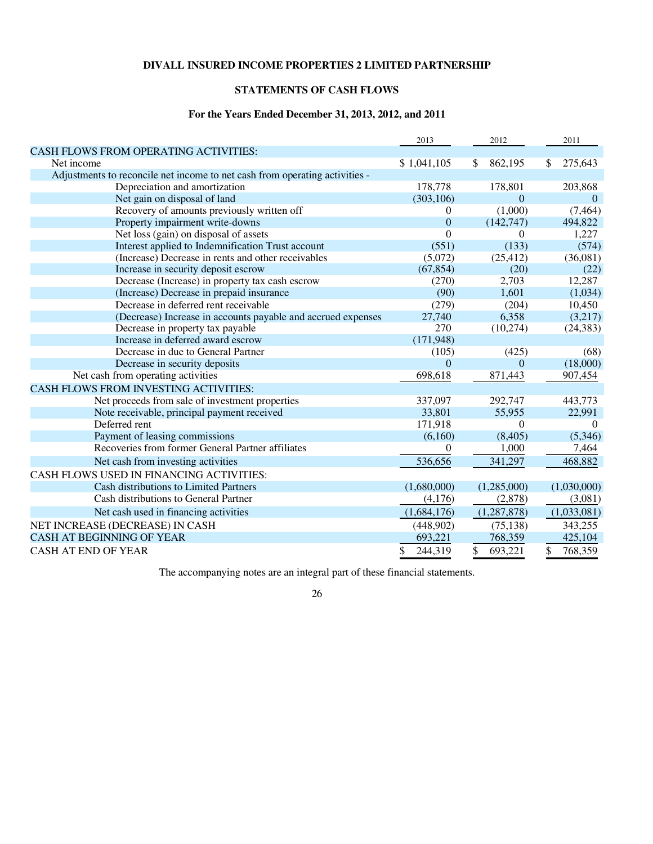## **STATEMENTS OF CASH FLOWS**

## **For the Years Ended December 31, 2013, 2012, and 2011**

|                                                                             | 2013             | 2012                     | 2011          |
|-----------------------------------------------------------------------------|------------------|--------------------------|---------------|
| CASH FLOWS FROM OPERATING ACTIVITIES:                                       |                  |                          |               |
| Net income                                                                  | \$1,041,105      | 862,195<br><sup>\$</sup> | 275,643<br>S  |
| Adjustments to reconcile net income to net cash from operating activities - |                  |                          |               |
| Depreciation and amortization                                               | 178,778          | 178,801                  | 203,868       |
| Net gain on disposal of land                                                | (303, 106)       | $\Omega$                 | $\Omega$      |
| Recovery of amounts previously written off                                  | $\boldsymbol{0}$ | (1,000)                  | (7, 464)      |
| Property impairment write-downs                                             | $\overline{0}$   | (142, 747)               | 494,822       |
| Net loss (gain) on disposal of assets                                       | $\Omega$         | $\Omega$                 | 1,227         |
| Interest applied to Indemnification Trust account                           | (551)            | (133)                    | (574)         |
| (Increase) Decrease in rents and other receivables                          | (5,072)          | (25, 412)                | (36,081)      |
| Increase in security deposit escrow                                         | (67, 854)        | (20)                     | (22)          |
| Decrease (Increase) in property tax cash escrow                             | (270)            | 2,703                    | 12,287        |
| (Increase) Decrease in prepaid insurance                                    | (90)             | 1,601                    | (1,034)       |
| Decrease in deferred rent receivable                                        | (279)            | (204)                    | 10,450        |
| (Decrease) Increase in accounts payable and accrued expenses                | 27,740           | 6,358                    | (3,217)       |
| Decrease in property tax payable                                            | 270              | (10,274)                 | (24, 383)     |
| Increase in deferred award escrow                                           | (171, 948)       |                          |               |
| Decrease in due to General Partner                                          | (105)            | (425)                    | (68)          |
| Decrease in security deposits                                               | $\Omega$         | 0                        | (18,000)      |
| Net cash from operating activities                                          | 698,618          | 871,443                  | 907,454       |
| CASH FLOWS FROM INVESTING ACTIVITIES:                                       |                  |                          |               |
| Net proceeds from sale of investment properties                             | 337,097          | 292,747                  | 443,773       |
| Note receivable, principal payment received                                 | 33,801           | 55,955                   | 22,991        |
| Deferred rent                                                               | 171,918          | $\Omega$                 | $\Omega$      |
| Payment of leasing commissions                                              | (6,160)          | (8,405)                  | (5,346)       |
| Recoveries from former General Partner affiliates                           | 0                | 1,000                    | 7,464         |
| Net cash from investing activities                                          | 536,656          | 341,297                  | 468,882       |
| CASH FLOWS USED IN FINANCING ACTIVITIES:                                    |                  |                          |               |
| Cash distributions to Limited Partners                                      | (1,680,000)      | (1,285,000)              | (1,030,000)   |
| Cash distributions to General Partner                                       | (4,176)          | (2,878)                  | (3,081)       |
| Net cash used in financing activities                                       | (1,684,176)      | (1,287,878)              | (1,033,081)   |
| NET INCREASE (DECREASE) IN CASH                                             | (448,902)        | (75, 138)                | 343,255       |
| <b>CASH AT BEGINNING OF YEAR</b>                                            | 693,221          | 768,359                  | 425,104       |
| <b>CASH AT END OF YEAR</b>                                                  | \$<br>244,319    | \$<br>693,221            | \$<br>768,359 |
|                                                                             |                  |                          |               |

The accompanying notes are an integral part of these financial statements.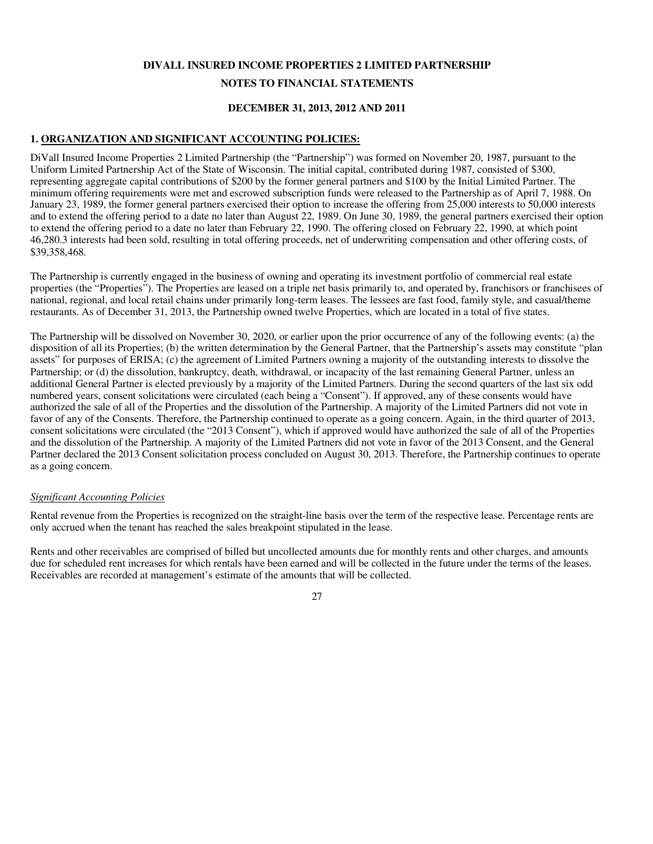#### **NOTES TO FINANCIAL STATEMENTS**

#### **DECEMBER 31, 2013, 2012 AND 2011**

#### **1. ORGANIZATION AND SIGNIFICANT ACCOUNTING POLICIES:**

DiVall Insured Income Properties 2 Limited Partnership (the "Partnership") was formed on November 20, 1987, pursuant to the Uniform Limited Partnership Act of the State of Wisconsin. The initial capital, contributed during 1987, consisted of \$300, representing aggregate capital contributions of \$200 by the former general partners and \$100 by the Initial Limited Partner. The minimum offering requirements were met and escrowed subscription funds were released to the Partnership as of April 7, 1988. On January 23, 1989, the former general partners exercised their option to increase the offering from 25,000 interests to 50,000 interests and to extend the offering period to a date no later than August 22, 1989. On June 30, 1989, the general partners exercised their option to extend the offering period to a date no later than February 22, 1990. The offering closed on February 22, 1990, at which point 46,280.3 interests had been sold, resulting in total offering proceeds, net of underwriting compensation and other offering costs, of \$39,358,468.

The Partnership is currently engaged in the business of owning and operating its investment portfolio of commercial real estate properties (the "Properties"). The Properties are leased on a triple net basis primarily to, and operated by, franchisors or franchisees of national, regional, and local retail chains under primarily long-term leases. The lessees are fast food, family style, and casual/theme restaurants. As of December 31, 2013, the Partnership owned twelve Properties, which are located in a total of five states.

The Partnership will be dissolved on November 30, 2020, or earlier upon the prior occurrence of any of the following events: (a) the disposition of all its Properties; (b) the written determination by the General Partner, that the Partnership's assets may constitute "plan assets" for purposes of ERISA; (c) the agreement of Limited Partners owning a majority of the outstanding interests to dissolve the Partnership; or (d) the dissolution, bankruptcy, death, withdrawal, or incapacity of the last remaining General Partner, unless an additional General Partner is elected previously by a majority of the Limited Partners. During the second quarters of the last six odd numbered years, consent solicitations were circulated (each being a "Consent"). If approved, any of these consents would have authorized the sale of all of the Properties and the dissolution of the Partnership. A majority of the Limited Partners did not vote in favor of any of the Consents. Therefore, the Partnership continued to operate as a going concern. Again, in the third quarter of 2013, consent solicitations were circulated (the "2013 Consent"), which if approved would have authorized the sale of all of the Properties and the dissolution of the Partnership. A majority of the Limited Partners did not vote in favor of the 2013 Consent, and the General Partner declared the 2013 Consent solicitation process concluded on August 30, 2013. Therefore, the Partnership continues to operate as a going concern.

#### *Significant Accounting Policies*

Rental revenue from the Properties is recognized on the straight-line basis over the term of the respective lease. Percentage rents are only accrued when the tenant has reached the sales breakpoint stipulated in the lease.

Rents and other receivables are comprised of billed but uncollected amounts due for monthly rents and other charges, and amounts due for scheduled rent increases for which rentals have been earned and will be collected in the future under the terms of the leases. Receivables are recorded at management's estimate of the amounts that will be collected.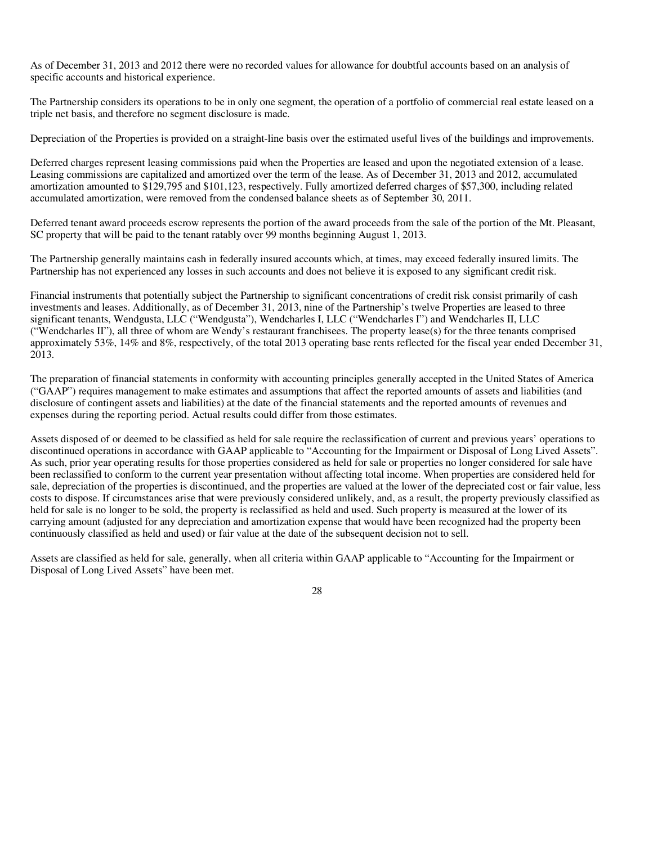As of December 31, 2013 and 2012 there were no recorded values for allowance for doubtful accounts based on an analysis of specific accounts and historical experience.

The Partnership considers its operations to be in only one segment, the operation of a portfolio of commercial real estate leased on a triple net basis, and therefore no segment disclosure is made.

Depreciation of the Properties is provided on a straight-line basis over the estimated useful lives of the buildings and improvements.

Deferred charges represent leasing commissions paid when the Properties are leased and upon the negotiated extension of a lease. Leasing commissions are capitalized and amortized over the term of the lease. As of December 31, 2013 and 2012, accumulated amortization amounted to \$129,795 and \$101,123, respectively. Fully amortized deferred charges of \$57,300, including related accumulated amortization, were removed from the condensed balance sheets as of September 30, 2011.

Deferred tenant award proceeds escrow represents the portion of the award proceeds from the sale of the portion of the Mt. Pleasant, SC property that will be paid to the tenant ratably over 99 months beginning August 1, 2013.

The Partnership generally maintains cash in federally insured accounts which, at times, may exceed federally insured limits. The Partnership has not experienced any losses in such accounts and does not believe it is exposed to any significant credit risk.

Financial instruments that potentially subject the Partnership to significant concentrations of credit risk consist primarily of cash investments and leases. Additionally, as of December 31, 2013, nine of the Partnership's twelve Properties are leased to three significant tenants, Wendgusta, LLC ("Wendgusta"), Wendcharles I, LLC ("Wendcharles I") and Wendcharles II, LLC ("Wendcharles II"), all three of whom are Wendy's restaurant franchisees. The property lease(s) for the three tenants comprised approximately 53%, 14% and 8%, respectively, of the total 2013 operating base rents reflected for the fiscal year ended December 31, 2013.

The preparation of financial statements in conformity with accounting principles generally accepted in the United States of America ("GAAP") requires management to make estimates and assumptions that affect the reported amounts of assets and liabilities (and disclosure of contingent assets and liabilities) at the date of the financial statements and the reported amounts of revenues and expenses during the reporting period. Actual results could differ from those estimates.

Assets disposed of or deemed to be classified as held for sale require the reclassification of current and previous years' operations to discontinued operations in accordance with GAAP applicable to "Accounting for the Impairment or Disposal of Long Lived Assets". As such, prior year operating results for those properties considered as held for sale or properties no longer considered for sale have been reclassified to conform to the current year presentation without affecting total income. When properties are considered held for sale, depreciation of the properties is discontinued, and the properties are valued at the lower of the depreciated cost or fair value, less costs to dispose. If circumstances arise that were previously considered unlikely, and, as a result, the property previously classified as held for sale is no longer to be sold, the property is reclassified as held and used. Such property is measured at the lower of its carrying amount (adjusted for any depreciation and amortization expense that would have been recognized had the property been continuously classified as held and used) or fair value at the date of the subsequent decision not to sell.

Assets are classified as held for sale, generally, when all criteria within GAAP applicable to "Accounting for the Impairment or Disposal of Long Lived Assets" have been met.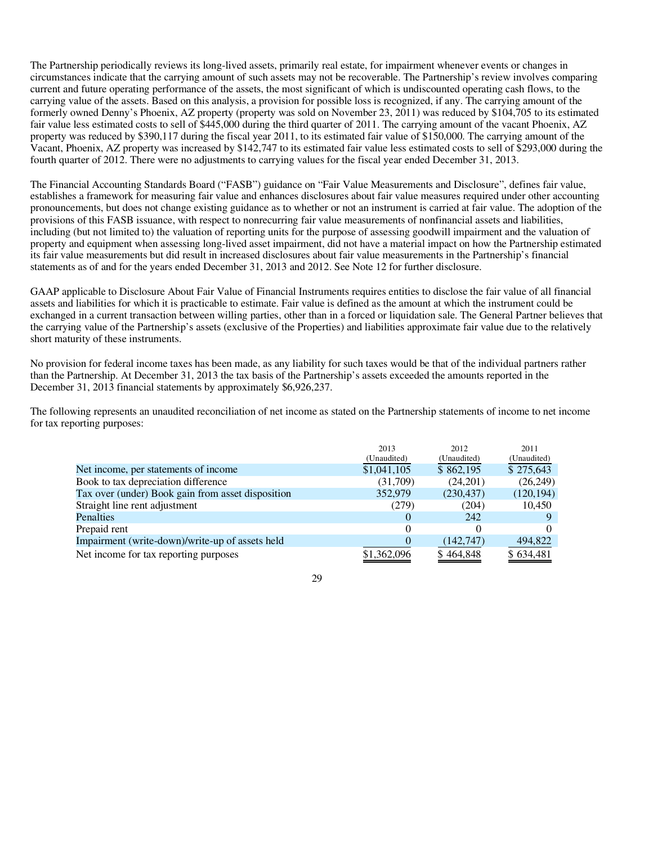The Partnership periodically reviews its long-lived assets, primarily real estate, for impairment whenever events or changes in circumstances indicate that the carrying amount of such assets may not be recoverable. The Partnership's review involves comparing current and future operating performance of the assets, the most significant of which is undiscounted operating cash flows, to the carrying value of the assets. Based on this analysis, a provision for possible loss is recognized, if any. The carrying amount of the formerly owned Denny's Phoenix, AZ property (property was sold on November 23, 2011) was reduced by \$104,705 to its estimated fair value less estimated costs to sell of \$445,000 during the third quarter of 2011. The carrying amount of the vacant Phoenix, AZ property was reduced by \$390,117 during the fiscal year 2011, to its estimated fair value of \$150,000. The carrying amount of the Vacant, Phoenix, AZ property was increased by \$142,747 to its estimated fair value less estimated costs to sell of \$293,000 during the fourth quarter of 2012. There were no adjustments to carrying values for the fiscal year ended December 31, 2013.

The Financial Accounting Standards Board ("FASB") guidance on "Fair Value Measurements and Disclosure", defines fair value, establishes a framework for measuring fair value and enhances disclosures about fair value measures required under other accounting pronouncements, but does not change existing guidance as to whether or not an instrument is carried at fair value. The adoption of the provisions of this FASB issuance, with respect to nonrecurring fair value measurements of nonfinancial assets and liabilities, including (but not limited to) the valuation of reporting units for the purpose of assessing goodwill impairment and the valuation of property and equipment when assessing long-lived asset impairment, did not have a material impact on how the Partnership estimated its fair value measurements but did result in increased disclosures about fair value measurements in the Partnership's financial statements as of and for the years ended December 31, 2013 and 2012. See Note 12 for further disclosure.

GAAP applicable to Disclosure About Fair Value of Financial Instruments requires entities to disclose the fair value of all financial assets and liabilities for which it is practicable to estimate. Fair value is defined as the amount at which the instrument could be exchanged in a current transaction between willing parties, other than in a forced or liquidation sale. The General Partner believes that the carrying value of the Partnership's assets (exclusive of the Properties) and liabilities approximate fair value due to the relatively short maturity of these instruments.

No provision for federal income taxes has been made, as any liability for such taxes would be that of the individual partners rather than the Partnership. At December 31, 2013 the tax basis of the Partnership's assets exceeded the amounts reported in the December 31, 2013 financial statements by approximately \$6,926,237.

The following represents an unaudited reconciliation of net income as stated on the Partnership statements of income to net income for tax reporting purposes:

|                                                   | 2013<br>(Unaudited) | 2012<br>(Unaudited) | 2011<br>(Unaudited) |
|---------------------------------------------------|---------------------|---------------------|---------------------|
| Net income, per statements of income.             | \$1,041,105         | \$862,195           | \$275,643           |
| Book to tax depreciation difference               | (31,709)            | (24,201)            | (26, 249)           |
| Tax over (under) Book gain from asset disposition | 352,979             | (230, 437)          | (120, 194)          |
| Straight line rent adjustment                     | (279)               | (204)               | 10,450              |
| Penalties                                         | $\mathbf{0}$        | 242                 |                     |
| Prepaid rent                                      | $^{(1)}$            |                     |                     |
| Impairment (write-down)/write-up of assets held   | $\Omega$            | (142,747)           | 494,822             |
| Net income for tax reporting purposes             | \$1,362,096         | \$464,848           | \$634,481           |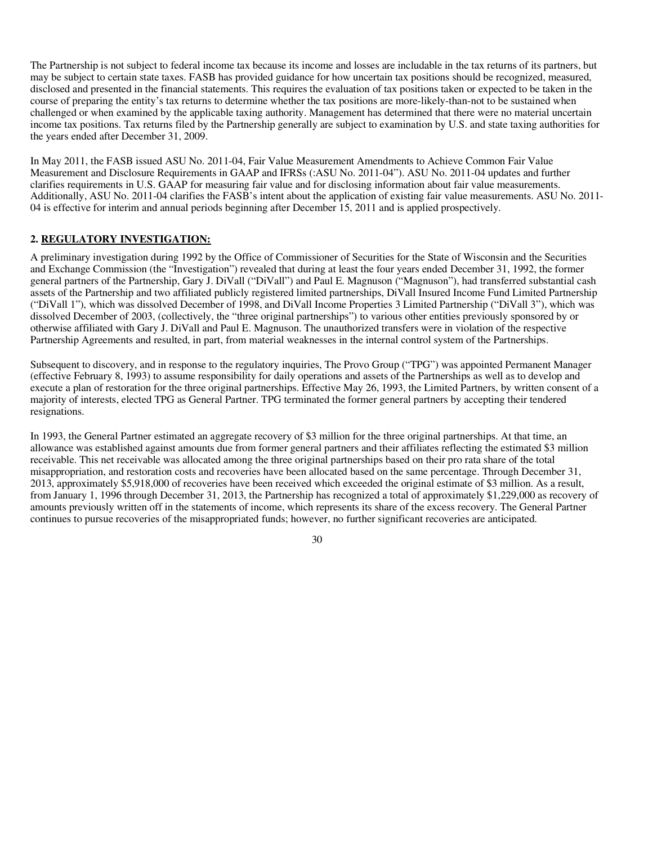The Partnership is not subject to federal income tax because its income and losses are includable in the tax returns of its partners, but may be subject to certain state taxes. FASB has provided guidance for how uncertain tax positions should be recognized, measured, disclosed and presented in the financial statements. This requires the evaluation of tax positions taken or expected to be taken in the course of preparing the entity's tax returns to determine whether the tax positions are more-likely-than-not to be sustained when challenged or when examined by the applicable taxing authority. Management has determined that there were no material uncertain income tax positions. Tax returns filed by the Partnership generally are subject to examination by U.S. and state taxing authorities for the years ended after December 31, 2009.

In May 2011, the FASB issued ASU No. 2011-04, Fair Value Measurement Amendments to Achieve Common Fair Value Measurement and Disclosure Requirements in GAAP and IFRSs (:ASU No. 2011-04"). ASU No. 2011-04 updates and further clarifies requirements in U.S. GAAP for measuring fair value and for disclosing information about fair value measurements. Additionally, ASU No. 2011-04 clarifies the FASB's intent about the application of existing fair value measurements. ASU No. 2011- 04 is effective for interim and annual periods beginning after December 15, 2011 and is applied prospectively.

#### **2. REGULATORY INVESTIGATION:**

A preliminary investigation during 1992 by the Office of Commissioner of Securities for the State of Wisconsin and the Securities and Exchange Commission (the "Investigation") revealed that during at least the four years ended December 31, 1992, the former general partners of the Partnership, Gary J. DiVall ("DiVall") and Paul E. Magnuson ("Magnuson"), had transferred substantial cash assets of the Partnership and two affiliated publicly registered limited partnerships, DiVall Insured Income Fund Limited Partnership ("DiVall 1"), which was dissolved December of 1998, and DiVall Income Properties 3 Limited Partnership ("DiVall 3"), which was dissolved December of 2003, (collectively, the "three original partnerships") to various other entities previously sponsored by or otherwise affiliated with Gary J. DiVall and Paul E. Magnuson. The unauthorized transfers were in violation of the respective Partnership Agreements and resulted, in part, from material weaknesses in the internal control system of the Partnerships.

Subsequent to discovery, and in response to the regulatory inquiries, The Provo Group ("TPG") was appointed Permanent Manager (effective February 8, 1993) to assume responsibility for daily operations and assets of the Partnerships as well as to develop and execute a plan of restoration for the three original partnerships. Effective May 26, 1993, the Limited Partners, by written consent of a majority of interests, elected TPG as General Partner. TPG terminated the former general partners by accepting their tendered resignations.

In 1993, the General Partner estimated an aggregate recovery of \$3 million for the three original partnerships. At that time, an allowance was established against amounts due from former general partners and their affiliates reflecting the estimated \$3 million receivable. This net receivable was allocated among the three original partnerships based on their pro rata share of the total misappropriation, and restoration costs and recoveries have been allocated based on the same percentage. Through December 31, 2013, approximately \$5,918,000 of recoveries have been received which exceeded the original estimate of \$3 million. As a result, from January 1, 1996 through December 31, 2013, the Partnership has recognized a total of approximately \$1,229,000 as recovery of amounts previously written off in the statements of income, which represents its share of the excess recovery. The General Partner continues to pursue recoveries of the misappropriated funds; however, no further significant recoveries are anticipated.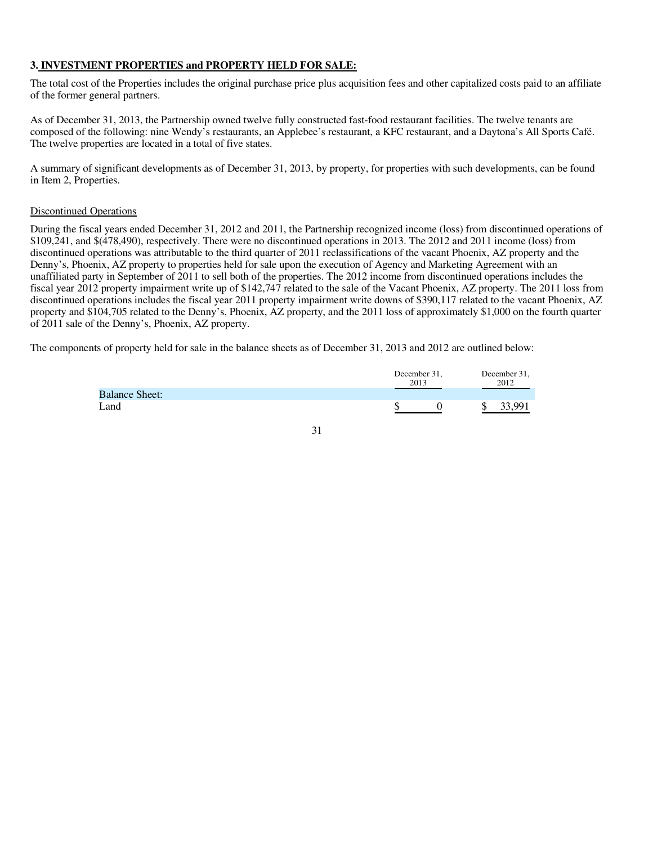## **3. INVESTMENT PROPERTIES and PROPERTY HELD FOR SALE:**

The total cost of the Properties includes the original purchase price plus acquisition fees and other capitalized costs paid to an affiliate of the former general partners.

As of December 31, 2013, the Partnership owned twelve fully constructed fast-food restaurant facilities. The twelve tenants are composed of the following: nine Wendy's restaurants, an Applebee's restaurant, a KFC restaurant, and a Daytona's All Sports Café. The twelve properties are located in a total of five states.

A summary of significant developments as of December 31, 2013, by property, for properties with such developments, can be found in Item 2, Properties.

#### Discontinued Operations

During the fiscal years ended December 31, 2012 and 2011, the Partnership recognized income (loss) from discontinued operations of \$109,241, and \$(478,490), respectively. There were no discontinued operations in 2013. The 2012 and 2011 income (loss) from discontinued operations was attributable to the third quarter of 2011 reclassifications of the vacant Phoenix, AZ property and the Denny's, Phoenix, AZ property to properties held for sale upon the execution of Agency and Marketing Agreement with an unaffiliated party in September of 2011 to sell both of the properties. The 2012 income from discontinued operations includes the fiscal year 2012 property impairment write up of \$142,747 related to the sale of the Vacant Phoenix, AZ property. The 2011 loss from discontinued operations includes the fiscal year 2011 property impairment write downs of \$390,117 related to the vacant Phoenix, AZ property and \$104,705 related to the Denny's, Phoenix, AZ property, and the 2011 loss of approximately \$1,000 on the fourth quarter of 2011 sale of the Denny's, Phoenix, AZ property.

The components of property held for sale in the balance sheets as of December 31, 2013 and 2012 are outlined below:

|                       | December 31,<br>2013 | December 31,<br>2012 |
|-----------------------|----------------------|----------------------|
| <b>Balance Sheet:</b> |                      |                      |
| Land                  |                      | 33,991               |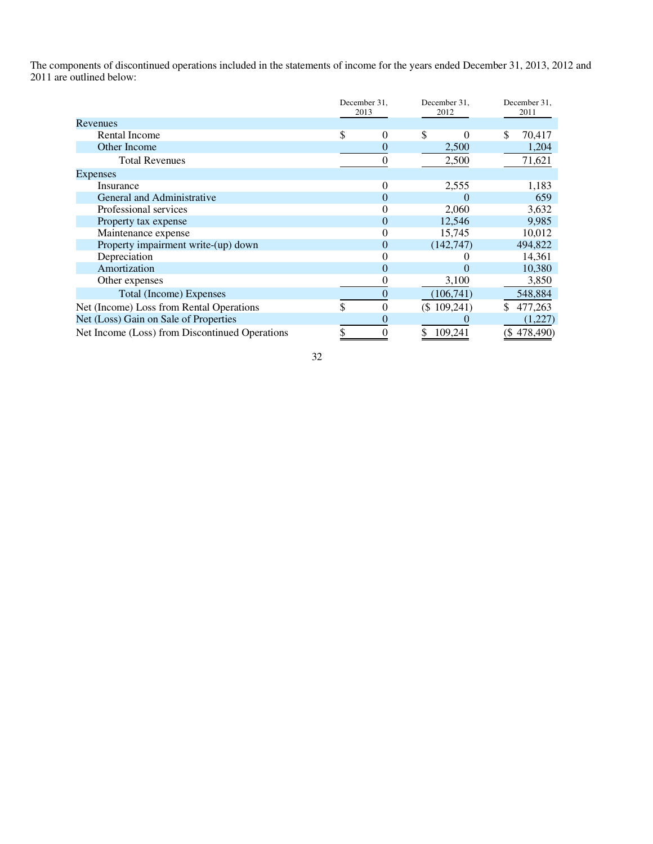The components of discontinued operations included in the statements of income for the years ended December 31, 2013, 2012 and 2011 are outlined below:

|                                                | December 31,<br>2013 | December 31,<br>2012 | December 31,<br>2011 |
|------------------------------------------------|----------------------|----------------------|----------------------|
| Revenues                                       |                      |                      |                      |
| Rental Income                                  | \$<br>0              | \$<br>$\theta$       | \$<br>70,417         |
| Other Income                                   | 0                    | 2,500                | 1,204                |
| <b>Total Revenues</b>                          | 0                    | 2,500                | 71,621               |
| Expenses                                       |                      |                      |                      |
| Insurance                                      | 0                    | 2,555                | 1,183                |
| General and Administrative                     | $\Omega$             | $\theta$             | 659                  |
| Professional services                          | 0                    | 2,060                | 3,632                |
| Property tax expense                           | $\overline{0}$       | 12,546               | 9,985                |
| Maintenance expense                            | 0                    | 15,745               | 10,012               |
| Property impairment write-(up) down            | 0                    | (142, 747)           | 494,822              |
| Depreciation                                   | 0                    |                      | 14,361               |
| Amortization                                   | 0                    | 0                    | 10,380               |
| Other expenses                                 | 0                    | 3,100                | 3,850                |
| Total (Income) Expenses                        | 0                    | (106,741)            | 548,884              |
| Net (Income) Loss from Rental Operations       | \$<br>0              | (\$109,241)          | 477,263<br>\$        |
| Net (Loss) Gain on Sale of Properties          |                      | $\mathbf{\Omega}$    | (1,227)              |
| Net Income (Loss) from Discontinued Operations |                      | 109,241              | 478,490)<br>S        |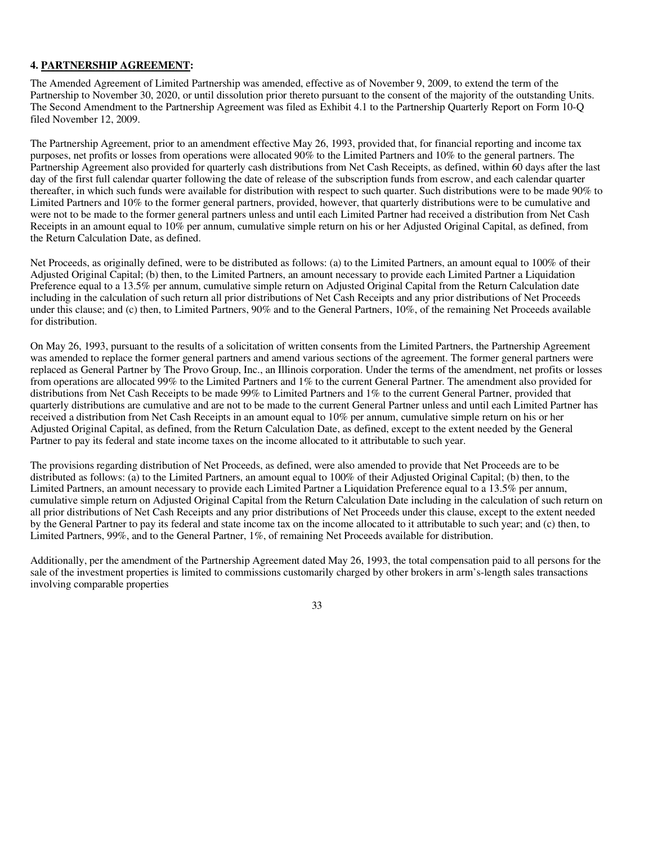#### **4. PARTNERSHIP AGREEMENT:**

The Amended Agreement of Limited Partnership was amended, effective as of November 9, 2009, to extend the term of the Partnership to November 30, 2020, or until dissolution prior thereto pursuant to the consent of the majority of the outstanding Units. The Second Amendment to the Partnership Agreement was filed as Exhibit 4.1 to the Partnership Quarterly Report on Form 10-Q filed November 12, 2009.

The Partnership Agreement, prior to an amendment effective May 26, 1993, provided that, for financial reporting and income tax purposes, net profits or losses from operations were allocated 90% to the Limited Partners and 10% to the general partners. The Partnership Agreement also provided for quarterly cash distributions from Net Cash Receipts, as defined, within 60 days after the last day of the first full calendar quarter following the date of release of the subscription funds from escrow, and each calendar quarter thereafter, in which such funds were available for distribution with respect to such quarter. Such distributions were to be made 90% to Limited Partners and 10% to the former general partners, provided, however, that quarterly distributions were to be cumulative and were not to be made to the former general partners unless and until each Limited Partner had received a distribution from Net Cash Receipts in an amount equal to 10% per annum, cumulative simple return on his or her Adjusted Original Capital, as defined, from the Return Calculation Date, as defined.

Net Proceeds, as originally defined, were to be distributed as follows: (a) to the Limited Partners, an amount equal to 100% of their Adjusted Original Capital; (b) then, to the Limited Partners, an amount necessary to provide each Limited Partner a Liquidation Preference equal to a 13.5% per annum, cumulative simple return on Adjusted Original Capital from the Return Calculation date including in the calculation of such return all prior distributions of Net Cash Receipts and any prior distributions of Net Proceeds under this clause; and (c) then, to Limited Partners, 90% and to the General Partners, 10%, of the remaining Net Proceeds available for distribution.

On May 26, 1993, pursuant to the results of a solicitation of written consents from the Limited Partners, the Partnership Agreement was amended to replace the former general partners and amend various sections of the agreement. The former general partners were replaced as General Partner by The Provo Group, Inc., an Illinois corporation. Under the terms of the amendment, net profits or losses from operations are allocated 99% to the Limited Partners and 1% to the current General Partner. The amendment also provided for distributions from Net Cash Receipts to be made 99% to Limited Partners and 1% to the current General Partner, provided that quarterly distributions are cumulative and are not to be made to the current General Partner unless and until each Limited Partner has received a distribution from Net Cash Receipts in an amount equal to 10% per annum, cumulative simple return on his or her Adjusted Original Capital, as defined, from the Return Calculation Date, as defined, except to the extent needed by the General Partner to pay its federal and state income taxes on the income allocated to it attributable to such year.

The provisions regarding distribution of Net Proceeds, as defined, were also amended to provide that Net Proceeds are to be distributed as follows: (a) to the Limited Partners, an amount equal to 100% of their Adjusted Original Capital; (b) then, to the Limited Partners, an amount necessary to provide each Limited Partner a Liquidation Preference equal to a 13.5% per annum, cumulative simple return on Adjusted Original Capital from the Return Calculation Date including in the calculation of such return on all prior distributions of Net Cash Receipts and any prior distributions of Net Proceeds under this clause, except to the extent needed by the General Partner to pay its federal and state income tax on the income allocated to it attributable to such year; and (c) then, to Limited Partners, 99%, and to the General Partner, 1%, of remaining Net Proceeds available for distribution.

Additionally, per the amendment of the Partnership Agreement dated May 26, 1993, the total compensation paid to all persons for the sale of the investment properties is limited to commissions customarily charged by other brokers in arm's-length sales transactions involving comparable properties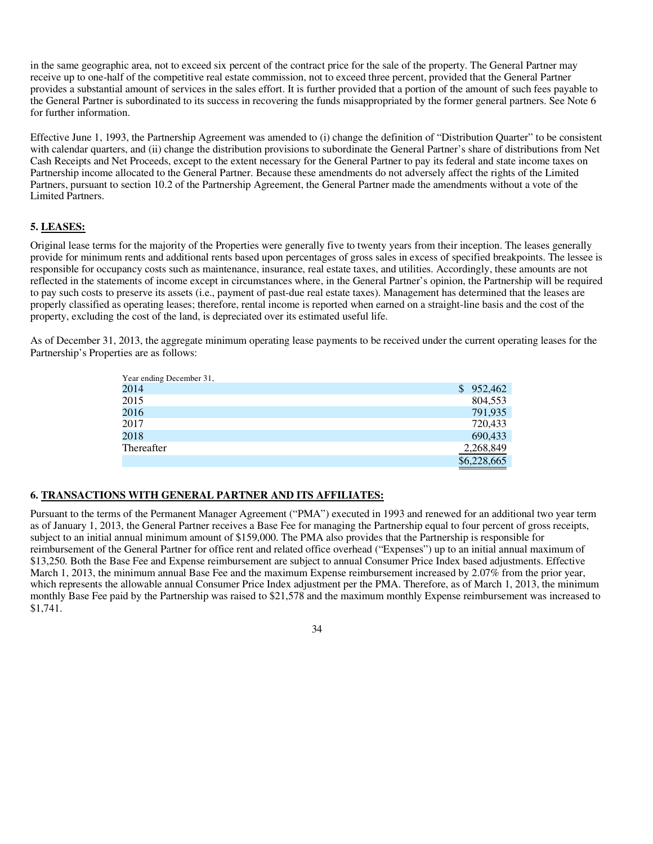in the same geographic area, not to exceed six percent of the contract price for the sale of the property. The General Partner may receive up to one-half of the competitive real estate commission, not to exceed three percent, provided that the General Partner provides a substantial amount of services in the sales effort. It is further provided that a portion of the amount of such fees payable to the General Partner is subordinated to its success in recovering the funds misappropriated by the former general partners. See Note 6 for further information.

Effective June 1, 1993, the Partnership Agreement was amended to (i) change the definition of "Distribution Quarter" to be consistent with calendar quarters, and (ii) change the distribution provisions to subordinate the General Partner's share of distributions from Net Cash Receipts and Net Proceeds, except to the extent necessary for the General Partner to pay its federal and state income taxes on Partnership income allocated to the General Partner. Because these amendments do not adversely affect the rights of the Limited Partners, pursuant to section 10.2 of the Partnership Agreement, the General Partner made the amendments without a vote of the Limited Partners.

#### **5. LEASES:**

Original lease terms for the majority of the Properties were generally five to twenty years from their inception. The leases generally provide for minimum rents and additional rents based upon percentages of gross sales in excess of specified breakpoints. The lessee is responsible for occupancy costs such as maintenance, insurance, real estate taxes, and utilities. Accordingly, these amounts are not reflected in the statements of income except in circumstances where, in the General Partner's opinion, the Partnership will be required to pay such costs to preserve its assets (i.e., payment of past-due real estate taxes). Management has determined that the leases are properly classified as operating leases; therefore, rental income is reported when earned on a straight-line basis and the cost of the property, excluding the cost of the land, is depreciated over its estimated useful life.

As of December 31, 2013, the aggregate minimum operating lease payments to be received under the current operating leases for the Partnership's Properties are as follows:

| Year ending December 31, |                           |
|--------------------------|---------------------------|
| 2014                     | 952,462<br>$\mathbb{S}^-$ |
| 2015                     | 804,553                   |
| 2016                     | 791,935                   |
| 2017                     | 720,433                   |
| 2018                     | 690,433                   |
| Thereafter               | 2,268,849                 |
|                          | \$6,228,665               |

#### **6. TRANSACTIONS WITH GENERAL PARTNER AND ITS AFFILIATES:**

Pursuant to the terms of the Permanent Manager Agreement ("PMA") executed in 1993 and renewed for an additional two year term as of January 1, 2013, the General Partner receives a Base Fee for managing the Partnership equal to four percent of gross receipts, subject to an initial annual minimum amount of \$159,000. The PMA also provides that the Partnership is responsible for reimbursement of the General Partner for office rent and related office overhead ("Expenses") up to an initial annual maximum of \$13,250. Both the Base Fee and Expense reimbursement are subject to annual Consumer Price Index based adjustments. Effective March 1, 2013, the minimum annual Base Fee and the maximum Expense reimbursement increased by 2.07% from the prior year, which represents the allowable annual Consumer Price Index adjustment per the PMA. Therefore, as of March 1, 2013, the minimum monthly Base Fee paid by the Partnership was raised to \$21,578 and the maximum monthly Expense reimbursement was increased to \$1,741.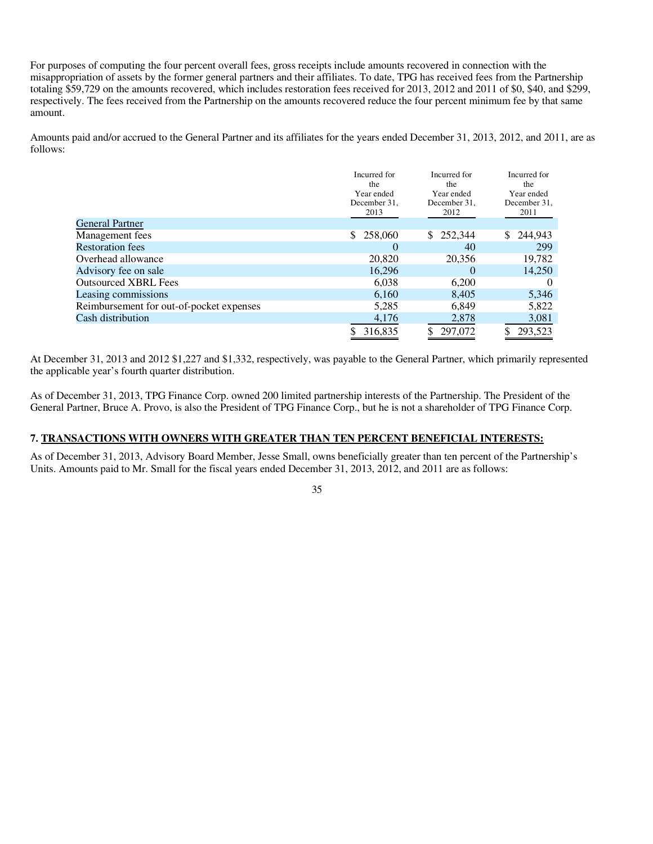For purposes of computing the four percent overall fees, gross receipts include amounts recovered in connection with the misappropriation of assets by the former general partners and their affiliates. To date, TPG has received fees from the Partnership totaling \$59,729 on the amounts recovered, which includes restoration fees received for 2013, 2012 and 2011 of \$0, \$40, and \$299, respectively. The fees received from the Partnership on the amounts recovered reduce the four percent minimum fee by that same amount.

Amounts paid and/or accrued to the General Partner and its affiliates for the years ended December 31, 2013, 2012, and 2011, are as follows:

|                                          | Incurred for<br>the<br>Year ended<br>December 31,<br>2013 | Incurred for<br>the<br>Year ended<br>December 31,<br>2012 | Incurred for<br>the<br>Year ended<br>December 31,<br>2011 |
|------------------------------------------|-----------------------------------------------------------|-----------------------------------------------------------|-----------------------------------------------------------|
| General Partner                          |                                                           |                                                           |                                                           |
| Management fees                          | 258,060<br>\$                                             | 252,344<br>\$                                             | 244,943<br>\$.                                            |
| <b>Restoration fees</b>                  | $\theta$                                                  | 40                                                        | 299                                                       |
| Overhead allowance                       | 20,820                                                    | 20.356                                                    | 19,782                                                    |
| Advisory fee on sale                     | 16,296                                                    | $\theta$                                                  | 14,250                                                    |
| <b>Outsourced XBRL Fees</b>              | 6.038                                                     | 6,200                                                     | $\theta$                                                  |
| Leasing commissions                      | 6,160                                                     | 8,405                                                     | 5,346                                                     |
| Reimbursement for out-of-pocket expenses | 5,285                                                     | 6,849                                                     | 5,822                                                     |
| Cash distribution                        | 4,176                                                     | 2,878                                                     | 3,081                                                     |
|                                          | 316,835                                                   | 297,072                                                   | 293,523                                                   |

At December 31, 2013 and 2012 \$1,227 and \$1,332, respectively, was payable to the General Partner, which primarily represented the applicable year's fourth quarter distribution.

As of December 31, 2013, TPG Finance Corp. owned 200 limited partnership interests of the Partnership. The President of the General Partner, Bruce A. Provo, is also the President of TPG Finance Corp., but he is not a shareholder of TPG Finance Corp.

#### **7. TRANSACTIONS WITH OWNERS WITH GREATER THAN TEN PERCENT BENEFICIAL INTERESTS:**

As of December 31, 2013, Advisory Board Member, Jesse Small, owns beneficially greater than ten percent of the Partnership's Units. Amounts paid to Mr. Small for the fiscal years ended December 31, 2013, 2012, and 2011 are as follows: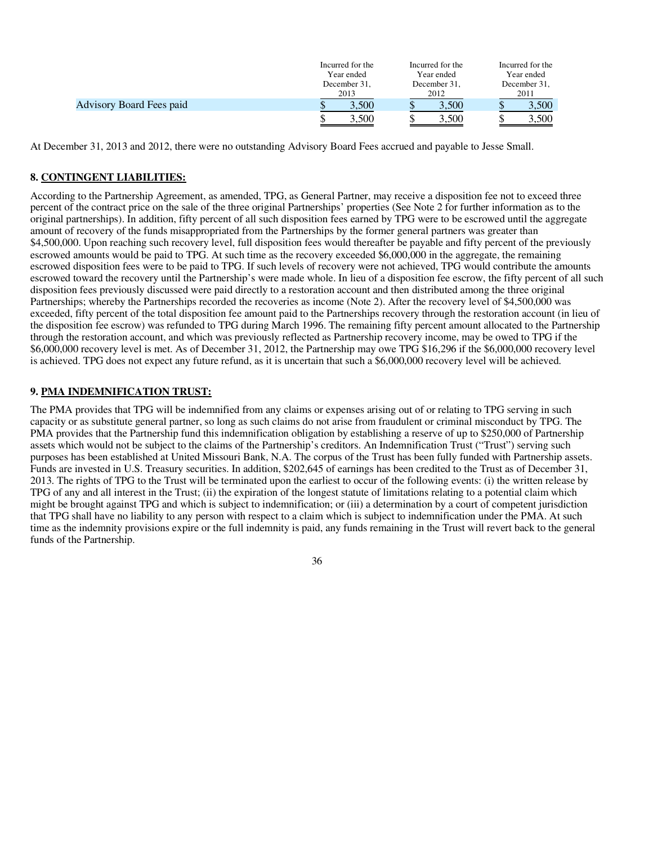|                                 | Incurred for the | Incurred for the | Incurred for the |  |  |
|---------------------------------|------------------|------------------|------------------|--|--|
|                                 | Year ended       | Year ended       | Year ended       |  |  |
|                                 | December 31,     | December 31,     | December 31,     |  |  |
|                                 | 2013             | 2012             | 2011             |  |  |
| <b>Advisory Board Fees paid</b> | 3.500            | 3.500            | 3.500<br>ιD      |  |  |
|                                 | 3.500            | 3.500            | 3.500            |  |  |

At December 31, 2013 and 2012, there were no outstanding Advisory Board Fees accrued and payable to Jesse Small.

# **8. CONTINGENT LIABILITIES:**

According to the Partnership Agreement, as amended, TPG, as General Partner, may receive a disposition fee not to exceed three percent of the contract price on the sale of the three original Partnerships' properties (See Note 2 for further information as to the original partnerships). In addition, fifty percent of all such disposition fees earned by TPG were to be escrowed until the aggregate amount of recovery of the funds misappropriated from the Partnerships by the former general partners was greater than \$4,500,000. Upon reaching such recovery level, full disposition fees would thereafter be payable and fifty percent of the previously escrowed amounts would be paid to TPG. At such time as the recovery exceeded \$6,000,000 in the aggregate, the remaining escrowed disposition fees were to be paid to TPG. If such levels of recovery were not achieved, TPG would contribute the amounts escrowed toward the recovery until the Partnership's were made whole. In lieu of a disposition fee escrow, the fifty percent of all such disposition fees previously discussed were paid directly to a restoration account and then distributed among the three original Partnerships; whereby the Partnerships recorded the recoveries as income (Note 2). After the recovery level of \$4,500,000 was exceeded, fifty percent of the total disposition fee amount paid to the Partnerships recovery through the restoration account (in lieu of the disposition fee escrow) was refunded to TPG during March 1996. The remaining fifty percent amount allocated to the Partnership through the restoration account, and which was previously reflected as Partnership recovery income, may be owed to TPG if the \$6,000,000 recovery level is met. As of December 31, 2012, the Partnership may owe TPG \$16,296 if the \$6,000,000 recovery level is achieved. TPG does not expect any future refund, as it is uncertain that such a \$6,000,000 recovery level will be achieved.

# **9. PMA INDEMNIFICATION TRUST:**

The PMA provides that TPG will be indemnified from any claims or expenses arising out of or relating to TPG serving in such capacity or as substitute general partner, so long as such claims do not arise from fraudulent or criminal misconduct by TPG. The PMA provides that the Partnership fund this indemnification obligation by establishing a reserve of up to \$250,000 of Partnership assets which would not be subject to the claims of the Partnership's creditors. An Indemnification Trust ("Trust") serving such purposes has been established at United Missouri Bank, N.A. The corpus of the Trust has been fully funded with Partnership assets. Funds are invested in U.S. Treasury securities. In addition, \$202,645 of earnings has been credited to the Trust as of December 31, 2013. The rights of TPG to the Trust will be terminated upon the earliest to occur of the following events: (i) the written release by TPG of any and all interest in the Trust; (ii) the expiration of the longest statute of limitations relating to a potential claim which might be brought against TPG and which is subject to indemnification; or (iii) a determination by a court of competent jurisdiction that TPG shall have no liability to any person with respect to a claim which is subject to indemnification under the PMA. At such time as the indemnity provisions expire or the full indemnity is paid, any funds remaining in the Trust will revert back to the general funds of the Partnership.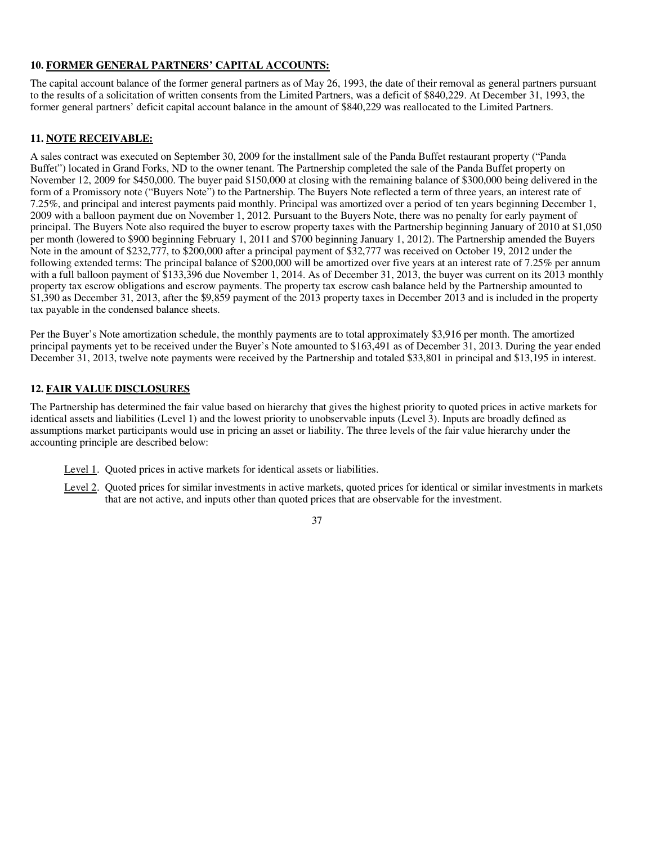# **10. FORMER GENERAL PARTNERS' CAPITAL ACCOUNTS:**

The capital account balance of the former general partners as of May 26, 1993, the date of their removal as general partners pursuant to the results of a solicitation of written consents from the Limited Partners, was a deficit of \$840,229. At December 31, 1993, the former general partners' deficit capital account balance in the amount of \$840,229 was reallocated to the Limited Partners.

# **11. NOTE RECEIVABLE:**

A sales contract was executed on September 30, 2009 for the installment sale of the Panda Buffet restaurant property ("Panda Buffet") located in Grand Forks, ND to the owner tenant. The Partnership completed the sale of the Panda Buffet property on November 12, 2009 for \$450,000. The buyer paid \$150,000 at closing with the remaining balance of \$300,000 being delivered in the form of a Promissory note ("Buyers Note") to the Partnership. The Buyers Note reflected a term of three years, an interest rate of 7.25%, and principal and interest payments paid monthly. Principal was amortized over a period of ten years beginning December 1, 2009 with a balloon payment due on November 1, 2012. Pursuant to the Buyers Note, there was no penalty for early payment of principal. The Buyers Note also required the buyer to escrow property taxes with the Partnership beginning January of 2010 at \$1,050 per month (lowered to \$900 beginning February 1, 2011 and \$700 beginning January 1, 2012). The Partnership amended the Buyers Note in the amount of \$232,777, to \$200,000 after a principal payment of \$32,777 was received on October 19, 2012 under the following extended terms: The principal balance of \$200,000 will be amortized over five years at an interest rate of 7.25% per annum with a full balloon payment of \$133,396 due November 1, 2014. As of December 31, 2013, the buyer was current on its 2013 monthly property tax escrow obligations and escrow payments. The property tax escrow cash balance held by the Partnership amounted to \$1,390 as December 31, 2013, after the \$9,859 payment of the 2013 property taxes in December 2013 and is included in the property tax payable in the condensed balance sheets.

Per the Buyer's Note amortization schedule, the monthly payments are to total approximately \$3,916 per month. The amortized principal payments yet to be received under the Buyer's Note amounted to \$163,491 as of December 31, 2013. During the year ended December 31, 2013, twelve note payments were received by the Partnership and totaled \$33,801 in principal and \$13,195 in interest.

# **12. FAIR VALUE DISCLOSURES**

The Partnership has determined the fair value based on hierarchy that gives the highest priority to quoted prices in active markets for identical assets and liabilities (Level 1) and the lowest priority to unobservable inputs (Level 3). Inputs are broadly defined as assumptions market participants would use in pricing an asset or liability. The three levels of the fair value hierarchy under the accounting principle are described below:

- Level 1. Quoted prices in active markets for identical assets or liabilities.
- Level 2. Quoted prices for similar investments in active markets, quoted prices for identical or similar investments in markets that are not active, and inputs other than quoted prices that are observable for the investment.
	- 37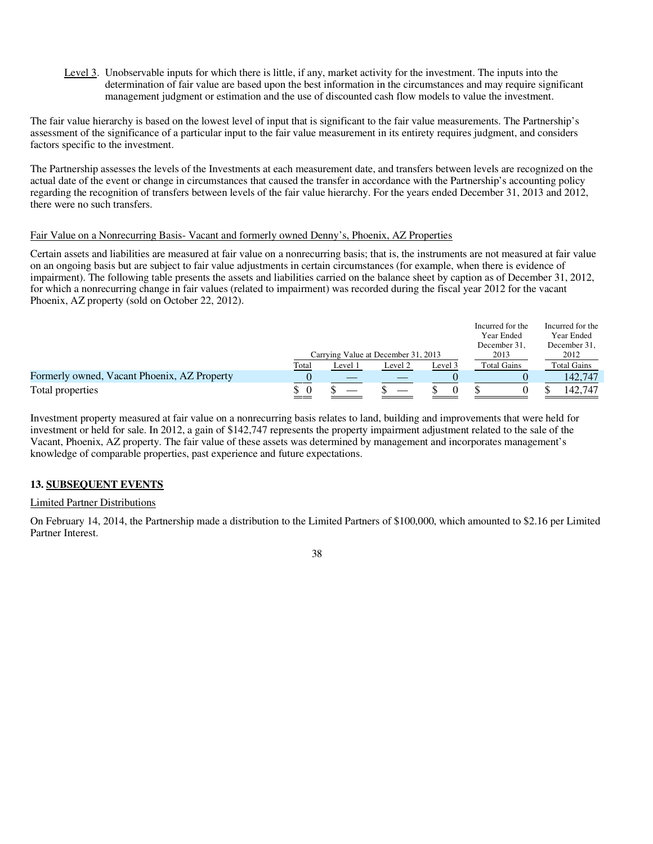Level 3. Unobservable inputs for which there is little, if any, market activity for the investment. The inputs into the determination of fair value are based upon the best information in the circumstances and may require significant management judgment or estimation and the use of discounted cash flow models to value the investment.

The fair value hierarchy is based on the lowest level of input that is significant to the fair value measurements. The Partnership's assessment of the significance of a particular input to the fair value measurement in its entirety requires judgment, and considers factors specific to the investment.

The Partnership assesses the levels of the Investments at each measurement date, and transfers between levels are recognized on the actual date of the event or change in circumstances that caused the transfer in accordance with the Partnership's accounting policy regarding the recognition of transfers between levels of the fair value hierarchy. For the years ended December 31, 2013 and 2012, there were no such transfers.

### Fair Value on a Nonrecurring Basis- Vacant and formerly owned Denny's, Phoenix, AZ Properties

Certain assets and liabilities are measured at fair value on a nonrecurring basis; that is, the instruments are not measured at fair value on an ongoing basis but are subject to fair value adjustments in certain circumstances (for example, when there is evidence of impairment). The following table presents the assets and liabilities carried on the balance sheet by caption as of December 31, 2012, for which a nonrecurring change in fair values (related to impairment) was recorded during the fiscal year 2012 for the vacant Phoenix, AZ property (sold on October 22, 2012).

|                                             |       |         |                                     |         | Incurred for the<br>Year Ended<br>December 31, | Incurred for the<br>Year Ended<br>December 31, |
|---------------------------------------------|-------|---------|-------------------------------------|---------|------------------------------------------------|------------------------------------------------|
|                                             |       |         | Carrying Value at December 31, 2013 |         | 2013                                           | 2012                                           |
|                                             | Total | Level 1 | Level 2                             | Level 3 | <b>Total Gains</b>                             | <b>Total Gains</b>                             |
| Formerly owned, Vacant Phoenix, AZ Property |       |         |                                     |         |                                                | 142,747                                        |
| Total properties                            | \$0   |         |                                     |         |                                                | 142.747                                        |

Investment property measured at fair value on a nonrecurring basis relates to land, building and improvements that were held for investment or held for sale. In 2012, a gain of \$142,747 represents the property impairment adjustment related to the sale of the Vacant, Phoenix, AZ property. The fair value of these assets was determined by management and incorporates management's knowledge of comparable properties, past experience and future expectations.

# **13. SUBSEQUENT EVENTS**

#### Limited Partner Distributions

On February 14, 2014, the Partnership made a distribution to the Limited Partners of \$100,000, which amounted to \$2.16 per Limited Partner Interest.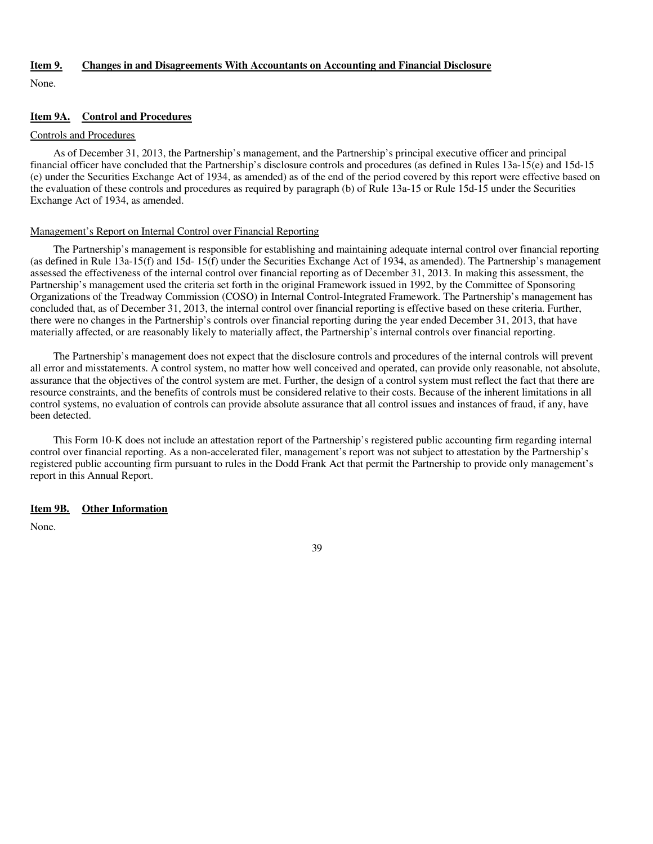# **Item 9. Changes in and Disagreements With Accountants on Accounting and Financial Disclosure**

None.

# **Item 9A. Control and Procedures**

#### Controls and Procedures

As of December 31, 2013, the Partnership's management, and the Partnership's principal executive officer and principal financial officer have concluded that the Partnership's disclosure controls and procedures (as defined in Rules 13a-15(e) and 15d-15 (e) under the Securities Exchange Act of 1934, as amended) as of the end of the period covered by this report were effective based on the evaluation of these controls and procedures as required by paragraph (b) of Rule 13a-15 or Rule 15d-15 under the Securities Exchange Act of 1934, as amended.

### Management's Report on Internal Control over Financial Reporting

The Partnership's management is responsible for establishing and maintaining adequate internal control over financial reporting (as defined in Rule 13a-15(f) and 15d- 15(f) under the Securities Exchange Act of 1934, as amended). The Partnership's management assessed the effectiveness of the internal control over financial reporting as of December 31, 2013. In making this assessment, the Partnership's management used the criteria set forth in the original Framework issued in 1992, by the Committee of Sponsoring Organizations of the Treadway Commission (COSO) in Internal Control-Integrated Framework. The Partnership's management has concluded that, as of December 31, 2013, the internal control over financial reporting is effective based on these criteria. Further, there were no changes in the Partnership's controls over financial reporting during the year ended December 31, 2013, that have materially affected, or are reasonably likely to materially affect, the Partnership's internal controls over financial reporting.

The Partnership's management does not expect that the disclosure controls and procedures of the internal controls will prevent all error and misstatements. A control system, no matter how well conceived and operated, can provide only reasonable, not absolute, assurance that the objectives of the control system are met. Further, the design of a control system must reflect the fact that there are resource constraints, and the benefits of controls must be considered relative to their costs. Because of the inherent limitations in all control systems, no evaluation of controls can provide absolute assurance that all control issues and instances of fraud, if any, have been detected.

This Form 10-K does not include an attestation report of the Partnership's registered public accounting firm regarding internal control over financial reporting. As a non-accelerated filer, management's report was not subject to attestation by the Partnership's registered public accounting firm pursuant to rules in the Dodd Frank Act that permit the Partnership to provide only management's report in this Annual Report.

#### **Item 9B. Other Information**

None.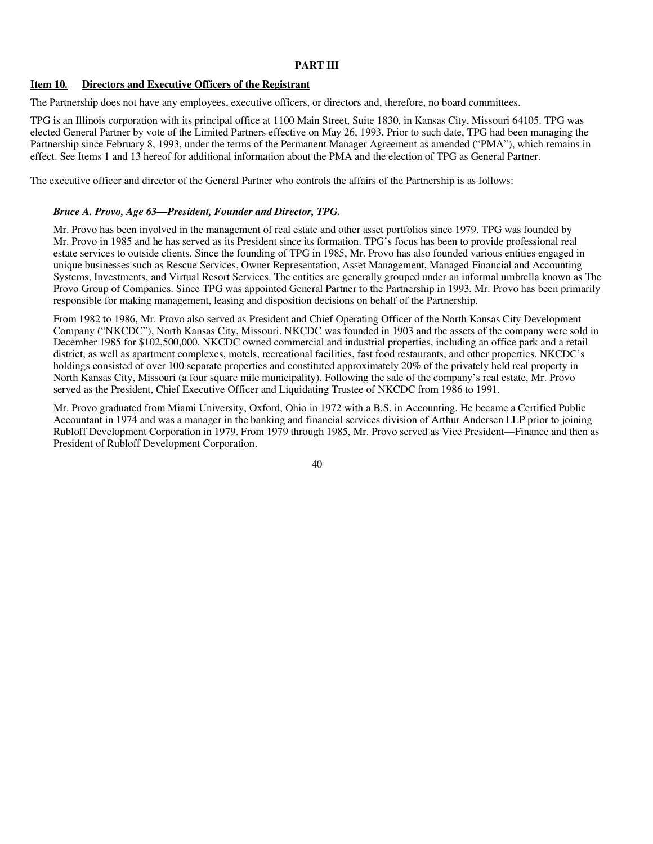### **PART III**

#### **Item 10. Directors and Executive Officers of the Registrant**

The Partnership does not have any employees, executive officers, or directors and, therefore, no board committees.

TPG is an Illinois corporation with its principal office at 1100 Main Street, Suite 1830, in Kansas City, Missouri 64105. TPG was elected General Partner by vote of the Limited Partners effective on May 26, 1993. Prior to such date, TPG had been managing the Partnership since February 8, 1993, under the terms of the Permanent Manager Agreement as amended ("PMA"), which remains in effect. See Items 1 and 13 hereof for additional information about the PMA and the election of TPG as General Partner.

The executive officer and director of the General Partner who controls the affairs of the Partnership is as follows:

#### *Bruce A. Provo, Age 63—President, Founder and Director, TPG.*

Mr. Provo has been involved in the management of real estate and other asset portfolios since 1979. TPG was founded by Mr. Provo in 1985 and he has served as its President since its formation. TPG's focus has been to provide professional real estate services to outside clients. Since the founding of TPG in 1985, Mr. Provo has also founded various entities engaged in unique businesses such as Rescue Services, Owner Representation, Asset Management, Managed Financial and Accounting Systems, Investments, and Virtual Resort Services. The entities are generally grouped under an informal umbrella known as The Provo Group of Companies. Since TPG was appointed General Partner to the Partnership in 1993, Mr. Provo has been primarily responsible for making management, leasing and disposition decisions on behalf of the Partnership.

From 1982 to 1986, Mr. Provo also served as President and Chief Operating Officer of the North Kansas City Development Company ("NKCDC"), North Kansas City, Missouri. NKCDC was founded in 1903 and the assets of the company were sold in December 1985 for \$102,500,000. NKCDC owned commercial and industrial properties, including an office park and a retail district, as well as apartment complexes, motels, recreational facilities, fast food restaurants, and other properties. NKCDC's holdings consisted of over 100 separate properties and constituted approximately 20% of the privately held real property in North Kansas City, Missouri (a four square mile municipality). Following the sale of the company's real estate, Mr. Provo served as the President, Chief Executive Officer and Liquidating Trustee of NKCDC from 1986 to 1991.

Mr. Provo graduated from Miami University, Oxford, Ohio in 1972 with a B.S. in Accounting. He became a Certified Public Accountant in 1974 and was a manager in the banking and financial services division of Arthur Andersen LLP prior to joining Rubloff Development Corporation in 1979. From 1979 through 1985, Mr. Provo served as Vice President—Finance and then as President of Rubloff Development Corporation.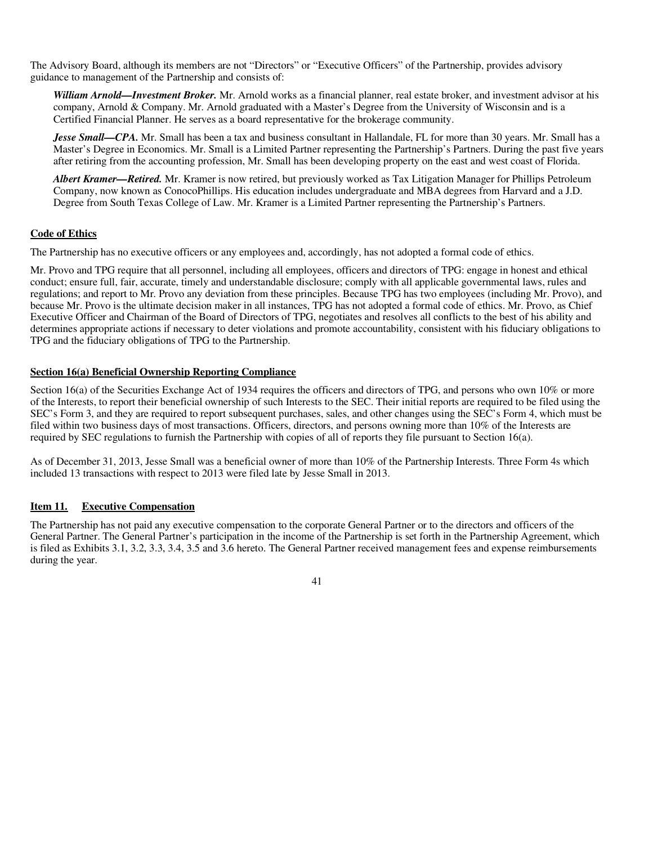The Advisory Board, although its members are not "Directors" or "Executive Officers" of the Partnership, provides advisory guidance to management of the Partnership and consists of:

*William Arnold—Investment Broker.* Mr. Arnold works as a financial planner, real estate broker, and investment advisor at his company, Arnold & Company. Mr. Arnold graduated with a Master's Degree from the University of Wisconsin and is a Certified Financial Planner. He serves as a board representative for the brokerage community.

*Jesse Small—CPA*. Mr. Small has been a tax and business consultant in Hallandale, FL for more than 30 years. Mr. Small has a Master's Degree in Economics. Mr. Small is a Limited Partner representing the Partnership's Partners. During the past five years after retiring from the accounting profession, Mr. Small has been developing property on the east and west coast of Florida.

*Albert Kramer—Retired.* Mr. Kramer is now retired, but previously worked as Tax Litigation Manager for Phillips Petroleum Company, now known as ConocoPhillips. His education includes undergraduate and MBA degrees from Harvard and a J.D. Degree from South Texas College of Law. Mr. Kramer is a Limited Partner representing the Partnership's Partners.

# **Code of Ethics**

The Partnership has no executive officers or any employees and, accordingly, has not adopted a formal code of ethics.

Mr. Provo and TPG require that all personnel, including all employees, officers and directors of TPG: engage in honest and ethical conduct; ensure full, fair, accurate, timely and understandable disclosure; comply with all applicable governmental laws, rules and regulations; and report to Mr. Provo any deviation from these principles. Because TPG has two employees (including Mr. Provo), and because Mr. Provo is the ultimate decision maker in all instances, TPG has not adopted a formal code of ethics. Mr. Provo, as Chief Executive Officer and Chairman of the Board of Directors of TPG, negotiates and resolves all conflicts to the best of his ability and determines appropriate actions if necessary to deter violations and promote accountability, consistent with his fiduciary obligations to TPG and the fiduciary obligations of TPG to the Partnership.

# **Section 16(a) Beneficial Ownership Reporting Compliance**

Section 16(a) of the Securities Exchange Act of 1934 requires the officers and directors of TPG, and persons who own 10% or more of the Interests, to report their beneficial ownership of such Interests to the SEC. Their initial reports are required to be filed using the SEC's Form 3, and they are required to report subsequent purchases, sales, and other changes using the SEC's Form 4, which must be filed within two business days of most transactions. Officers, directors, and persons owning more than 10% of the Interests are required by SEC regulations to furnish the Partnership with copies of all of reports they file pursuant to Section 16(a).

As of December 31, 2013, Jesse Small was a beneficial owner of more than 10% of the Partnership Interests. Three Form 4s which included 13 transactions with respect to 2013 were filed late by Jesse Small in 2013.

#### **Item 11. Executive Compensation**

The Partnership has not paid any executive compensation to the corporate General Partner or to the directors and officers of the General Partner. The General Partner's participation in the income of the Partnership is set forth in the Partnership Agreement, which is filed as Exhibits 3.1, 3.2, 3.3, 3.4, 3.5 and 3.6 hereto. The General Partner received management fees and expense reimbursements during the year.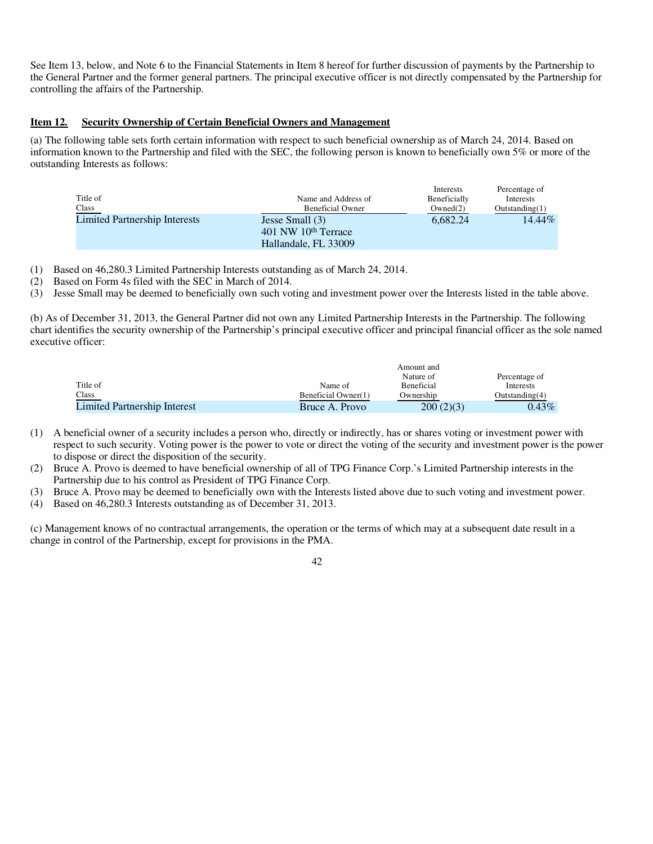See Item 13, below, and Note 6 to the Financial Statements in Item 8 hereof for further discussion of payments by the Partnership to the General Partner and the former general partners. The principal executive officer is not directly compensated by the Partnership for controlling the affairs of the Partnership.

# **Item 12. Security Ownership of Certain Beneficial Owners and Management**

(a) The following table sets forth certain information with respect to such beneficial ownership as of March 24, 2014. Based on information known to the Partnership and filed with the SEC, the following person is known to beneficially own 5% or more of the outstanding Interests as follows:

|                               |                                 | Interests    | Percentage of  |
|-------------------------------|---------------------------------|--------------|----------------|
| Title of                      | Name and Address of             | Beneficially | Interests      |
| <b>Class</b>                  | <b>Beneficial Owner</b>         | Owned(2)     | Outstanding(1) |
| Limited Partnership Interests | Jesse Small (3)                 | 6.682.24     | 14.44%         |
|                               | 401 NW 10 <sup>th</sup> Terrace |              |                |
|                               | Hallandale, FL 33009            |              |                |

(1) Based on 46,280.3 Limited Partnership Interests outstanding as of March 24, 2014.

(2) Based on Form 4s filed with the SEC in March of 2014.

(3) Jesse Small may be deemed to beneficially own such voting and investment power over the Interests listed in the table above.

(b) As of December 31, 2013, the General Partner did not own any Limited Partnership Interests in the Partnership. The following chart identifies the security ownership of the Partnership's principal executive officer and principal financial officer as the sole named executive officer:

|                              |                     | Amount and        |                   |
|------------------------------|---------------------|-------------------|-------------------|
|                              |                     | Nature of         | Percentage of     |
| Title of                     | Name of             | <b>Beneficial</b> | Interests         |
| Class                        | Beneficial Owner(1) | Ownership         | Outstanding $(4)$ |
| Limited Partnership Interest | Bruce A. Provo      | 200(2)(3)         | $0.43\%$          |

- (1) A beneficial owner of a security includes a person who, directly or indirectly, has or shares voting or investment power with respect to such security. Voting power is the power to vote or direct the voting of the security and investment power is the power to dispose or direct the disposition of the security.
- (2) Bruce A. Provo is deemed to have beneficial ownership of all of TPG Finance Corp.'s Limited Partnership interests in the Partnership due to his control as President of TPG Finance Corp.
- (3) Bruce A. Provo may be deemed to beneficially own with the Interests listed above due to such voting and investment power.

(4) Based on 46,280.3 Interests outstanding as of December 31, 2013.

(c) Management knows of no contractual arrangements, the operation or the terms of which may at a subsequent date result in a change in control of the Partnership, except for provisions in the PMA.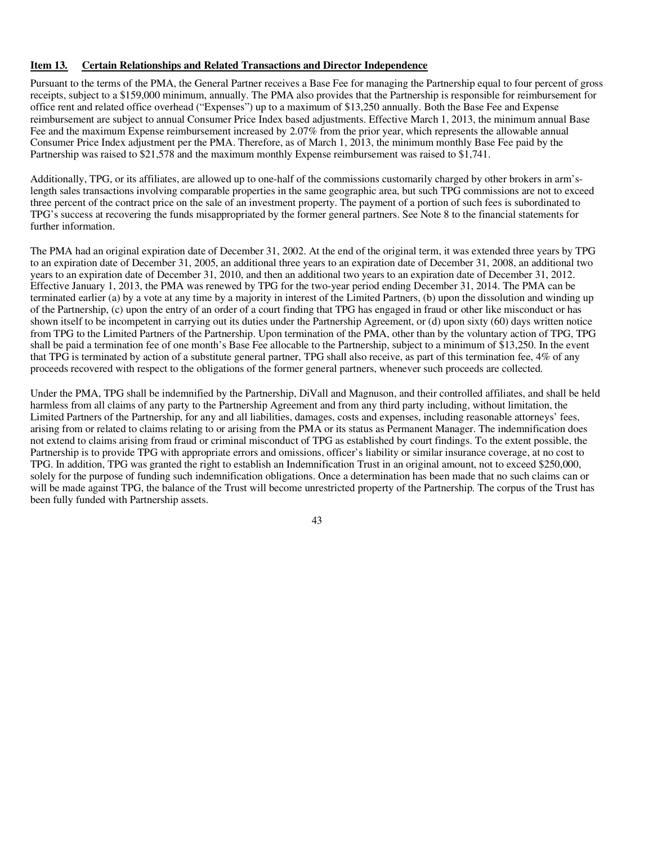# **Item 13. Certain Relationships and Related Transactions and Director Independence**

Pursuant to the terms of the PMA, the General Partner receives a Base Fee for managing the Partnership equal to four percent of gross receipts, subject to a \$159,000 minimum, annually. The PMA also provides that the Partnership is responsible for reimbursement for office rent and related office overhead ("Expenses") up to a maximum of \$13,250 annually. Both the Base Fee and Expense reimbursement are subject to annual Consumer Price Index based adjustments. Effective March 1, 2013, the minimum annual Base Fee and the maximum Expense reimbursement increased by 2.07% from the prior year, which represents the allowable annual Consumer Price Index adjustment per the PMA. Therefore, as of March 1, 2013, the minimum monthly Base Fee paid by the Partnership was raised to \$21,578 and the maximum monthly Expense reimbursement was raised to \$1,741.

Additionally, TPG, or its affiliates, are allowed up to one-half of the commissions customarily charged by other brokers in arm'slength sales transactions involving comparable properties in the same geographic area, but such TPG commissions are not to exceed three percent of the contract price on the sale of an investment property. The payment of a portion of such fees is subordinated to TPG's success at recovering the funds misappropriated by the former general partners. See Note 8 to the financial statements for further information.

The PMA had an original expiration date of December 31, 2002. At the end of the original term, it was extended three years by TPG to an expiration date of December 31, 2005, an additional three years to an expiration date of December 31, 2008, an additional two years to an expiration date of December 31, 2010, and then an additional two years to an expiration date of December 31, 2012. Effective January 1, 2013, the PMA was renewed by TPG for the two-year period ending December 31, 2014. The PMA can be terminated earlier (a) by a vote at any time by a majority in interest of the Limited Partners, (b) upon the dissolution and winding up of the Partnership, (c) upon the entry of an order of a court finding that TPG has engaged in fraud or other like misconduct or has shown itself to be incompetent in carrying out its duties under the Partnership Agreement, or (d) upon sixty (60) days written notice from TPG to the Limited Partners of the Partnership. Upon termination of the PMA, other than by the voluntary action of TPG, TPG shall be paid a termination fee of one month's Base Fee allocable to the Partnership, subject to a minimum of \$13,250. In the event that TPG is terminated by action of a substitute general partner, TPG shall also receive, as part of this termination fee, 4% of any proceeds recovered with respect to the obligations of the former general partners, whenever such proceeds are collected.

Under the PMA, TPG shall be indemnified by the Partnership, DiVall and Magnuson, and their controlled affiliates, and shall be held harmless from all claims of any party to the Partnership Agreement and from any third party including, without limitation, the Limited Partners of the Partnership, for any and all liabilities, damages, costs and expenses, including reasonable attorneys' fees, arising from or related to claims relating to or arising from the PMA or its status as Permanent Manager. The indemnification does not extend to claims arising from fraud or criminal misconduct of TPG as established by court findings. To the extent possible, the Partnership is to provide TPG with appropriate errors and omissions, officer's liability or similar insurance coverage, at no cost to TPG. In addition, TPG was granted the right to establish an Indemnification Trust in an original amount, not to exceed \$250,000, solely for the purpose of funding such indemnification obligations. Once a determination has been made that no such claims can or will be made against TPG, the balance of the Trust will become unrestricted property of the Partnership. The corpus of the Trust has been fully funded with Partnership assets.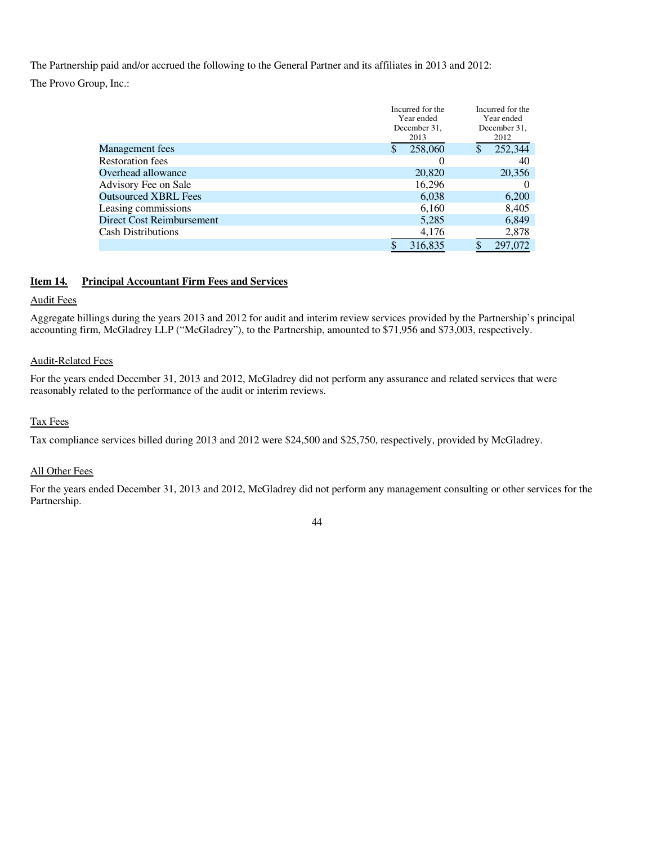The Partnership paid and/or accrued the following to the General Partner and its affiliates in 2013 and 2012:

The Provo Group, Inc.:

|                             | Incurred for the<br>Year ended<br>December 31.<br>2013 | Incurred for the<br>Year ended<br>December 31.<br>2012 |
|-----------------------------|--------------------------------------------------------|--------------------------------------------------------|
| Management fees             | 258,060<br>$\mathbb{S}$                                | 252,344                                                |
| <b>Restoration fees</b>     |                                                        | 40                                                     |
| Overhead allowance          | 20,820                                                 | 20,356                                                 |
| Advisory Fee on Sale        | 16,296                                                 |                                                        |
| <b>Outsourced XBRL Fees</b> | 6,038                                                  | 6,200                                                  |
| Leasing commissions         | 6,160                                                  | 8,405                                                  |
| Direct Cost Reimbursement   | 5,285                                                  | 6,849                                                  |
| Cash Distributions          | 4,176                                                  | 2,878                                                  |
|                             | 316,835<br>\$                                          | 297,072                                                |

# **Item 14. Principal Accountant Firm Fees and Services**

# Audit Fees

Aggregate billings during the years 2013 and 2012 for audit and interim review services provided by the Partnership's principal accounting firm, McGladrey LLP ("McGladrey"), to the Partnership, amounted to \$71,956 and \$73,003, respectively.

# Audit-Related Fees

For the years ended December 31, 2013 and 2012, McGladrey did not perform any assurance and related services that were reasonably related to the performance of the audit or interim reviews.

# Tax Fees

Tax compliance services billed during 2013 and 2012 were \$24,500 and \$25,750, respectively, provided by McGladrey.

# All Other Fees

For the years ended December 31, 2013 and 2012, McGladrey did not perform any management consulting or other services for the Partnership.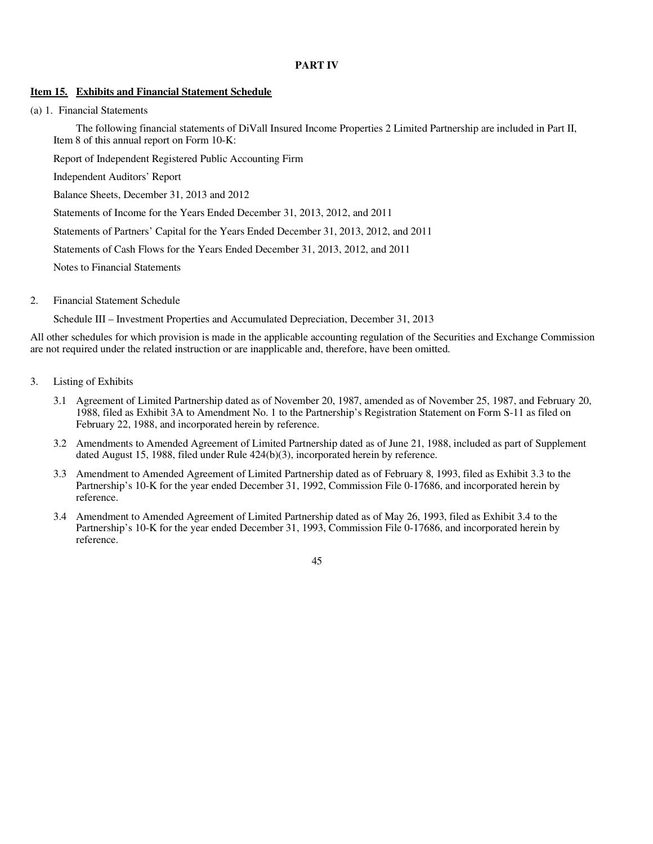# **PART IV**

### **Item 15. Exhibits and Financial Statement Schedule**

(a) 1. Financial Statements

The following financial statements of DiVall Insured Income Properties 2 Limited Partnership are included in Part II, Item 8 of this annual report on Form 10-K:

Report of Independent Registered Public Accounting Firm

Independent Auditors' Report

Balance Sheets, December 31, 2013 and 2012

Statements of Income for the Years Ended December 31, 2013, 2012, and 2011

Statements of Partners' Capital for the Years Ended December 31, 2013, 2012, and 2011

Statements of Cash Flows for the Years Ended December 31, 2013, 2012, and 2011

Notes to Financial Statements

2. Financial Statement Schedule

Schedule III – Investment Properties and Accumulated Depreciation, December 31, 2013

All other schedules for which provision is made in the applicable accounting regulation of the Securities and Exchange Commission are not required under the related instruction or are inapplicable and, therefore, have been omitted.

- 3. Listing of Exhibits
	- 3.1 Agreement of Limited Partnership dated as of November 20, 1987, amended as of November 25, 1987, and February 20, 1988, filed as Exhibit 3A to Amendment No. 1 to the Partnership's Registration Statement on Form S-11 as filed on February 22, 1988, and incorporated herein by reference.
	- 3.2 Amendments to Amended Agreement of Limited Partnership dated as of June 21, 1988, included as part of Supplement dated August 15, 1988, filed under Rule 424(b)(3), incorporated herein by reference.
	- 3.3 Amendment to Amended Agreement of Limited Partnership dated as of February 8, 1993, filed as Exhibit 3.3 to the Partnership's 10-K for the year ended December 31, 1992, Commission File 0-17686, and incorporated herein by reference.
	- 3.4 Amendment to Amended Agreement of Limited Partnership dated as of May 26, 1993, filed as Exhibit 3.4 to the Partnership's 10-K for the year ended December 31, 1993, Commission File 0-17686, and incorporated herein by reference.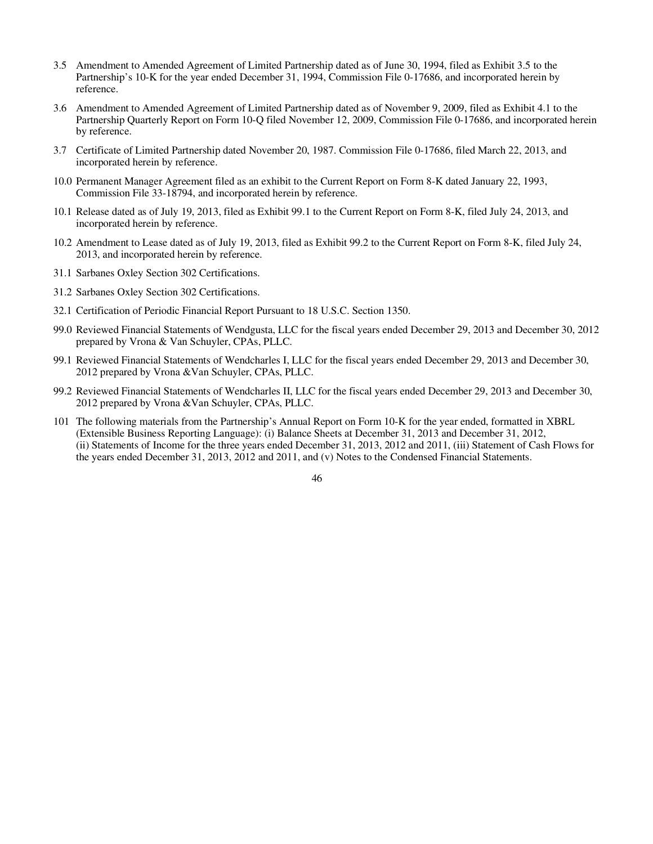- 3.5 Amendment to Amended Agreement of Limited Partnership dated as of June 30, 1994, filed as Exhibit 3.5 to the Partnership's 10-K for the year ended December 31, 1994, Commission File 0-17686, and incorporated herein by reference.
- 3.6 Amendment to Amended Agreement of Limited Partnership dated as of November 9, 2009, filed as Exhibit 4.1 to the Partnership Quarterly Report on Form 10-Q filed November 12, 2009, Commission File 0-17686, and incorporated herein by reference.
- 3.7 Certificate of Limited Partnership dated November 20, 1987. Commission File 0-17686, filed March 22, 2013, and incorporated herein by reference.
- 10.0 Permanent Manager Agreement filed as an exhibit to the Current Report on Form 8-K dated January 22, 1993, Commission File 33-18794, and incorporated herein by reference.
- 10.1 Release dated as of July 19, 2013, filed as Exhibit 99.1 to the Current Report on Form 8-K, filed July 24, 2013, and incorporated herein by reference.
- 10.2 Amendment to Lease dated as of July 19, 2013, filed as Exhibit 99.2 to the Current Report on Form 8-K, filed July 24, 2013, and incorporated herein by reference.
- 31.1 Sarbanes Oxley Section 302 Certifications.
- 31.2 Sarbanes Oxley Section 302 Certifications.
- 32.1 Certification of Periodic Financial Report Pursuant to 18 U.S.C. Section 1350.
- 99.0 Reviewed Financial Statements of Wendgusta, LLC for the fiscal years ended December 29, 2013 and December 30, 2012 prepared by Vrona & Van Schuyler, CPAs, PLLC.
- 99.1 Reviewed Financial Statements of Wendcharles I, LLC for the fiscal years ended December 29, 2013 and December 30, 2012 prepared by Vrona &Van Schuyler, CPAs, PLLC.
- 99.2 Reviewed Financial Statements of Wendcharles II, LLC for the fiscal years ended December 29, 2013 and December 30, 2012 prepared by Vrona &Van Schuyler, CPAs, PLLC.
- 101 The following materials from the Partnership's Annual Report on Form 10-K for the year ended, formatted in XBRL (Extensible Business Reporting Language): (i) Balance Sheets at December 31, 2013 and December 31, 2012, (ii) Statements of Income for the three years ended December 31, 2013, 2012 and 2011, (iii) Statement of Cash Flows for the years ended December 31, 2013, 2012 and 2011, and (v) Notes to the Condensed Financial Statements.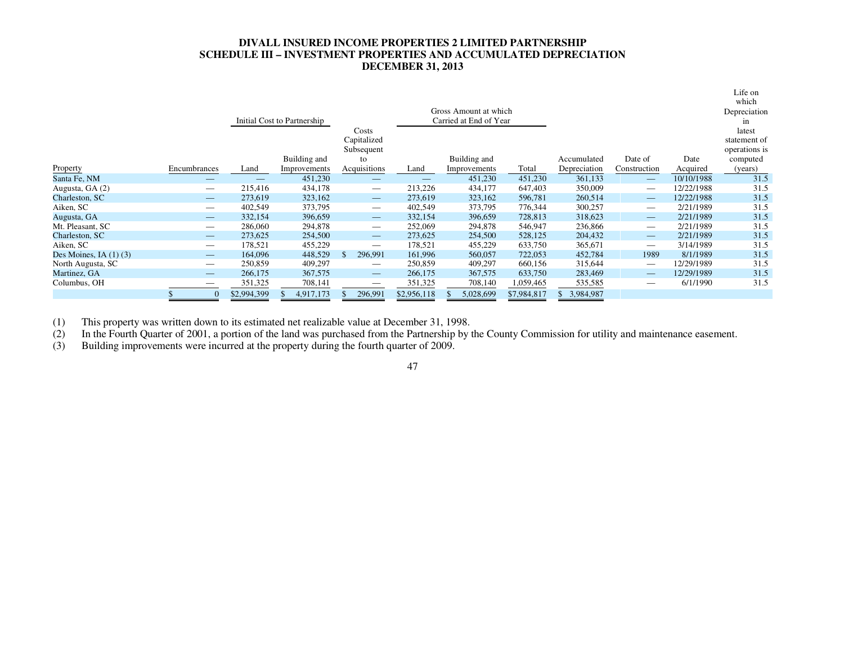# **DIVALL INSURED INCOME PROPERTIES 2 LIMITED PARTNERSHIP SCHEDULE III – INVESTMENT PROPERTIES AND ACCUMULATED DEPRECIATION DECEMBER 31, 2013**

|                            |                                 |             |                             |               |                                 |             |                        |             |              |                               |            | Life on<br>which |
|----------------------------|---------------------------------|-------------|-----------------------------|---------------|---------------------------------|-------------|------------------------|-------------|--------------|-------------------------------|------------|------------------|
|                            |                                 |             |                             |               |                                 |             | Gross Amount at which  |             |              |                               |            | Depreciation     |
|                            |                                 |             | Initial Cost to Partnership |               |                                 |             | Carried at End of Year |             |              |                               |            | 1n               |
|                            |                                 |             |                             |               | Costs                           |             |                        |             |              |                               |            | latest           |
|                            |                                 |             |                             |               | Capitalized                     |             |                        |             |              |                               |            | statement of     |
|                            |                                 |             |                             |               | Subsequent                      |             |                        |             |              |                               |            | operations is    |
|                            |                                 |             | Building and                |               | to                              |             | Building and           |             | Accumulated  | Date of                       | Date       | computed         |
| Property                   | Encumbrances                    | Land        | Improvements                |               | Acquisitions                    | Land        | Improvements           | Total       | Depreciation | Construction                  | Acquired   | (years)          |
| Santa Fe, NM               |                                 |             | 451,230                     |               |                                 |             | 451,230                | 451,230     | 361,133      |                               | 10/10/1988 | 31.5             |
| Augusta, GA (2)            |                                 | 215,416     | 434,178                     |               | $\hspace{0.05cm}$               | 213,226     | 434,177                | 647,403     | 350,009      |                               | 12/22/1988 | 31.5             |
| Charleston, SC             | $\overline{\phantom{a}}$        | 273,619     | 323,162                     |               | $\overline{\phantom{m}}$        | 273,619     | 323,162                | 596,781     | 260,514      |                               | 12/22/1988 | 31.5             |
| Aiken, SC                  |                                 | 402,549     | 373,795                     |               | $\overline{\phantom{m}}$        | 402,549     | 373,795                | 776,344     | 300,257      | $\overbrace{\phantom{13333}}$ | 2/21/1989  | 31.5             |
| Augusta, GA                |                                 | 332,154     | 396,659                     |               | $\overline{\phantom{m}}$        | 332,154     | 396,659                | 728,813     | 318,623      |                               | 2/21/1989  | 31.5             |
| Mt. Pleasant, SC           | $\hspace{0.1mm}-\hspace{0.1mm}$ | 286,060     | 294,878                     |               | $\hspace{0.1mm}-\hspace{0.1mm}$ | 252,069     | 294,878                | 546,947     | 236,866      | $\overbrace{\phantom{13333}}$ | 2/21/1989  | 31.5             |
| Charleston, SC             | $\overline{\phantom{0}}$        | 273,625     | 254,500                     |               | $\overline{\phantom{m}}$        | 273,625     | 254,500                | 528,125     | 204,432      |                               | 2/21/1989  | 31.5             |
| Aiken, SC                  |                                 | 178,521     | 455,229                     |               | $\overbrace{\phantom{12332}}$   | 178,521     | 455,229                | 633,750     | 365,671      |                               | 3/14/1989  | 31.5             |
| Des Moines, IA $(1)$ $(3)$ | $\overline{\phantom{a}}$        | 164,096     | 448,529                     | <sup>\$</sup> | 296,991                         | 161,996     | 560,057                | 722,053     | 452,784      | 1989                          | 8/1/1989   | 31.5             |
| North Augusta, SC          |                                 | 250,859     | 409,297                     |               |                                 | 250,859     | 409,297                | 660,156     | 315,644      |                               | 12/29/1989 | 31.5             |
| Martinez, GA               |                                 | 266,175     | 367,575                     |               | $\hspace{0.1mm}-\hspace{0.1mm}$ | 266,175     | 367,575                | 633,750     | 283,469      |                               | 12/29/1989 | 31.5             |
| Columbus, OH               |                                 | 351,325     | 708,141                     |               |                                 | 351,325     | 708,140                | 1,059,465   | 535,585      |                               | 6/1/1990   | 31.5             |
|                            |                                 | \$2,994,399 | 4,917,173                   |               | 296,991                         | \$2,956,118 | 5,028,699              | \$7,984,817 | 3,984,987    |                               |            |                  |

(1) This pro pert y was written down to its estimated net realizable value at December 31, 1998.

(2) In the Fourth Quarter of 2001, a portion of the land was purchased from the Partnership by the County Commission for utility and maintenance easement.

(3) Building improvements were incurred at the pro pert y during the fourth quarter of 2009.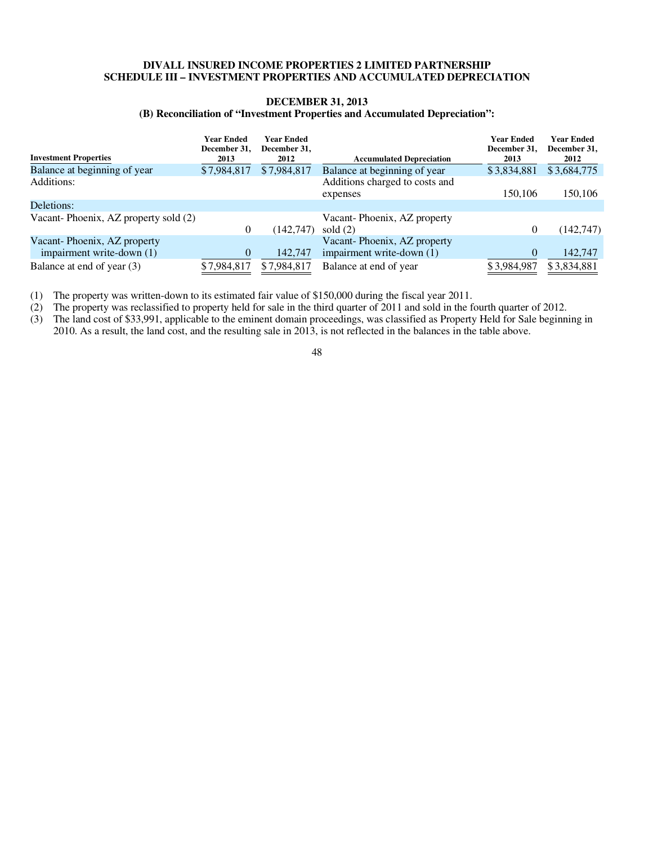# **DIVALL INSURED INCOME PROPERTIES 2 LIMITED PARTNERSHIP SCHEDULE III – INVESTMENT PROPERTIES AND ACCUMULATED DEPRECIATION**

# **DECEMBER 31, 2013**

# **(B) Reconciliation of "Investment Properties and Accumulated Depreciation":**

|                                      | <b>Year Ended</b><br>December 31. | <b>Year Ended</b><br>December 31. |                                 | <b>Year Ended</b><br>December 31. | <b>Year Ended</b><br>December 31, |
|--------------------------------------|-----------------------------------|-----------------------------------|---------------------------------|-----------------------------------|-----------------------------------|
| <b>Investment Properties</b>         | 2013                              | 2012                              | <b>Accumulated Depreciation</b> | 2013                              | 2012                              |
| Balance at beginning of year         | \$7,984,817                       | \$7,984,817                       | Balance at beginning of year    | \$3,834,881                       | \$3,684,775                       |
| Additions:                           |                                   |                                   | Additions charged to costs and  |                                   |                                   |
|                                      |                                   |                                   | expenses                        | 150.106                           | 150,106                           |
| Deletions:                           |                                   |                                   |                                 |                                   |                                   |
| Vacant-Phoenix, AZ property sold (2) |                                   |                                   | Vacant-Phoenix, AZ property     |                                   |                                   |
|                                      | $\theta$                          | (142, 747)                        | sold $(2)$                      | $\Omega$                          | (142, 747)                        |
| Vacant-Phoenix, AZ property          |                                   |                                   | Vacant-Phoenix, AZ property     |                                   |                                   |
| impairment write-down (1)            | $\overline{0}$                    | 142,747                           | impairment write-down (1)       | $\Omega$                          | 142,747                           |
| Balance at end of year (3)           | \$7,984,817                       | \$7,984,817                       | Balance at end of year          | \$3,984,987                       | \$3,834,881                       |

(1) The property was written-down to its estimated fair value of \$150,000 during the fiscal year 2011.

(2) The property was reclassified to property held for sale in the third quarter of 2011 and sold in the fourth quarter of 2012.

(3) The land cost of \$33,991, applicable to the eminent domain proceedings, was classified as Property Held for Sale beginning in 2010. As a result, the land cost, and the resulting sale in 2013, is not reflected in the balances in the table above.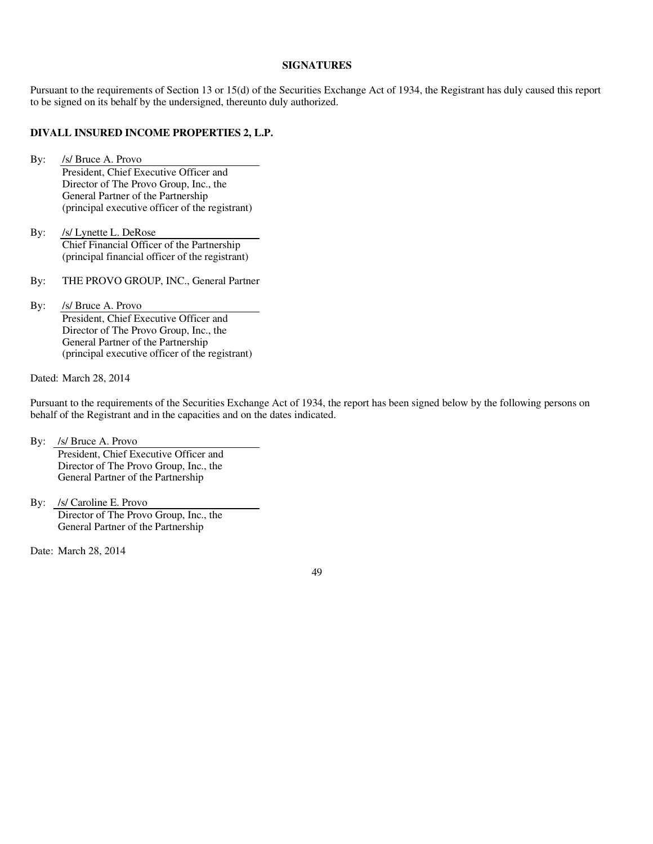### **SIGNATURES**

Pursuant to the requirements of Section 13 or 15(d) of the Securities Exchange Act of 1934, the Registrant has duly caused this report to be signed on its behalf by the undersigned, thereunto duly authorized.

#### **DIVALL INSURED INCOME PROPERTIES 2, L.P.**

- By: /s/ Bruce A. Provo President, Chief Executive Officer and Director of The Provo Group, Inc., the General Partner of the Partnership (principal executive officer of the registrant)
- By: /s/ Lynette L. DeRose Chief Financial Officer of the Partnership (principal financial officer of the registrant)

By: THE PROVO GROUP, INC., General Partner

By: /s/ Bruce A. Provo President, Chief Executive Officer and Director of The Provo Group, Inc., the General Partner of the Partnership (principal executive officer of the registrant)

Dated: March 28, 2014

Pursuant to the requirements of the Securities Exchange Act of 1934, the report has been signed below by the following persons on behalf of the Registrant and in the capacities and on the dates indicated.

- By: /s/ Bruce A. Provo President, Chief Executive Officer and Director of The Provo Group, Inc., the General Partner of the Partnership
- By: /s/ Caroline E. Provo Director of The Provo Group, Inc., the General Partner of the Partnership

Date: March 28, 2014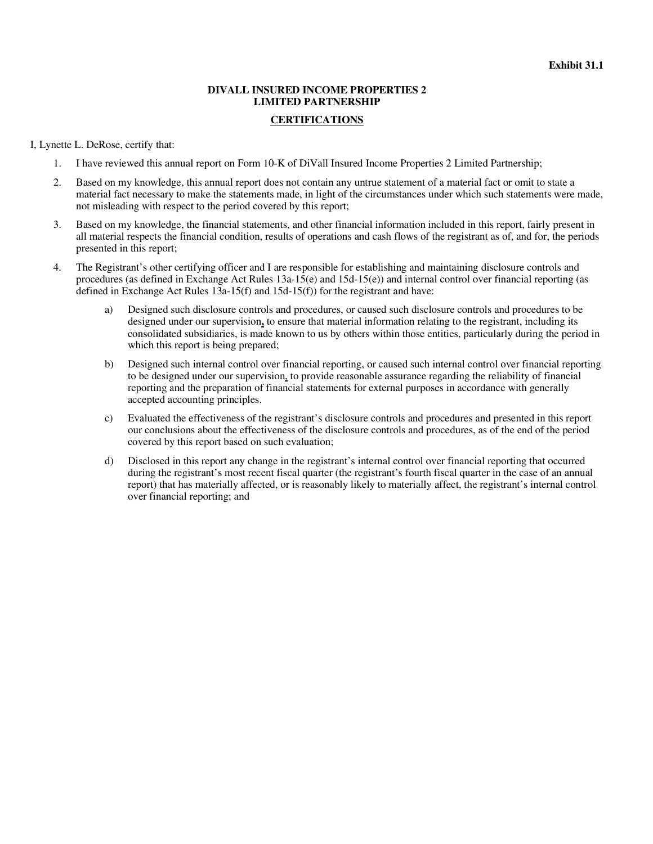# **DIVALL INSURED INCOME PROPERTIES 2 LIMITED PARTNERSHIP**

### **CERTIFICATIONS**

I, Lynette L. DeRose, certify that:

- 1. I have reviewed this annual report on Form 10-K of DiVall Insured Income Properties 2 Limited Partnership;
- 2. Based on my knowledge, this annual report does not contain any untrue statement of a material fact or omit to state a material fact necessary to make the statements made, in light of the circumstances under which such statements were made, not misleading with respect to the period covered by this report;
- 3. Based on my knowledge, the financial statements, and other financial information included in this report, fairly present in all material respects the financial condition, results of operations and cash flows of the registrant as of, and for, the periods presented in this report;
- 4. The Registrant's other certifying officer and I are responsible for establishing and maintaining disclosure controls and procedures (as defined in Exchange Act Rules 13a-15(e) and 15d-15(e)) and internal control over financial reporting (as defined in Exchange Act Rules 13a-15(f) and 15d-15(f)) for the registrant and have:
	- a) Designed such disclosure controls and procedures, or caused such disclosure controls and procedures to be designed under our supervision**,** to ensure that material information relating to the registrant, including its consolidated subsidiaries, is made known to us by others within those entities, particularly during the period in which this report is being prepared;
	- b) Designed such internal control over financial reporting, or caused such internal control over financial reporting to be designed under our supervision, to provide reasonable assurance regarding the reliability of financial reporting and the preparation of financial statements for external purposes in accordance with generally accepted accounting principles.
	- c) Evaluated the effectiveness of the registrant's disclosure controls and procedures and presented in this report our conclusions about the effectiveness of the disclosure controls and procedures, as of the end of the period covered by this report based on such evaluation;
	- d) Disclosed in this report any change in the registrant's internal control over financial reporting that occurred during the registrant's most recent fiscal quarter (the registrant's fourth fiscal quarter in the case of an annual report) that has materially affected, or is reasonably likely to materially affect, the registrant's internal control over financial reporting; and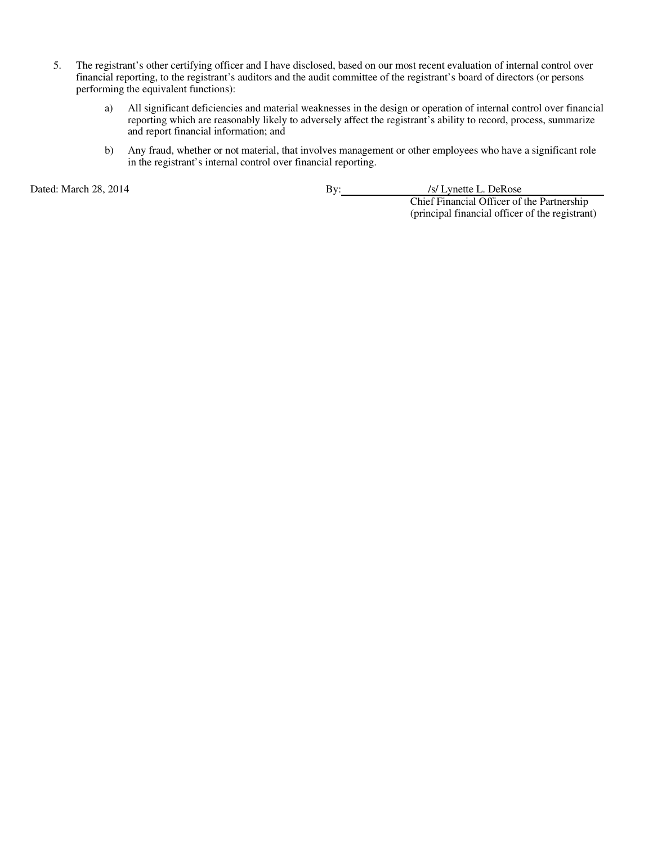- 5. The registrant's other certifying officer and I have disclosed, based on our most recent evaluation of internal control over financial reporting, to the registrant's auditors and the audit committee of the registrant's board of directors (or persons performing the equivalent functions):
	- a) All significant deficiencies and material weaknesses in the design or operation of internal control over financial reporting which are reasonably likely to adversely affect the registrant's ability to record, process, summarize and report financial information; and
	- b) Any fraud, whether or not material, that involves management or other employees who have a significant role in the registrant's internal control over financial reporting.

Dated: March 28, 2014 By: /s/ Lynette L. DeRose Chief Financial Officer of the Partnership (principal financial officer of the registrant)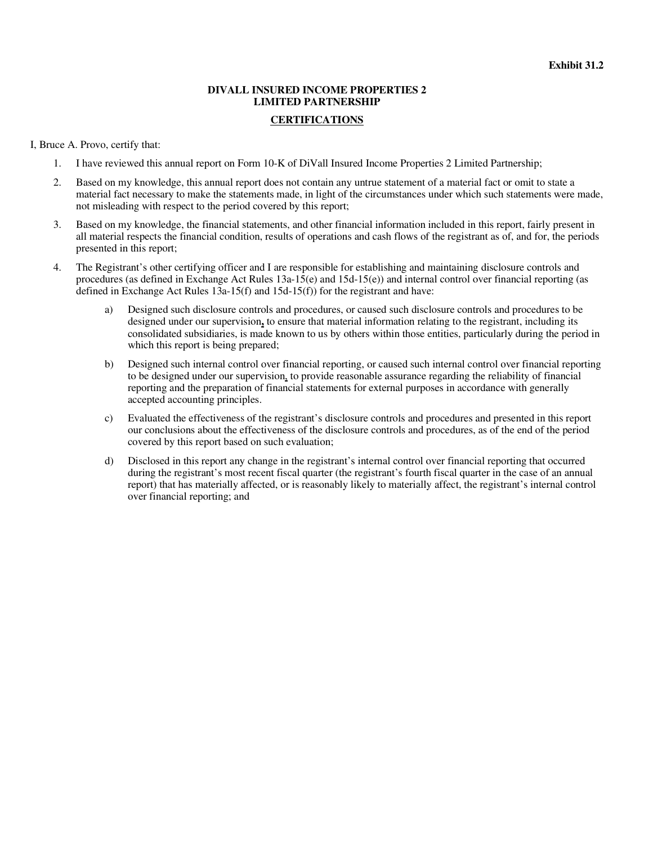# **DIVALL INSURED INCOME PROPERTIES 2 LIMITED PARTNERSHIP**

### **CERTIFICATIONS**

I, Bruce A. Provo, certify that:

- 1. I have reviewed this annual report on Form 10-K of DiVall Insured Income Properties 2 Limited Partnership;
- 2. Based on my knowledge, this annual report does not contain any untrue statement of a material fact or omit to state a material fact necessary to make the statements made, in light of the circumstances under which such statements were made, not misleading with respect to the period covered by this report;
- 3. Based on my knowledge, the financial statements, and other financial information included in this report, fairly present in all material respects the financial condition, results of operations and cash flows of the registrant as of, and for, the periods presented in this report;
- 4. The Registrant's other certifying officer and I are responsible for establishing and maintaining disclosure controls and procedures (as defined in Exchange Act Rules 13a-15(e) and 15d-15(e)) and internal control over financial reporting (as defined in Exchange Act Rules 13a-15(f) and 15d-15(f)) for the registrant and have:
	- a) Designed such disclosure controls and procedures, or caused such disclosure controls and procedures to be designed under our supervision**,** to ensure that material information relating to the registrant, including its consolidated subsidiaries, is made known to us by others within those entities, particularly during the period in which this report is being prepared;
	- b) Designed such internal control over financial reporting, or caused such internal control over financial reporting to be designed under our supervision, to provide reasonable assurance regarding the reliability of financial reporting and the preparation of financial statements for external purposes in accordance with generally accepted accounting principles.
	- c) Evaluated the effectiveness of the registrant's disclosure controls and procedures and presented in this report our conclusions about the effectiveness of the disclosure controls and procedures, as of the end of the period covered by this report based on such evaluation;
	- d) Disclosed in this report any change in the registrant's internal control over financial reporting that occurred during the registrant's most recent fiscal quarter (the registrant's fourth fiscal quarter in the case of an annual report) that has materially affected, or is reasonably likely to materially affect, the registrant's internal control over financial reporting; and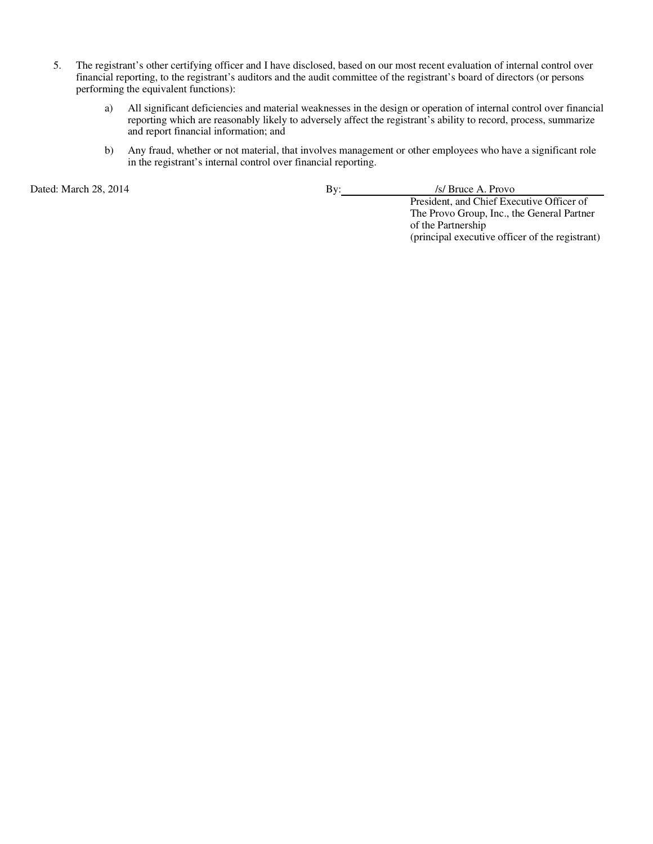- 5. The registrant's other certifying officer and I have disclosed, based on our most recent evaluation of internal control over financial reporting, to the registrant's auditors and the audit committee of the registrant's board of directors (or persons performing the equivalent functions):
	- a) All significant deficiencies and material weaknesses in the design or operation of internal control over financial reporting which are reasonably likely to adversely affect the registrant's ability to record, process, summarize and report financial information; and
	- b) Any fraud, whether or not material, that involves management or other employees who have a significant role in the registrant's internal control over financial reporting.

Dated: March 28, 2014 By: /s/ Bruce A. Provo

President, and Chief Executive Officer of The Provo Group, Inc., the General Partner of the Partnership (principal executive officer of the registrant)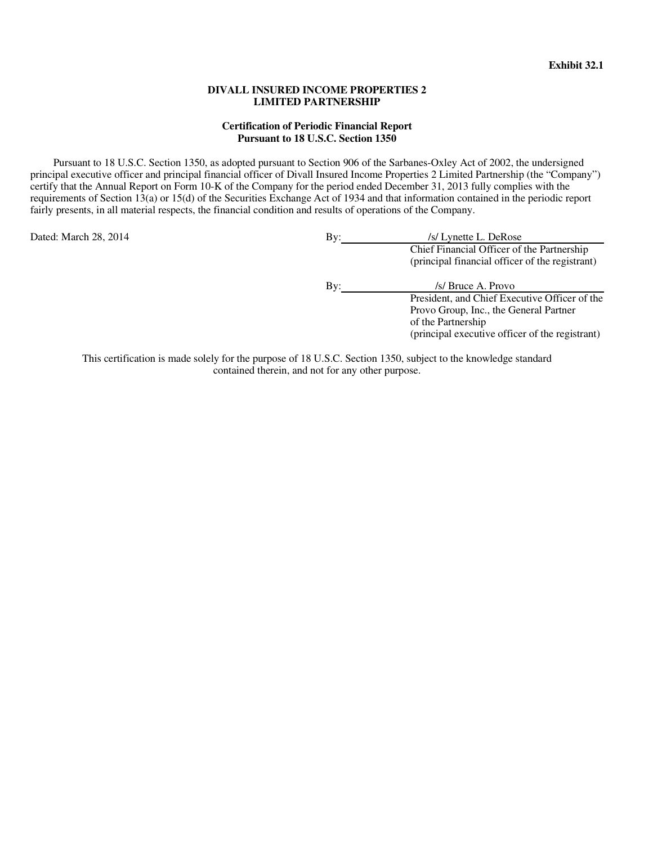#### **DIVALL INSURED INCOME PROPERTIES 2 LIMITED PARTNERSHIP**

#### **Certification of Periodic Financial Report Pursuant to 18 U.S.C. Section 1350**

Pursuant to 18 U.S.C. Section 1350, as adopted pursuant to Section 906 of the Sarbanes-Oxley Act of 2002, the undersigned principal executive officer and principal financial officer of Divall Insured Income Properties 2 Limited Partnership (the "Company") certify that the Annual Report on Form 10-K of the Company for the period ended December 31, 2013 fully complies with the requirements of Section 13(a) or 15(d) of the Securities Exchange Act of 1934 and that information contained in the periodic report fairly presents, in all material respects, the financial condition and results of operations of the Company.

Dated: March 28, 2014

| Chief Financial Officer of the Partnership      |
|-------------------------------------------------|
|                                                 |
| (principal financial officer of the registrant) |
|                                                 |
| President, and Chief Executive Officer of the   |
|                                                 |
|                                                 |
| (principal executive officer of the registrant) |
|                                                 |

This certification is made solely for the purpose of 18 U.S.C. Section 1350, subject to the knowledge standard contained therein, and not for any other purpose.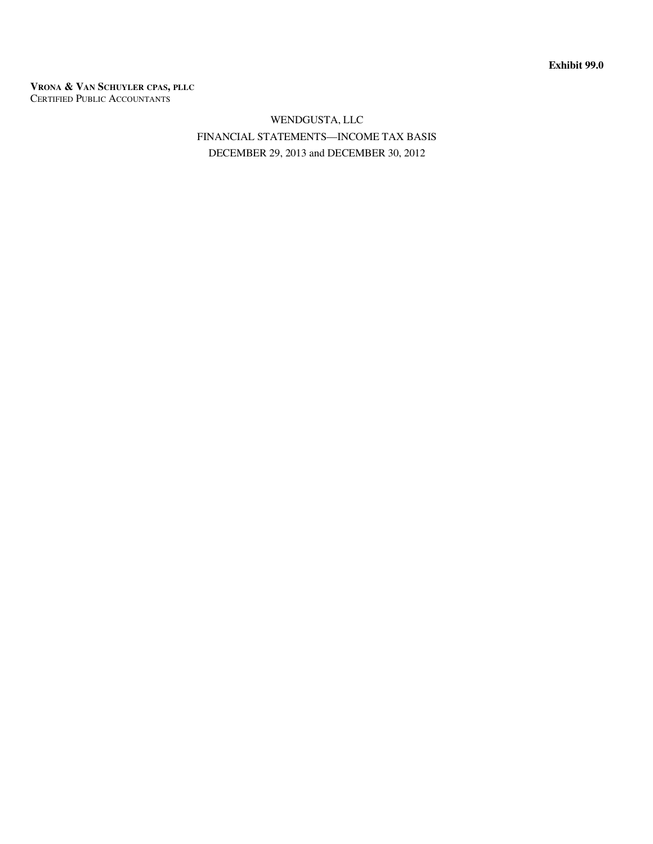**Exhibit 99.0** 

**VRONA & VAN SCHUYLER CPAS, PLLC** CERTIFIED PUBLIC ACCOUNTANTS

# WENDGUSTA, LLC FINANCIAL STATEMENTS—INCOME TAX BASIS DECEMBER 29, 2013 and DECEMBER 30, 2012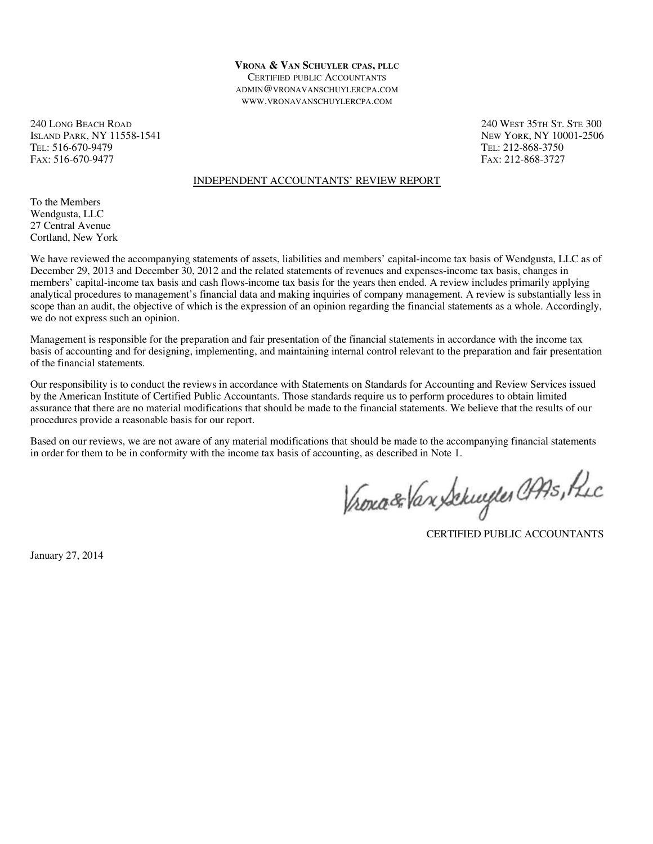### **VRONA & VAN SCHUYLER CPAS, PLLC** CERTIFIED PUBLIC ACCOUNTANTS ADMIN@VRONAVANSCHUYLERCPA.COM WWW.VRONAVANSCHUYLERCPA.COM

240 Long Beach Road (2008) 240 West 35th St. Ste 300<br>240 West 35th St. Ste 300<br>2506 New York, NY 11558-1541 ISLAND PARK, NY 11558-1541<br>Tel: 516-670-9479 Tel: 212-868-3750 TEL: 516-670-9479<br>Fax: 516-670-9477

FAX: 212-868-3727

# INDEPENDENT ACCOUNTANTS' REVIEW REPORT

To the Members Wendgusta, LLC 27 Central Avenue Cortland, New York

We have reviewed the accompanying statements of assets, liabilities and members' capital-income tax basis of Wendgusta, LLC as of December 29, 2013 and December 30, 2012 and the related statements of revenues and expenses-income tax basis, changes in members' capital-income tax basis and cash flows-income tax basis for the years then ended. A review includes primarily applying analytical procedures to management's financial data and making inquiries of company management. A review is substantially less in scope than an audit, the objective of which is the expression of an opinion regarding the financial statements as a whole. Accordingly, we do not express such an opinion.

Management is responsible for the preparation and fair presentation of the financial statements in accordance with the income tax basis of accounting and for designing, implementing, and maintaining internal control relevant to the preparation and fair presentation of the financial statements.

Our responsibility is to conduct the reviews in accordance with Statements on Standards for Accounting and Review Services issued by the American Institute of Certified Public Accountants. Those standards require us to perform procedures to obtain limited assurance that there are no material modifications that should be made to the financial statements. We believe that the results of our procedures provide a reasonable basis for our report.

Based on our reviews, we are not aware of any material modifications that should be made to the accompanying financial statements in order for them to be in conformity with the income tax basis of accounting, as described in Note 1.

Vronce & Van Schwyler CAAs, PLc

CERTIFIED PUBLIC ACCOUNTANTS

January 27, 2014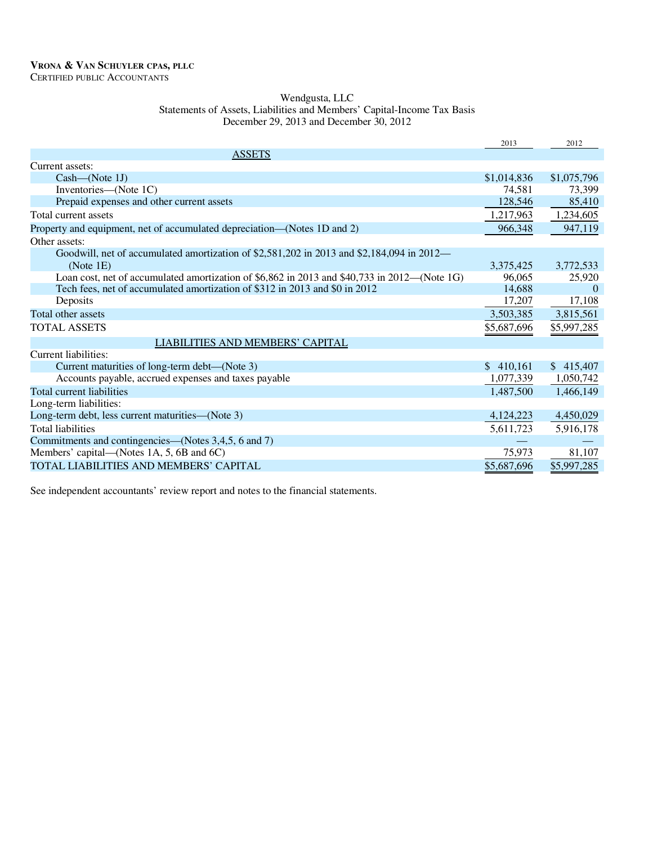#### Wendgusta, LLC Statements of Assets, Liabilities and Members' Capital-Income Tax Basis December 29, 2013 and December 30, 2012

|                                                                                              | 2013        | 2012        |
|----------------------------------------------------------------------------------------------|-------------|-------------|
| <b>ASSETS</b>                                                                                |             |             |
| Current assets:                                                                              |             |             |
| Cash—(Note 1J)                                                                               | \$1,014,836 | \$1,075,796 |
| Inventories—(Note 1C)                                                                        | 74,581      | 73,399      |
| Prepaid expenses and other current assets                                                    | 128,546     | 85,410      |
| Total current assets                                                                         | 1,217,963   | 1,234,605   |
| Property and equipment, net of accumulated depreciation—(Notes 1D and 2)                     | 966,348     | 947,119     |
| Other assets:                                                                                |             |             |
| Goodwill, net of accumulated amortization of $$2,581,202$ in 2013 and $$2,184,094$ in 2012—  |             |             |
| (Note 1E)                                                                                    | 3,375,425   | 3,772,533   |
| Loan cost, net of accumulated amortization of \$6,862 in 2013 and \$40,733 in 2012—(Note 1G) | 96,065      | 25,920      |
| Tech fees, net of accumulated amortization of \$312 in 2013 and \$0 in 2012                  | 14,688      | $\Omega$    |
| Deposits                                                                                     | 17,207      | 17,108      |
| Total other assets                                                                           | 3,503,385   | 3,815,561   |
| <b>TOTAL ASSETS</b>                                                                          | \$5,687,696 | \$5,997,285 |
| <b>LIABILITIES AND MEMBERS' CAPITAL</b>                                                      |             |             |
| Current liabilities:                                                                         |             |             |
| Current maturities of long-term debt—(Note 3)                                                | \$410,161   | \$415,407   |
| Accounts payable, accrued expenses and taxes payable                                         | 1,077,339   | 1,050,742   |
| Total current liabilities                                                                    | 1,487,500   | 1,466,149   |
| Long-term liabilities:                                                                       |             |             |
| Long-term debt, less current maturities—(Note 3)                                             | 4,124,223   | 4,450,029   |
| <b>Total liabilities</b>                                                                     | 5,611,723   | 5,916,178   |
| Commitments and contingencies—(Notes 3,4,5, 6 and 7)                                         |             |             |
| Members' capital—(Notes 1A, 5, 6B and 6C)                                                    | 75,973      | 81,107      |
| TOTAL LIABILITIES AND MEMBERS' CAPITAL                                                       | \$5,687,696 | \$5,997,285 |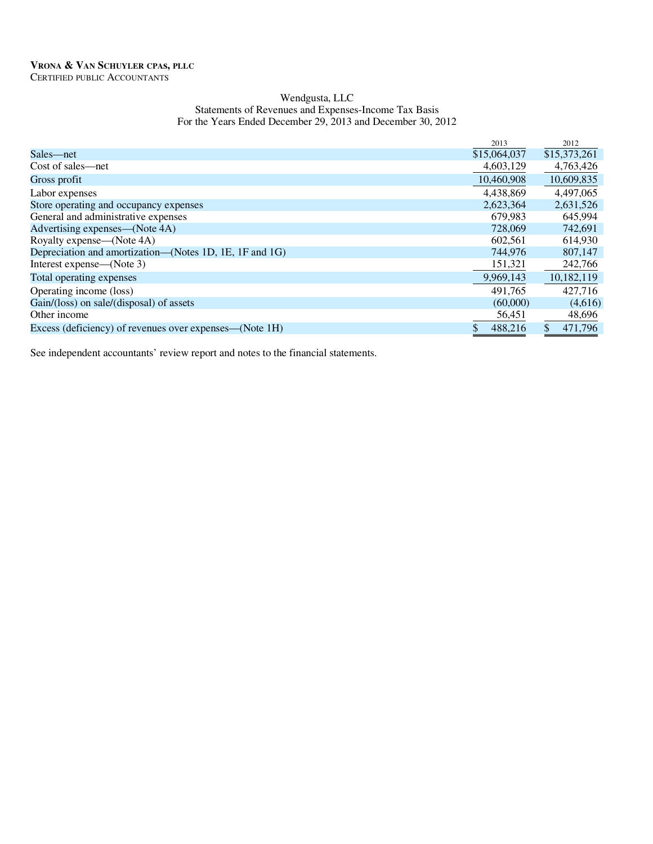#### Wendgusta, LLC Statements of Revenues and Expenses-Income Tax Basis For the Years Ended December 29, 2013 and December 30, 2012

|                                                         | 2013         | 2012         |
|---------------------------------------------------------|--------------|--------------|
| Sales—net                                               | \$15,064,037 | \$15,373,261 |
| Cost of sales—net                                       | 4,603,129    | 4,763,426    |
| Gross profit                                            | 10,460,908   | 10,609,835   |
| Labor expenses                                          | 4,438,869    | 4,497,065    |
| Store operating and occupancy expenses                  | 2,623,364    | 2,631,526    |
| General and administrative expenses                     | 679.983      | 645,994      |
| Advertising expenses—(Note 4A)                          | 728,069      | 742,691      |
| Royalty expense—(Note 4A)                               | 602.561      | 614,930      |
| Depreciation and amortization—(Notes 1D, 1E, 1F and 1G) | 744,976      | 807,147      |
| Interest expense—(Note 3)                               | 151,321      | 242,766      |
| Total operating expenses                                | 9,969,143    | 10,182,119   |
| Operating income (loss)                                 | 491,765      | 427,716      |
| Gain/(loss) on sale/(disposal) of assets                | (60,000)     | (4,616)      |
| Other income                                            | 56,451       | 48,696       |
| Excess (deficiency) of revenues over expenses—(Note 1H) | 488,216      | 471,796      |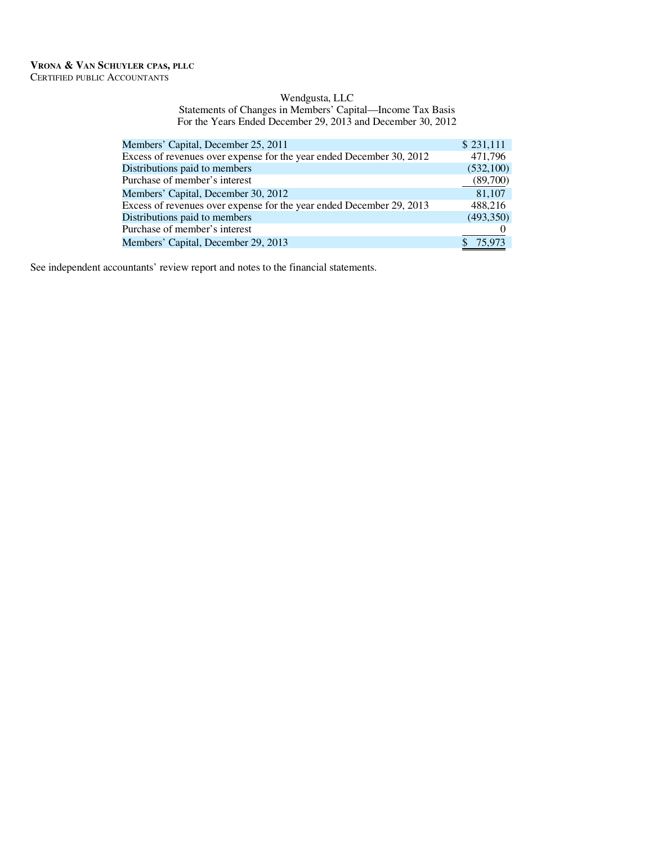### Wendgusta, LLC

Statements of Changes in Members' Capital—Income Tax Basis For the Years Ended December 29, 2013 and December 30, 2012

| Members' Capital, December 25, 2011                                  | \$231,111  |
|----------------------------------------------------------------------|------------|
| Excess of revenues over expense for the year ended December 30, 2012 | 471,796    |
| Distributions paid to members                                        | (532, 100) |
| Purchase of member's interest                                        | (89,700)   |
| Members' Capital, December 30, 2012                                  | 81.107     |
| Excess of revenues over expense for the year ended December 29, 2013 | 488.216    |
| Distributions paid to members                                        | (493,350)  |
| Purchase of member's interest                                        |            |
| Members' Capital, December 29, 2013                                  | 75,973     |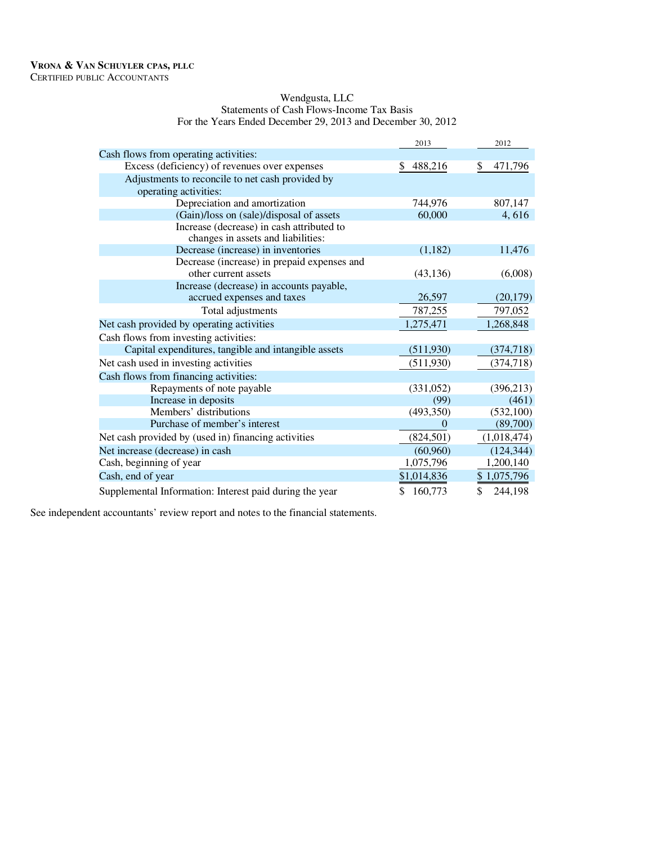#### Wendgusta, LLC Statements of Cash Flows-Income Tax Basis For the Years Ended December 29, 2013 and December 30, 2012

|                                                                                 | 2013          | 2012          |
|---------------------------------------------------------------------------------|---------------|---------------|
| Cash flows from operating activities:                                           |               |               |
| Excess (deficiency) of revenues over expenses                                   | 488,216       | 471,796<br>S  |
| Adjustments to reconcile to net cash provided by                                |               |               |
| operating activities:                                                           |               |               |
| Depreciation and amortization                                                   | 744,976       | 807,147       |
| (Gain)/loss on (sale)/disposal of assets                                        | 60,000        | 4,616         |
| Increase (decrease) in cash attributed to<br>changes in assets and liabilities: |               |               |
| Decrease (increase) in inventories                                              | (1,182)       | 11,476        |
| Decrease (increase) in prepaid expenses and                                     |               |               |
| other current assets                                                            | (43, 136)     | (6,008)       |
| Increase (decrease) in accounts payable,                                        |               |               |
| accrued expenses and taxes                                                      | 26,597        | (20, 179)     |
| Total adjustments                                                               | 787,255       | 797,052       |
| Net cash provided by operating activities                                       | 1,275,471     | 1,268,848     |
| Cash flows from investing activities:                                           |               |               |
| Capital expenditures, tangible and intangible assets                            | (511, 930)    | (374, 718)    |
| Net cash used in investing activities                                           | (511, 930)    | (374,718)     |
| Cash flows from financing activities:                                           |               |               |
| Repayments of note payable                                                      | (331,052)     | (396, 213)    |
| Increase in deposits                                                            | (99)          | (461)         |
| Members' distributions                                                          | (493,350)     | (532, 100)    |
| Purchase of member's interest                                                   | $\Omega$      | (89,700)      |
| Net cash provided by (used in) financing activities                             | (824, 501)    | (1,018,474)   |
| Net increase (decrease) in cash                                                 | (60,960)      | (124, 344)    |
| Cash, beginning of year                                                         | 1,075,796     | 1,200,140     |
| Cash, end of year                                                               | \$1,014,836   | \$1,075,796   |
| Supplemental Information: Interest paid during the year                         | 160,773<br>\$ | \$<br>244,198 |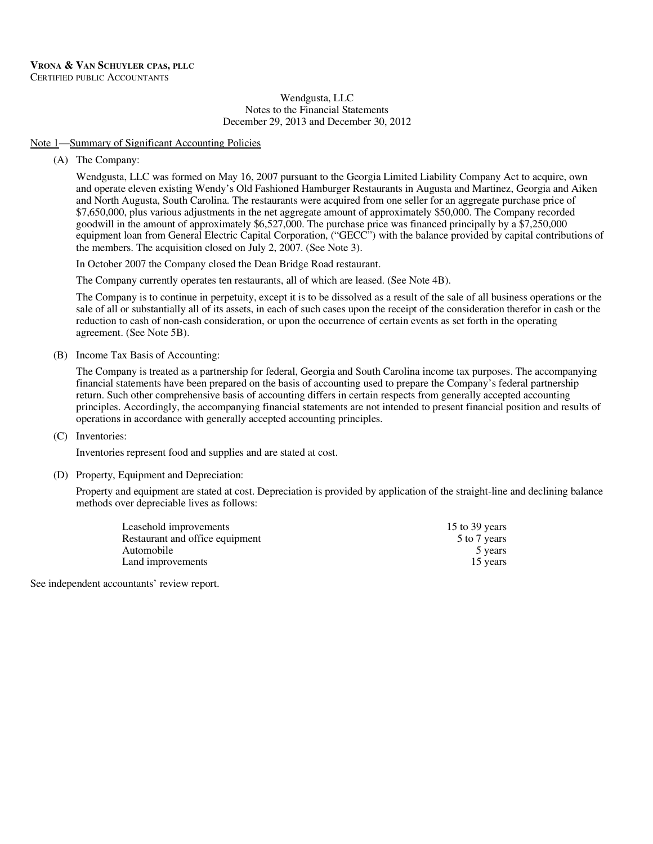# Note 1—Summary of Significant Accounting Policies

(A) The Company:

Wendgusta, LLC was formed on May 16, 2007 pursuant to the Georgia Limited Liability Company Act to acquire, own and operate eleven existing Wendy's Old Fashioned Hamburger Restaurants in Augusta and Martinez, Georgia and Aiken and North Augusta, South Carolina. The restaurants were acquired from one seller for an aggregate purchase price of \$7,650,000, plus various adjustments in the net aggregate amount of approximately \$50,000. The Company recorded goodwill in the amount of approximately \$6,527,000. The purchase price was financed principally by a \$7,250,000 equipment loan from General Electric Capital Corporation, ("GECC") with the balance provided by capital contributions of the members. The acquisition closed on July 2, 2007. (See Note 3).

In October 2007 the Company closed the Dean Bridge Road restaurant.

The Company currently operates ten restaurants, all of which are leased. (See Note 4B).

The Company is to continue in perpetuity, except it is to be dissolved as a result of the sale of all business operations or the sale of all or substantially all of its assets, in each of such cases upon the receipt of the consideration therefor in cash or the reduction to cash of non-cash consideration, or upon the occurrence of certain events as set forth in the operating agreement. (See Note 5B).

(B) Income Tax Basis of Accounting:

The Company is treated as a partnership for federal, Georgia and South Carolina income tax purposes. The accompanying financial statements have been prepared on the basis of accounting used to prepare the Company's federal partnership return. Such other comprehensive basis of accounting differs in certain respects from generally accepted accounting principles. Accordingly, the accompanying financial statements are not intended to present financial position and results of operations in accordance with generally accepted accounting principles.

(C) Inventories:

Inventories represent food and supplies and are stated at cost.

(D) Property, Equipment and Depreciation:

Property and equipment are stated at cost. Depreciation is provided by application of the straight-line and declining balance methods over depreciable lives as follows:

| Leasehold improvements          | 15 to 39 years |
|---------------------------------|----------------|
| Restaurant and office equipment | 5 to 7 years   |
| Automobile                      | 5 years        |
| Land improvements               | 15 years       |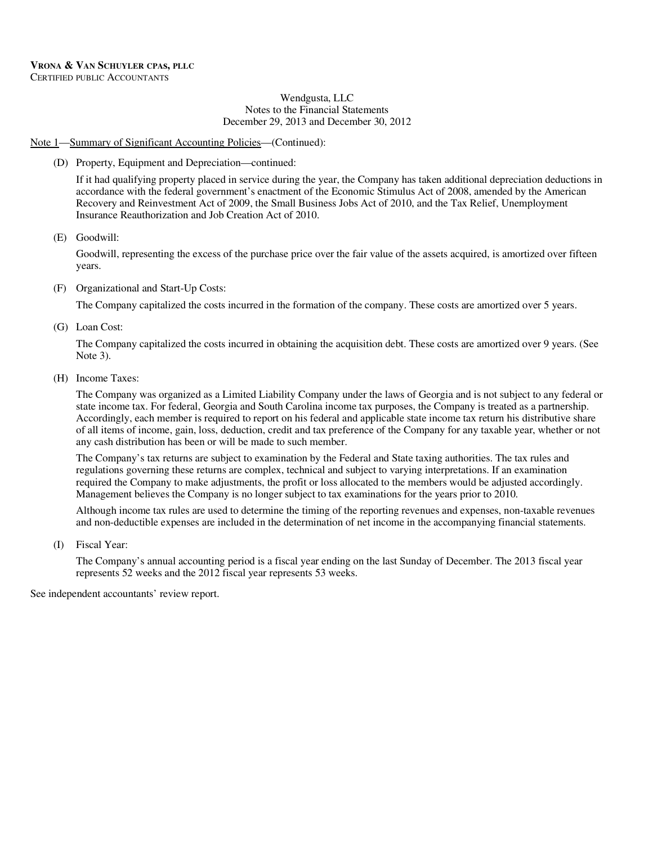### Note 1—Summary of Significant Accounting Policies—(Continued):

(D) Property, Equipment and Depreciation—continued:

If it had qualifying property placed in service during the year, the Company has taken additional depreciation deductions in accordance with the federal government's enactment of the Economic Stimulus Act of 2008, amended by the American Recovery and Reinvestment Act of 2009, the Small Business Jobs Act of 2010, and the Tax Relief, Unemployment Insurance Reauthorization and Job Creation Act of 2010.

(E) Goodwill:

Goodwill, representing the excess of the purchase price over the fair value of the assets acquired, is amortized over fifteen years.

(F) Organizational and Start-Up Costs:

The Company capitalized the costs incurred in the formation of the company. These costs are amortized over 5 years.

(G) Loan Cost:

The Company capitalized the costs incurred in obtaining the acquisition debt. These costs are amortized over 9 years. (See Note 3).

(H) Income Taxes:

The Company was organized as a Limited Liability Company under the laws of Georgia and is not subject to any federal or state income tax. For federal, Georgia and South Carolina income tax purposes, the Company is treated as a partnership. Accordingly, each member is required to report on his federal and applicable state income tax return his distributive share of all items of income, gain, loss, deduction, credit and tax preference of the Company for any taxable year, whether or not any cash distribution has been or will be made to such member.

The Company's tax returns are subject to examination by the Federal and State taxing authorities. The tax rules and regulations governing these returns are complex, technical and subject to varying interpretations. If an examination required the Company to make adjustments, the profit or loss allocated to the members would be adjusted accordingly. Management believes the Company is no longer subject to tax examinations for the years prior to 2010.

Although income tax rules are used to determine the timing of the reporting revenues and expenses, non-taxable revenues and non-deductible expenses are included in the determination of net income in the accompanying financial statements.

(I) Fiscal Year:

The Company's annual accounting period is a fiscal year ending on the last Sunday of December. The 2013 fiscal year represents 52 weeks and the 2012 fiscal year represents 53 weeks.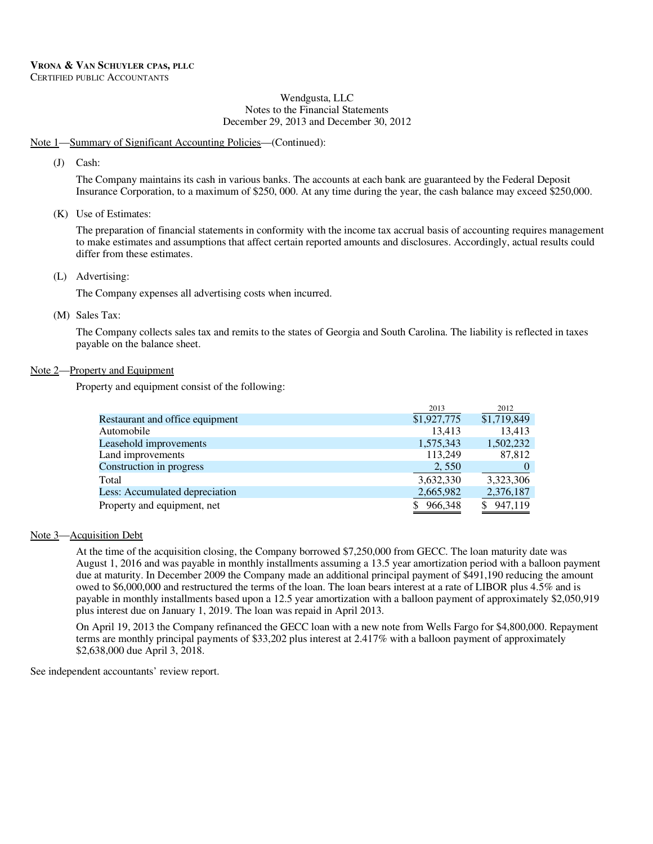# Note 1—Summary of Significant Accounting Policies—(Continued):

(J) Cash:

The Company maintains its cash in various banks. The accounts at each bank are guaranteed by the Federal Deposit Insurance Corporation, to a maximum of \$250, 000. At any time during the year, the cash balance may exceed \$250,000.

(K) Use of Estimates:

The preparation of financial statements in conformity with the income tax accrual basis of accounting requires management to make estimates and assumptions that affect certain reported amounts and disclosures. Accordingly, actual results could differ from these estimates.

(L) Advertising:

The Company expenses all advertising costs when incurred.

(M) Sales Tax:

The Company collects sales tax and remits to the states of Georgia and South Carolina. The liability is reflected in taxes payable on the balance sheet.

### Note 2—Property and Equipment

Property and equipment consist of the following:

|                                 | 2013        | 2012        |
|---------------------------------|-------------|-------------|
| Restaurant and office equipment | \$1,927,775 | \$1,719,849 |
| Automobile                      | 13,413      | 13,413      |
| Leasehold improvements          | 1,575,343   | 1,502,232   |
| Land improvements               | 113,249     | 87,812      |
| Construction in progress        | 2,550       |             |
| Total                           | 3,632,330   | 3,323,306   |
| Less: Accumulated depreciation  | 2,665,982   | 2,376,187   |
| Property and equipment, net     | 966,348     | 947,119     |

# Note 3—Acquisition Debt

At the time of the acquisition closing, the Company borrowed \$7,250,000 from GECC. The loan maturity date was August 1, 2016 and was payable in monthly installments assuming a 13.5 year amortization period with a balloon payment due at maturity. In December 2009 the Company made an additional principal payment of \$491,190 reducing the amount owed to \$6,000,000 and restructured the terms of the loan. The loan bears interest at a rate of LIBOR plus 4.5% and is payable in monthly installments based upon a 12.5 year amortization with a balloon payment of approximately \$2,050,919 plus interest due on January 1, 2019. The loan was repaid in April 2013.

On April 19, 2013 the Company refinanced the GECC loan with a new note from Wells Fargo for \$4,800,000. Repayment terms are monthly principal payments of \$33,202 plus interest at 2.417% with a balloon payment of approximately \$2,638,000 due April 3, 2018.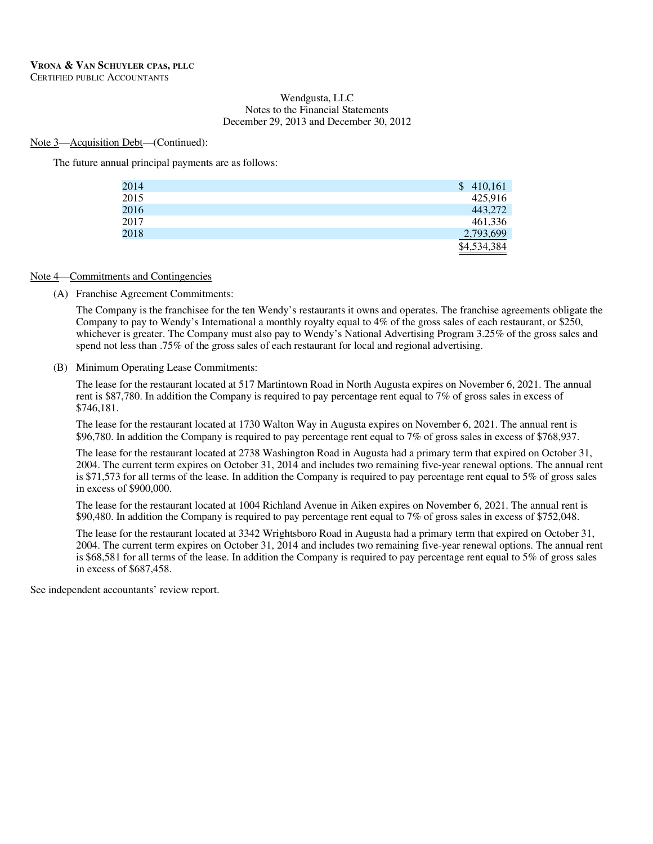#### **VRONA & VAN SCHUYLER CPAs, PLLC** CERTIFIED PUBLIC ACCOUNTANTS

#### Wendgusta, LLC Notes to the Financial Statements December 29, 2013 and December 30, 2012

#### Note 3—Acquisition Debt—(Continued):

The future annual principal payments are as follows:

| 410,161<br>$\mathbb{S}$ |
|-------------------------|
| 425.916                 |
| 443,272                 |
| 461,336                 |
| 2,793,699               |
| \$4,534,384             |
|                         |

### Note 4—Commitments and Contingencies

(A) Franchise Agreement Commitments:

The Company is the franchisee for the ten Wendy's restaurants it owns and operates. The franchise agreements obligate the Company to pay to Wendy's International a monthly royalty equal to 4% of the gross sales of each restaurant, or \$250, whichever is greater. The Company must also pay to Wendy's National Advertising Program 3.25% of the gross sales and spend not less than .75% of the gross sales of each restaurant for local and regional advertising.

(B) Minimum Operating Lease Commitments:

The lease for the restaurant located at 517 Martintown Road in North Augusta expires on November 6, 2021. The annual rent is \$87,780. In addition the Company is required to pay percentage rent equal to 7% of gross sales in excess of \$746,181.

The lease for the restaurant located at 1730 Walton Way in Augusta expires on November 6, 2021. The annual rent is \$96,780. In addition the Company is required to pay percentage rent equal to 7% of gross sales in excess of \$768,937.

The lease for the restaurant located at 2738 Washington Road in Augusta had a primary term that expired on October 31, 2004. The current term expires on October 31, 2014 and includes two remaining five-year renewal options. The annual rent is \$71,573 for all terms of the lease. In addition the Company is required to pay percentage rent equal to 5% of gross sales in excess of \$900,000.

The lease for the restaurant located at 1004 Richland Avenue in Aiken expires on November 6, 2021. The annual rent is \$90,480. In addition the Company is required to pay percentage rent equal to 7% of gross sales in excess of \$752,048.

The lease for the restaurant located at 3342 Wrightsboro Road in Augusta had a primary term that expired on October 31, 2004. The current term expires on October 31, 2014 and includes two remaining five-year renewal options. The annual rent is \$68,581 for all terms of the lease. In addition the Company is required to pay percentage rent equal to 5% of gross sales in excess of \$687,458.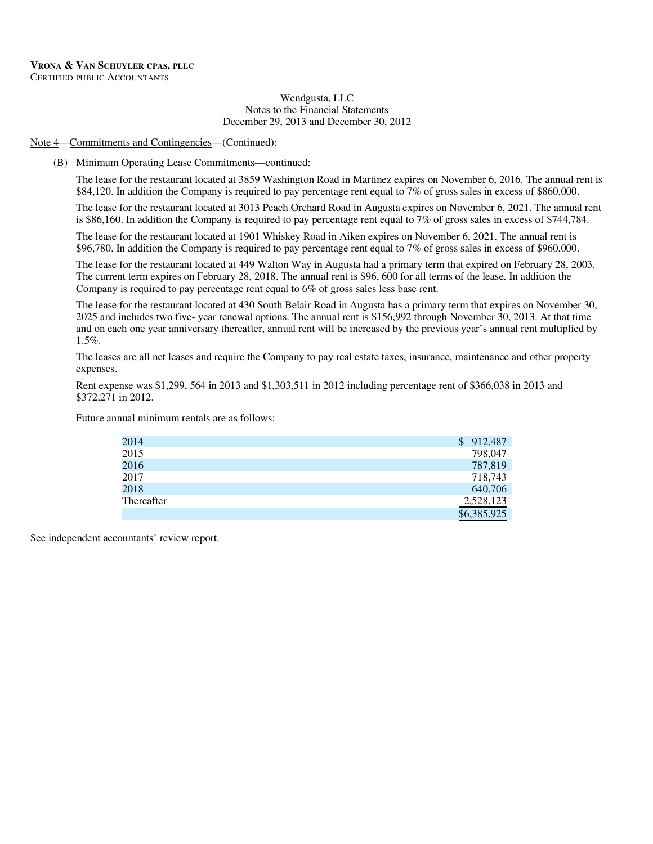#### Note 4—Commitments and Contingencies—(Continued):

#### (B) Minimum Operating Lease Commitments—continued:

The lease for the restaurant located at 3859 Washington Road in Martinez expires on November 6, 2016. The annual rent is \$84,120. In addition the Company is required to pay percentage rent equal to 7% of gross sales in excess of \$860,000.

The lease for the restaurant located at 3013 Peach Orchard Road in Augusta expires on November 6, 2021. The annual rent is \$86,160. In addition the Company is required to pay percentage rent equal to 7% of gross sales in excess of \$744,784.

The lease for the restaurant located at 1901 Whiskey Road in Aiken expires on November 6, 2021. The annual rent is \$96,780. In addition the Company is required to pay percentage rent equal to 7% of gross sales in excess of \$960,000.

The lease for the restaurant located at 449 Walton Way in Augusta had a primary term that expired on February 28, 2003. The current term expires on February 28, 2018. The annual rent is \$96, 600 for all terms of the lease. In addition the Company is required to pay percentage rent equal to 6% of gross sales less base rent.

The lease for the restaurant located at 430 South Belair Road in Augusta has a primary term that expires on November 30, 2025 and includes two five- year renewal options. The annual rent is \$156,992 through November 30, 2013. At that time and on each one year anniversary thereafter, annual rent will be increased by the previous year's annual rent multiplied by 1.5%.

The leases are all net leases and require the Company to pay real estate taxes, insurance, maintenance and other property expenses.

Rent expense was \$1,299, 564 in 2013 and \$1,303,511 in 2012 including percentage rent of \$366,038 in 2013 and \$372,271 in 2012.

Future annual minimum rentals are as follows:

| 2014       | \$912,487   |
|------------|-------------|
| 2015       | 798,047     |
| 2016       | 787,819     |
| 2017       | 718,743     |
| 2018       | 640,706     |
| Thereafter | 2,528,123   |
|            | \$6,385,925 |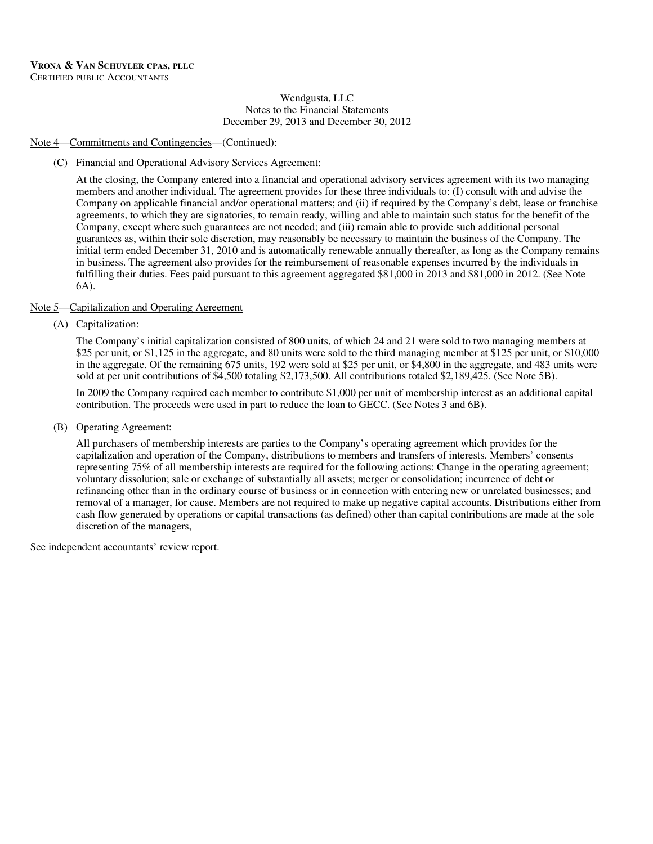# Note 4—Commitments and Contingencies—(Continued):

(C) Financial and Operational Advisory Services Agreement:

At the closing, the Company entered into a financial and operational advisory services agreement with its two managing members and another individual. The agreement provides for these three individuals to: (I) consult with and advise the Company on applicable financial and/or operational matters; and (ii) if required by the Company's debt, lease or franchise agreements, to which they are signatories, to remain ready, willing and able to maintain such status for the benefit of the Company, except where such guarantees are not needed; and (iii) remain able to provide such additional personal guarantees as, within their sole discretion, may reasonably be necessary to maintain the business of the Company. The initial term ended December 31, 2010 and is automatically renewable annually thereafter, as long as the Company remains in business. The agreement also provides for the reimbursement of reasonable expenses incurred by the individuals in fulfilling their duties. Fees paid pursuant to this agreement aggregated \$81,000 in 2013 and \$81,000 in 2012. (See Note 6A).

### Note 5—Capitalization and Operating Agreement

(A) Capitalization:

The Company's initial capitalization consisted of 800 units, of which 24 and 21 were sold to two managing members at \$25 per unit, or \$1,125 in the aggregate, and 80 units were sold to the third managing member at \$125 per unit, or \$10,000 in the aggregate. Of the remaining 675 units, 192 were sold at \$25 per unit, or \$4,800 in the aggregate, and 483 units were sold at per unit contributions of \$4,500 totaling \$2,173,500. All contributions totaled \$2,189,425. (See Note 5B).

In 2009 the Company required each member to contribute \$1,000 per unit of membership interest as an additional capital contribution. The proceeds were used in part to reduce the loan to GECC. (See Notes 3 and 6B).

(B) Operating Agreement:

All purchasers of membership interests are parties to the Company's operating agreement which provides for the capitalization and operation of the Company, distributions to members and transfers of interests. Members' consents representing 75% of all membership interests are required for the following actions: Change in the operating agreement; voluntary dissolution; sale or exchange of substantially all assets; merger or consolidation; incurrence of debt or refinancing other than in the ordinary course of business or in connection with entering new or unrelated businesses; and removal of a manager, for cause. Members are not required to make up negative capital accounts. Distributions either from cash flow generated by operations or capital transactions (as defined) other than capital contributions are made at the sole discretion of the managers,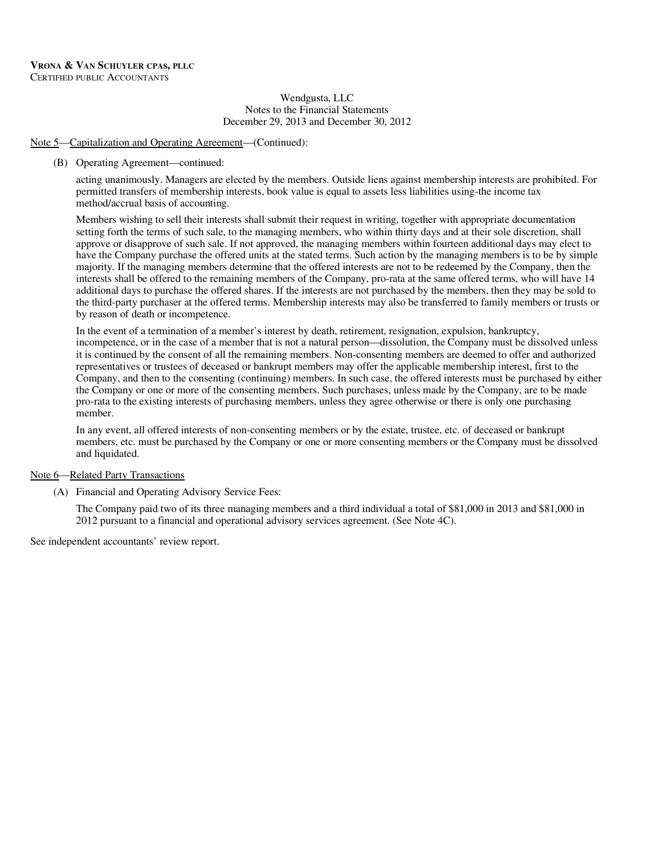### Note 5—Capitalization and Operating Agreement—(Continued):

### (B) Operating Agreement—continued:

acting unanimously. Managers are elected by the members. Outside liens against membership interests are prohibited. For permitted transfers of membership interests, book value is equal to assets less liabilities using-the income tax method/accrual basis of accounting.

Members wishing to sell their interests shall submit their request in writing, together with appropriate documentation setting forth the terms of such sale, to the managing members, who within thirty days and at their sole discretion, shall approve or disapprove of such sale. If not approved, the managing members within fourteen additional days may elect to have the Company purchase the offered units at the stated terms. Such action by the managing members is to be by simple majority. If the managing members determine that the offered interests are not to be redeemed by the Company, then the interests shall be offered to the remaining members of the Company, pro-rata at the same offered terms, who will have 14 additional days to purchase the offered shares. If the interests are not purchased by the members, then they may be sold to the third-party purchaser at the offered terms. Membership interests may also be transferred to family members or trusts or by reason of death or incompetence.

In the event of a termination of a member's interest by death, retirement, resignation, expulsion, bankruptcy, incompetence, or in the case of a member that is not a natural person—dissolution, the Company must be dissolved unless it is continued by the consent of all the remaining members. Non-consenting members are deemed to offer and authorized representatives or trustees of deceased or bankrupt members may offer the applicable membership interest, first to the Company, and then to the consenting (continuing) members. In such case, the offered interests must be purchased by either the Company or one or more of the consenting members. Such purchases, unless made by the Company, are to be made pro-rata to the existing interests of purchasing members, unless they agree otherwise or there is only one purchasing member.

In any event, all offered interests of non-consenting members or by the estate, trustee, etc. of deceased or bankrupt members, etc. must be purchased by the Company or one or more consenting members or the Company must be dissolved and liquidated.

# Note 6—Related Party Transactions

(A) Financial and Operating Advisory Service Fees:

The Company paid two of its three managing members and a third individual a total of \$81,000 in 2013 and \$81,000 in 2012 pursuant to a financial and operational advisory services agreement. (See Note 4C).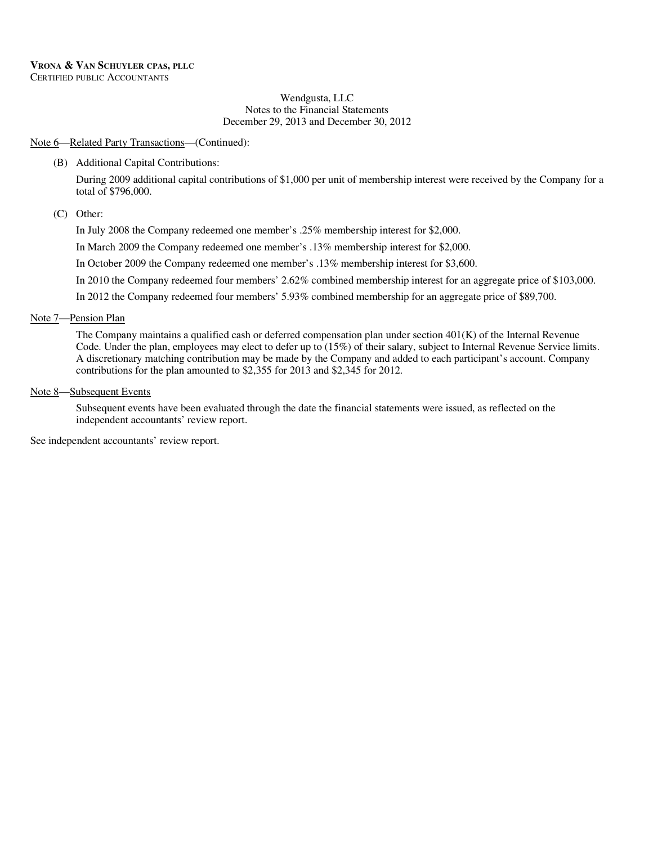#### **VRONA & VAN SCHUYLER CPAs, PLLC** CERTIFIED PUBLIC ACCOUNTANTS

#### Wendgusta, LLC Notes to the Financial Statements December 29, 2013 and December 30, 2012

### Note 6—Related Party Transactions—(Continued):

#### (B) Additional Capital Contributions:

During 2009 additional capital contributions of \$1,000 per unit of membership interest were received by the Company for a total of \$796,000.

### (C) Other:

In July 2008 the Company redeemed one member's .25% membership interest for \$2,000.

In March 2009 the Company redeemed one member's .13% membership interest for \$2,000.

In October 2009 the Company redeemed one member's .13% membership interest for \$3,600.

In 2010 the Company redeemed four members' 2.62% combined membership interest for an aggregate price of \$103,000.

In 2012 the Company redeemed four members' 5.93% combined membership for an aggregate price of \$89,700.

### Note 7—Pension Plan

The Company maintains a qualified cash or deferred compensation plan under section 401(K) of the Internal Revenue Code. Under the plan, employees may elect to defer up to (15%) of their salary, subject to Internal Revenue Service limits. A discretionary matching contribution may be made by the Company and added to each participant's account. Company contributions for the plan amounted to \$2,355 for 2013 and \$2,345 for 2012.

# Note 8—Subsequent Events

Subsequent events have been evaluated through the date the financial statements were issued, as reflected on the independent accountants' review report.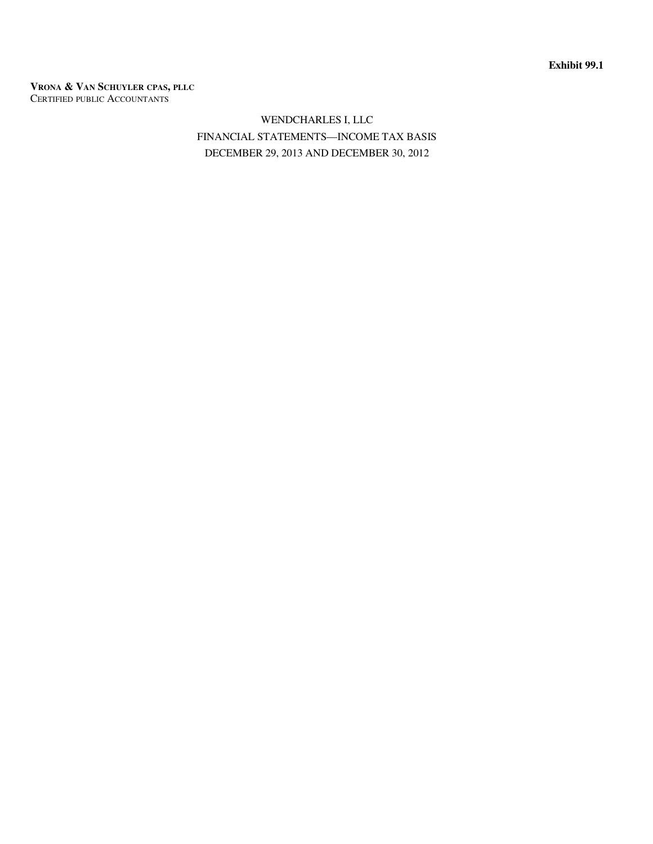**Exhibit 99.1** 

**VRONA & VAN SCHUYLER CPAS, PLLC** CERTIFIED PUBLIC ACCOUNTANTS

# WENDCHARLES I, LLC FINANCIAL STATEMENTS—INCOME TAX BASIS DECEMBER 29, 2013 AND DECEMBER 30, 2012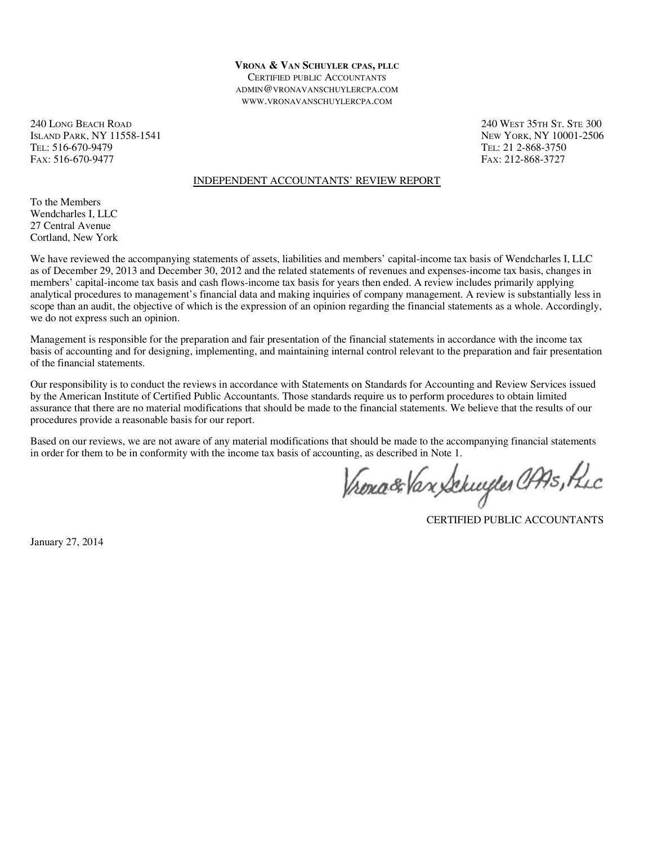### **VRONA & VAN SCHUYLER CPAS, PLLC** CERTIFIED PUBLIC ACCOUNTANTS ADMIN@VRONAVANSCHUYLERCPA.COM WWW.VRONAVANSCHUYLERCPA.COM

240 LONG BEACH ROAD 2506 2000 25 240 WEST 35TH ST. STE 300<br>240 WEST 35TH ST. STE 300<br>2506 NEW YORK, NY 11558-1541 ISLAND PARK, NY 11558-1541<br>TEL: 516-670-9479 TEL: 516-670-9479 TEL: 21 2-868-3750

FAX: 212-868-3727

# INDEPENDENT ACCOUNTANTS' REVIEW REPORT

To the Members Wendcharles I, LLC 27 Central Avenue Cortland, New York

We have reviewed the accompanying statements of assets, liabilities and members' capital-income tax basis of Wendcharles I, LLC as of December 29, 2013 and December 30, 2012 and the related statements of revenues and expenses-income tax basis, changes in members' capital-income tax basis and cash flows-income tax basis for years then ended. A review includes primarily applying analytical procedures to management's financial data and making inquiries of company management. A review is substantially less in scope than an audit, the objective of which is the expression of an opinion regarding the financial statements as a whole. Accordingly, we do not express such an opinion.

Management is responsible for the preparation and fair presentation of the financial statements in accordance with the income tax basis of accounting and for designing, implementing, and maintaining internal control relevant to the preparation and fair presentation of the financial statements.

Our responsibility is to conduct the reviews in accordance with Statements on Standards for Accounting and Review Services issued by the American Institute of Certified Public Accountants. Those standards require us to perform procedures to obtain limited assurance that there are no material modifications that should be made to the financial statements. We believe that the results of our procedures provide a reasonable basis for our report.

Based on our reviews, we are not aware of any material modifications that should be made to the accompanying financial statements in order for them to be in conformity with the income tax basis of accounting, as described in Note 1.

Vrona&VanSchuyler CAAs, PLc

CERTIFIED PUBLIC ACCOUNTANTS

January 27, 2014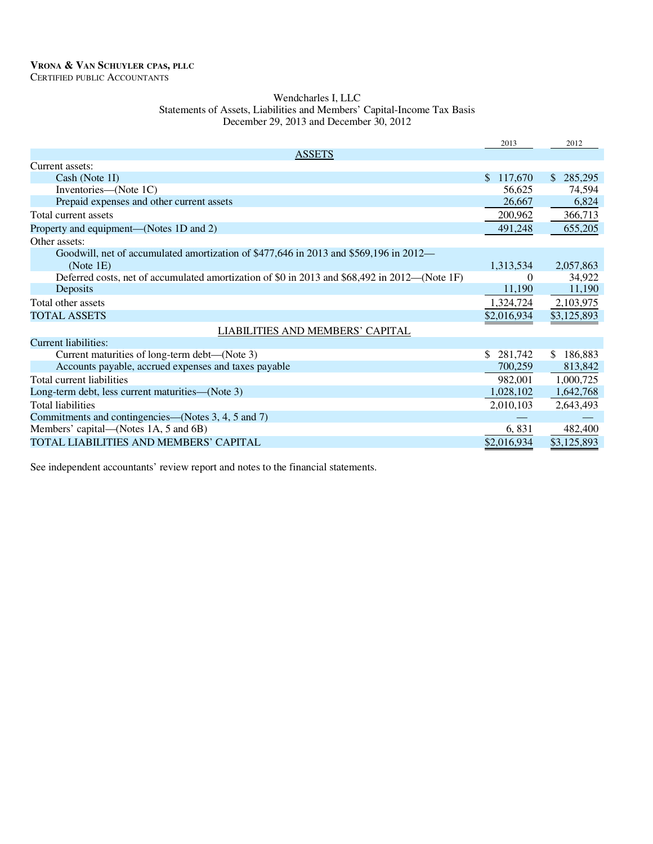### Wendcharles I, LLC Statements of Assets, Liabilities and Members' Capital-Income Tax Basis December 29, 2013 and December 30, 2012

|                                                                                               | 2013        | 2012        |
|-----------------------------------------------------------------------------------------------|-------------|-------------|
| <b>ASSETS</b>                                                                                 |             |             |
| Current assets:                                                                               |             |             |
| Cash (Note 1I)                                                                                | \$117,670   | \$285,295   |
| Inventories—(Note 1C)                                                                         | 56,625      | 74,594      |
| Prepaid expenses and other current assets                                                     | 26,667      | 6,824       |
| Total current assets                                                                          | 200,962     | 366,713     |
| Property and equipment—(Notes 1D and 2)                                                       | 491,248     | 655,205     |
| Other assets:                                                                                 |             |             |
| Goodwill, net of accumulated amortization of \$477,646 in 2013 and \$569,196 in 2012—         |             |             |
| (Note 1E)                                                                                     | 1,313,534   | 2,057,863   |
| Deferred costs, net of accumulated amortization of \$0 in 2013 and \$68,492 in 2012—(Note 1F) | $\theta$    | 34,922      |
| Deposits                                                                                      | 11,190      | 11,190      |
| Total other assets                                                                            | 1,324,724   | 2,103,975   |
| <b>TOTAL ASSETS</b>                                                                           | \$2,016,934 | \$3,125,893 |
| LIABILITIES AND MEMBERS' CAPITAL                                                              |             |             |
| <b>Current liabilities:</b>                                                                   |             |             |
| Current maturities of long-term debt—(Note 3)                                                 | \$281,742   | \$186,883   |
| Accounts payable, accrued expenses and taxes payable                                          | 700,259     | 813,842     |
| Total current liabilities                                                                     | 982,001     | 1,000,725   |
| Long-term debt, less current maturities—(Note 3)                                              | 1,028,102   | 1,642,768   |
| Total liabilities                                                                             | 2,010,103   | 2,643,493   |
| Commitments and contingencies—(Notes 3, 4, 5 and 7)                                           |             |             |
| Members' capital—(Notes 1A, 5 and 6B)                                                         | 6,831       | 482,400     |
| TOTAL LIABILITIES AND MEMBERS' CAPITAL                                                        | \$2,016,934 | \$3,125,893 |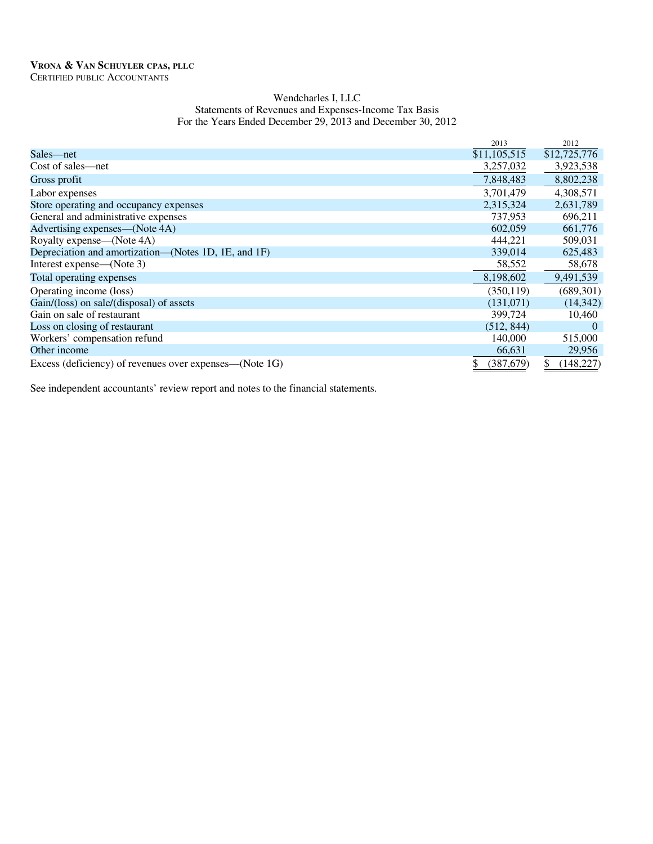## Wendcharles I, LLC Statements of Revenues and Expenses-Income Tax Basis For the Years Ended December 29, 2013 and December 30, 2012

|                                                         | 2013         | 2012             |
|---------------------------------------------------------|--------------|------------------|
| Sales—net                                               | \$11,105,515 | \$12,725,776     |
| Cost of sales—net                                       | 3,257,032    | 3,923,538        |
| Gross profit                                            | 7,848,483    | 8,802,238        |
| Labor expenses                                          | 3,701,479    | 4,308,571        |
| Store operating and occupancy expenses                  | 2,315,324    | 2,631,789        |
| General and administrative expenses                     | 737,953      | 696,211          |
| Advertising expenses—(Note 4A)                          | 602,059      | 661,776          |
| Royalty expense—(Note 4A)                               | 444,221      | 509,031          |
| Depreciation and amortization—(Notes 1D, 1E, and 1F)    | 339,014      | 625,483          |
| Interest expense—(Note 3)                               | 58,552       | 58,678           |
| Total operating expenses                                | 8,198,602    | 9,491,539        |
| Operating income (loss)                                 | (350, 119)   | (689,301)        |
| Gain/(loss) on sale/(disposal) of assets                | (131,071)    | (14, 342)        |
| Gain on sale of restaurant                              | 399,724      | 10,460           |
| Loss on closing of restaurant                           | (512, 844)   | $\theta$         |
| Workers' compensation refund                            | 140,000      | 515,000          |
| Other income                                            | 66,631       | 29,956           |
| Excess (deficiency) of revenues over expenses—(Note 1G) | (387, 679)   | (148, 227)<br>\$ |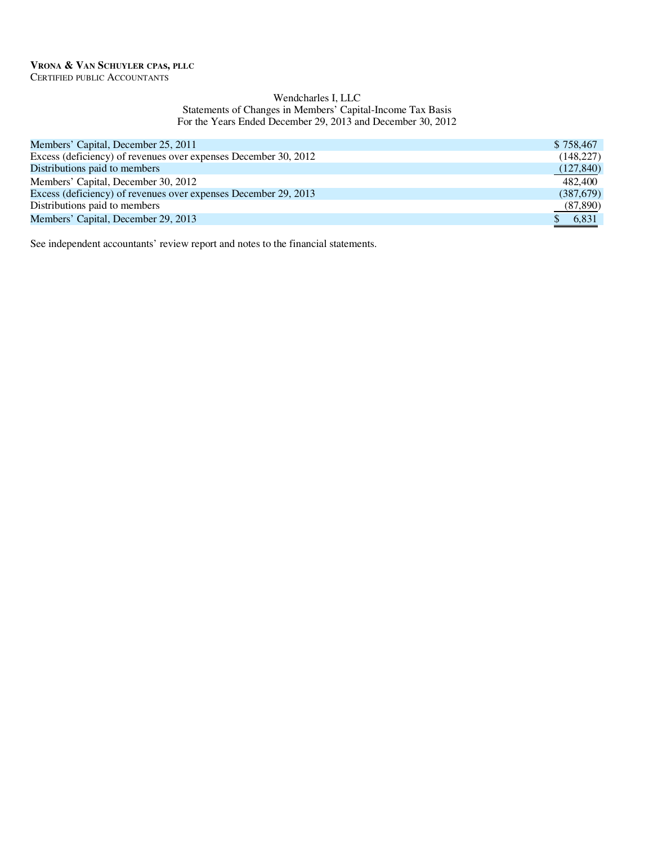# Wendcharles I, LLC

Statements of Changes in Members' Capital-Income Tax Basis For the Years Ended December 29, 2013 and December 30, 2012

| Members' Capital, December 25, 2011                             | \$758,467  |
|-----------------------------------------------------------------|------------|
| Excess (deficiency) of revenues over expenses December 30, 2012 | (148, 227) |
| Distributions paid to members                                   | (127, 840) |
| Members' Capital, December 30, 2012                             | 482,400    |
| Excess (deficiency) of revenues over expenses December 29, 2013 | (387,679)  |
| Distributions paid to members                                   | (87, 890)  |
| Members' Capital, December 29, 2013                             | \$6,831    |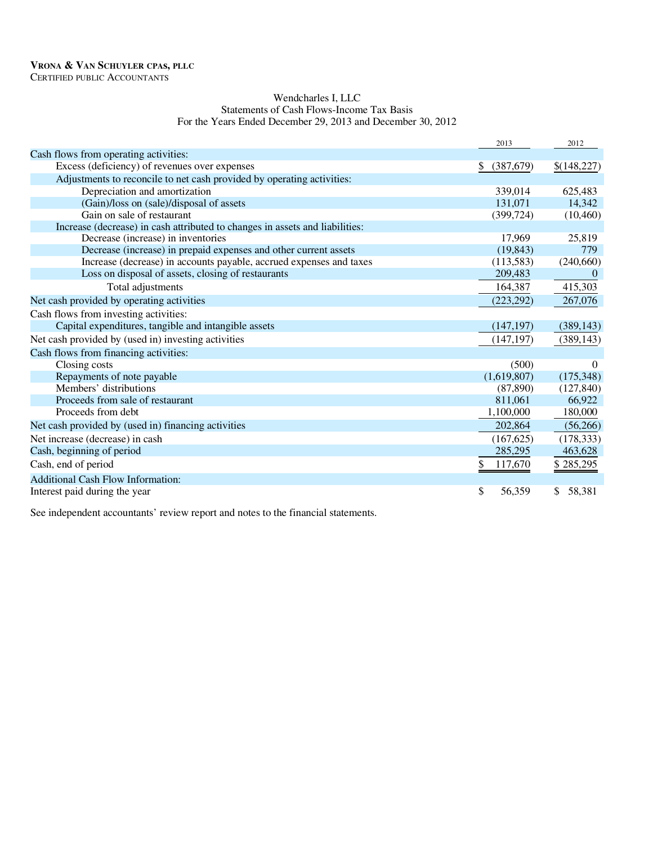## Wendcharles I, LLC Statements of Cash Flows-Income Tax Basis For the Years Ended December 29, 2013 and December 30, 2012

|                                                                              | 2013            | 2012        |
|------------------------------------------------------------------------------|-----------------|-------------|
| Cash flows from operating activities:                                        |                 |             |
| Excess (deficiency) of revenues over expenses                                | (387,679)<br>\$ | \$(148,227) |
| Adjustments to reconcile to net cash provided by operating activities:       |                 |             |
| Depreciation and amortization                                                | 339,014         | 625,483     |
| (Gain)/loss on (sale)/disposal of assets                                     | 131,071         | 14,342      |
| Gain on sale of restaurant                                                   | (399, 724)      | (10, 460)   |
| Increase (decrease) in cash attributed to changes in assets and liabilities: |                 |             |
| Decrease (increase) in inventories                                           | 17,969          | 25,819      |
| Decrease (increase) in prepaid expenses and other current assets             | (19, 843)       | 779         |
| Increase (decrease) in accounts payable, accrued expenses and taxes          | (113,583)       | (240, 660)  |
| Loss on disposal of assets, closing of restaurants                           | 209,483         | $\theta$    |
| Total adjustments                                                            | 164,387         | 415,303     |
| Net cash provided by operating activities                                    | (223, 292)      | 267,076     |
| Cash flows from investing activities:                                        |                 |             |
| Capital expenditures, tangible and intangible assets                         | (147, 197)      | (389, 143)  |
| Net cash provided by (used in) investing activities                          | (147, 197)      | (389, 143)  |
| Cash flows from financing activities:                                        |                 |             |
| Closing costs                                                                | (500)           | $\Omega$    |
| Repayments of note payable                                                   | (1,619,807)     | (175, 348)  |
| Members' distributions                                                       | (87, 890)       | (127, 840)  |
| Proceeds from sale of restaurant                                             | 811,061         | 66,922      |
| Proceeds from debt                                                           | 1,100,000       | 180,000     |
| Net cash provided by (used in) financing activities                          | 202,864         | (56,266)    |
| Net increase (decrease) in cash                                              | (167, 625)      | (178, 333)  |
| Cash, beginning of period                                                    | 285,295         | 463,628     |
| Cash, end of period                                                          | \$<br>117,670   | \$285,295   |
| <b>Additional Cash Flow Information:</b>                                     |                 |             |
| Interest paid during the year                                                | \$<br>56,359    | 58,381      |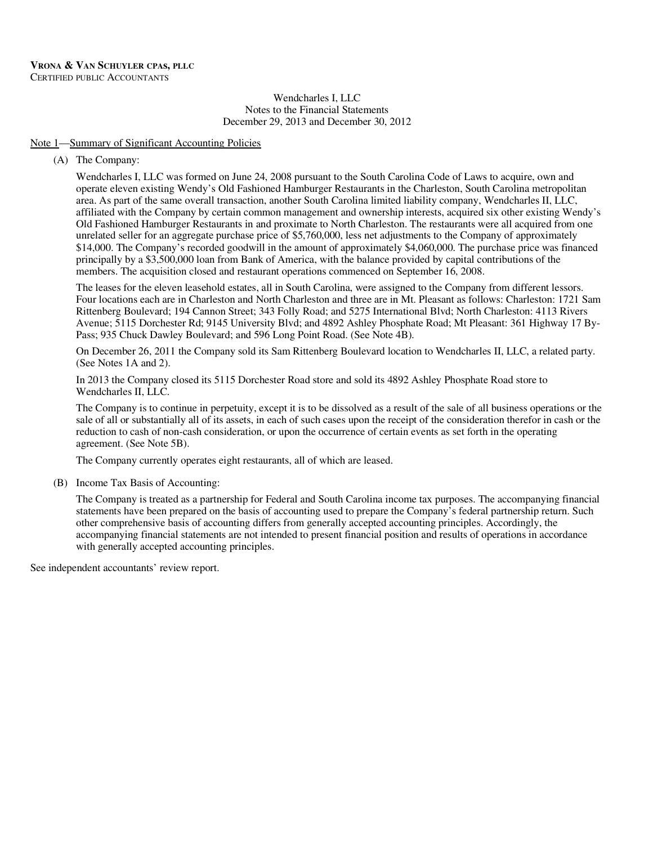## Note 1—Summary of Significant Accounting Policies

(A) The Company:

Wendcharles I, LLC was formed on June 24, 2008 pursuant to the South Carolina Code of Laws to acquire, own and operate eleven existing Wendy's Old Fashioned Hamburger Restaurants in the Charleston, South Carolina metropolitan area. As part of the same overall transaction, another South Carolina limited liability company, Wendcharles II, LLC, affiliated with the Company by certain common management and ownership interests, acquired six other existing Wendy's Old Fashioned Hamburger Restaurants in and proximate to North Charleston. The restaurants were all acquired from one unrelated seller for an aggregate purchase price of \$5,760,000, less net adjustments to the Company of approximately \$14,000. The Company's recorded goodwill in the amount of approximately \$4,060,000. The purchase price was financed principally by a \$3,500,000 loan from Bank of America, with the balance provided by capital contributions of the members. The acquisition closed and restaurant operations commenced on September 16, 2008.

The leases for the eleven leasehold estates, all in South Carolina, were assigned to the Company from different lessors. Four locations each are in Charleston and North Charleston and three are in Mt. Pleasant as follows: Charleston: 1721 Sam Rittenberg Boulevard; 194 Cannon Street; 343 Folly Road; and 5275 International Blvd; North Charleston: 4113 Rivers Avenue; 5115 Dorchester Rd; 9145 University Blvd; and 4892 Ashley Phosphate Road; Mt Pleasant: 361 Highway 17 By-Pass; 935 Chuck Dawley Boulevard; and 596 Long Point Road. (See Note 4B).

On December 26, 2011 the Company sold its Sam Rittenberg Boulevard location to Wendcharles II, LLC, a related party. (See Notes 1A and 2).

In 2013 the Company closed its 5115 Dorchester Road store and sold its 4892 Ashley Phosphate Road store to Wendcharles II, LLC.

The Company is to continue in perpetuity, except it is to be dissolved as a result of the sale of all business operations or the sale of all or substantially all of its assets, in each of such cases upon the receipt of the consideration therefor in cash or the reduction to cash of non-cash consideration, or upon the occurrence of certain events as set forth in the operating agreement. (See Note 5B).

The Company currently operates eight restaurants, all of which are leased.

(B) Income Tax Basis of Accounting:

The Company is treated as a partnership for Federal and South Carolina income tax purposes. The accompanying financial statements have been prepared on the basis of accounting used to prepare the Company's federal partnership return. Such other comprehensive basis of accounting differs from generally accepted accounting principles. Accordingly, the accompanying financial statements are not intended to present financial position and results of operations in accordance with generally accepted accounting principles.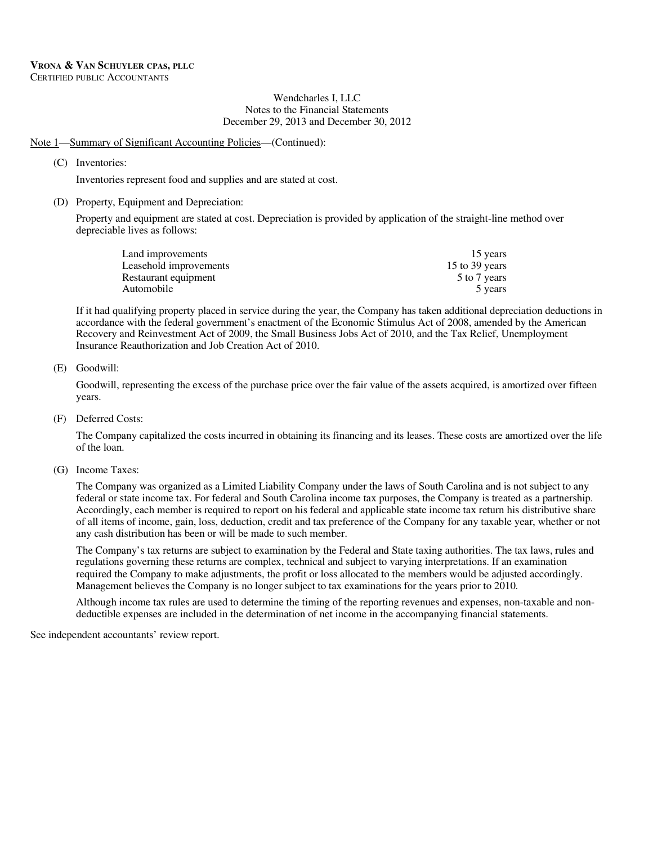### Note 1—Summary of Significant Accounting Policies—(Continued):

(C) Inventories:

Inventories represent food and supplies and are stated at cost.

(D) Property, Equipment and Depreciation:

Property and equipment are stated at cost. Depreciation is provided by application of the straight-line method over depreciable lives as follows:

| Land improvements<br>Leasehold improvements | 15 years<br>15 to 39 years |
|---------------------------------------------|----------------------------|
| Restaurant equipment                        | 5 to 7 years               |
| Automobile                                  | 5 years                    |

If it had qualifying property placed in service during the year, the Company has taken additional depreciation deductions in accordance with the federal government's enactment of the Economic Stimulus Act of 2008, amended by the American Recovery and Reinvestment Act of 2009, the Small Business Jobs Act of 2010, and the Tax Relief, Unemployment Insurance Reauthorization and Job Creation Act of 2010.

### (E) Goodwill:

Goodwill, representing the excess of the purchase price over the fair value of the assets acquired, is amortized over fifteen years.

(F) Deferred Costs:

The Company capitalized the costs incurred in obtaining its financing and its leases. These costs are amortized over the life of the loan.

(G) Income Taxes:

The Company was organized as a Limited Liability Company under the laws of South Carolina and is not subject to any federal or state income tax. For federal and South Carolina income tax purposes, the Company is treated as a partnership. Accordingly, each member is required to report on his federal and applicable state income tax return his distributive share of all items of income, gain, loss, deduction, credit and tax preference of the Company for any taxable year, whether or not any cash distribution has been or will be made to such member.

The Company's tax returns are subject to examination by the Federal and State taxing authorities. The tax laws, rules and regulations governing these returns are complex, technical and subject to varying interpretations. If an examination required the Company to make adjustments, the profit or loss allocated to the members would be adjusted accordingly. Management believes the Company is no longer subject to tax examinations for the years prior to 2010.

Although income tax rules are used to determine the timing of the reporting revenues and expenses, non-taxable and nondeductible expenses are included in the determination of net income in the accompanying financial statements.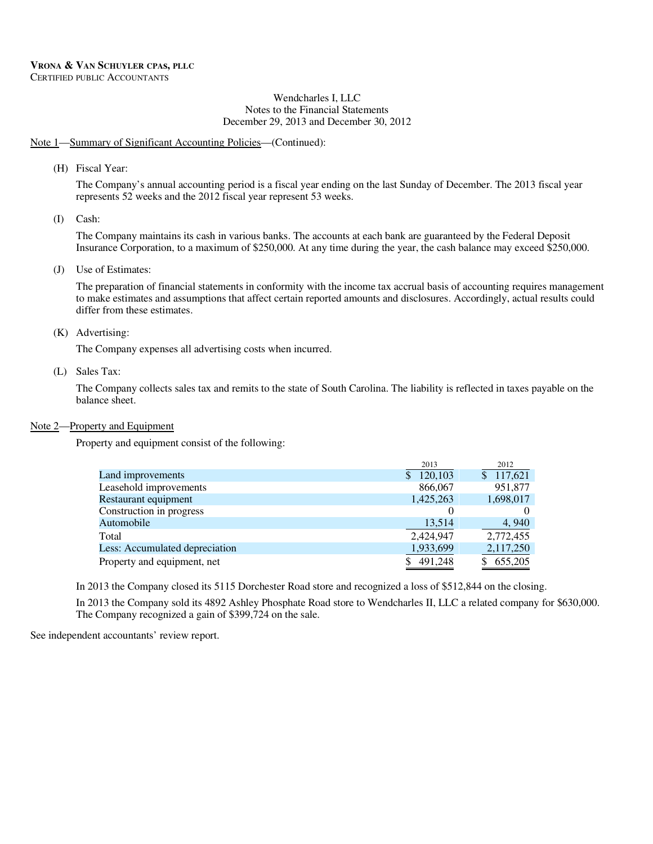## Note 1—Summary of Significant Accounting Policies—(Continued):

(H) Fiscal Year:

The Company's annual accounting period is a fiscal year ending on the last Sunday of December. The 2013 fiscal year represents 52 weeks and the 2012 fiscal year represent 53 weeks.

(I) Cash:

The Company maintains its cash in various banks. The accounts at each bank are guaranteed by the Federal Deposit Insurance Corporation, to a maximum of \$250,000. At any time during the year, the cash balance may exceed \$250,000.

(J) Use of Estimates:

The preparation of financial statements in conformity with the income tax accrual basis of accounting requires management to make estimates and assumptions that affect certain reported amounts and disclosures. Accordingly, actual results could differ from these estimates.

### (K) Advertising:

The Company expenses all advertising costs when incurred.

(L) Sales Tax:

The Company collects sales tax and remits to the state of South Carolina. The liability is reflected in taxes payable on the balance sheet.

## Note 2—Property and Equipment

Property and equipment consist of the following:

|                                | 2013           | 2012          |
|--------------------------------|----------------|---------------|
| Land improvements              | 120,103<br>\$. | 117,621<br>S. |
| Leasehold improvements         | 866,067        | 951,877       |
| Restaurant equipment           | 1,425,263      | 1,698,017     |
| Construction in progress       |                |               |
| Automobile                     | 13,514         | 4,940         |
| Total                          | 2,424,947      | 2,772,455     |
| Less: Accumulated depreciation | 1,933,699      | 2,117,250     |
| Property and equipment, net    | 491,248        | 655,205<br>S  |

In 2013 the Company closed its 5115 Dorchester Road store and recognized a loss of \$512,844 on the closing.

In 2013 the Company sold its 4892 Ashley Phosphate Road store to Wendcharles II, LLC a related company for \$630,000. The Company recognized a gain of \$399,724 on the sale.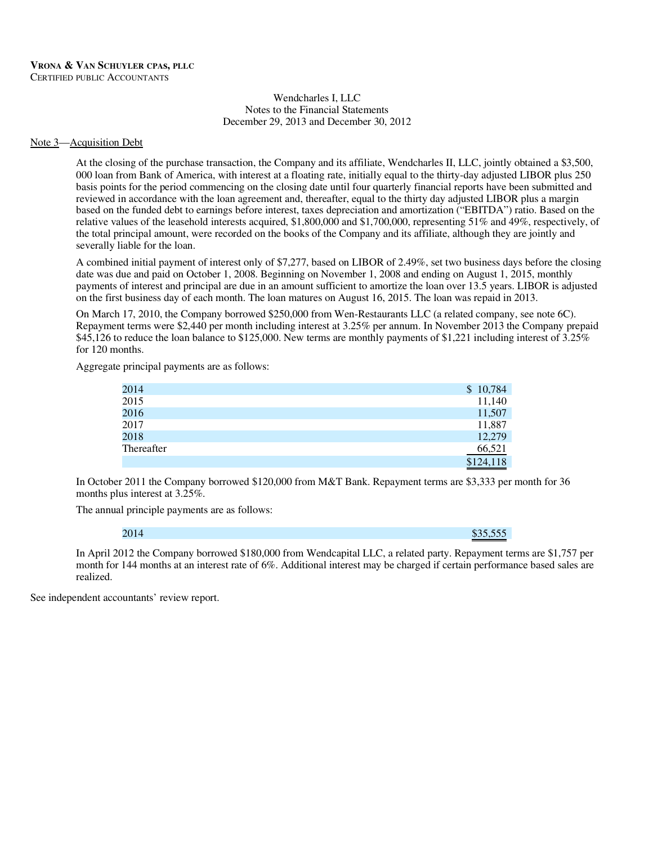### Note 3—Acquisition Debt

At the closing of the purchase transaction, the Company and its affiliate, Wendcharles II, LLC, jointly obtained a \$3,500, 000 loan from Bank of America, with interest at a floating rate, initially equal to the thirty-day adjusted LIBOR plus 250 basis points for the period commencing on the closing date until four quarterly financial reports have been submitted and reviewed in accordance with the loan agreement and, thereafter, equal to the thirty day adjusted LIBOR plus a margin based on the funded debt to earnings before interest, taxes depreciation and amortization ("EBITDA") ratio. Based on the relative values of the leasehold interests acquired, \$1,800,000 and \$1,700,000, representing 51% and 49%, respectively, of the total principal amount, were recorded on the books of the Company and its affiliate, although they are jointly and severally liable for the loan.

A combined initial payment of interest only of \$7,277, based on LIBOR of 2.49%, set two business days before the closing date was due and paid on October 1, 2008. Beginning on November 1, 2008 and ending on August 1, 2015, monthly payments of interest and principal are due in an amount sufficient to amortize the loan over 13.5 years. LIBOR is adjusted on the first business day of each month. The loan matures on August 16, 2015. The loan was repaid in 2013.

On March 17, 2010, the Company borrowed \$250,000 from Wen-Restaurants LLC (a related company, see note 6C). Repayment terms were \$2,440 per month including interest at 3.25% per annum. In November 2013 the Company prepaid \$45,126 to reduce the loan balance to \$125,000. New terms are monthly payments of \$1,221 including interest of 3.25% for 120 months.

Aggregate principal payments are as follows:

| 2014       | \$10,784  |
|------------|-----------|
| 2015       | 11,140    |
| 2016       | 11,507    |
| 2017       | 11,887    |
| 2018       | 12,279    |
| Thereafter | 66,521    |
|            | \$124,118 |

In October 2011 the Company borrowed \$120,000 from M&T Bank. Repayment terms are \$3,333 per month for 36 months plus interest at 3.25%.

The annual principle payments are as follows:

| 2014 | $\overline{a} = -\overline{a} = -$<br>$\bigcap$<br>m<br>J, J, |
|------|---------------------------------------------------------------|
|      |                                                               |

In April 2012 the Company borrowed \$180,000 from Wendcapital LLC, a related party. Repayment terms are \$1,757 per month for 144 months at an interest rate of 6%. Additional interest may be charged if certain performance based sales are realized.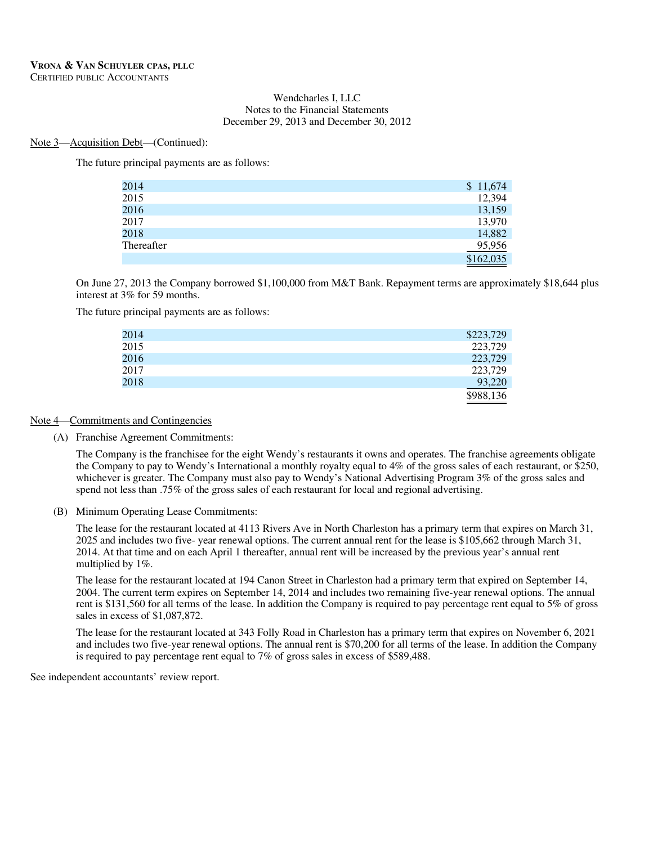### Note 3—Acquisition Debt—(Continued):

The future principal payments are as follows:

| 2014       | \$11,674  |
|------------|-----------|
| 2015       | 12,394    |
| 2016       | 13,159    |
| 2017       | 13,970    |
| 2018       | 14,882    |
| Thereafter | 95,956    |
|            | \$162,035 |

On June 27, 2013 the Company borrowed \$1,100,000 from M&T Bank. Repayment terms are approximately \$18,644 plus interest at 3% for 59 months.

The future principal payments are as follows:

| 2014 | \$223,729 |
|------|-----------|
| 2015 | 223,729   |
| 2016 | 223,729   |
| 2017 | 223,729   |
| 2018 | 93,220    |
|      | \$988,136 |

## Note 4—Commitments and Contingencies

(A) Franchise Agreement Commitments:

The Company is the franchisee for the eight Wendy's restaurants it owns and operates. The franchise agreements obligate the Company to pay to Wendy's International a monthly royalty equal to 4% of the gross sales of each restaurant, or \$250, whichever is greater. The Company must also pay to Wendy's National Advertising Program 3% of the gross sales and spend not less than .75% of the gross sales of each restaurant for local and regional advertising.

(B) Minimum Operating Lease Commitments:

The lease for the restaurant located at 4113 Rivers Ave in North Charleston has a primary term that expires on March 31, 2025 and includes two five- year renewal options. The current annual rent for the lease is \$105,662 through March 31, 2014. At that time and on each April 1 thereafter, annual rent will be increased by the previous year's annual rent multiplied by 1%.

The lease for the restaurant located at 194 Canon Street in Charleston had a primary term that expired on September 14, 2004. The current term expires on September 14, 2014 and includes two remaining five-year renewal options. The annual rent is \$131,560 for all terms of the lease. In addition the Company is required to pay percentage rent equal to 5% of gross sales in excess of \$1,087,872.

The lease for the restaurant located at 343 Folly Road in Charleston has a primary term that expires on November 6, 2021 and includes two five-year renewal options. The annual rent is \$70,200 for all terms of the lease. In addition the Company is required to pay percentage rent equal to 7% of gross sales in excess of \$589,488.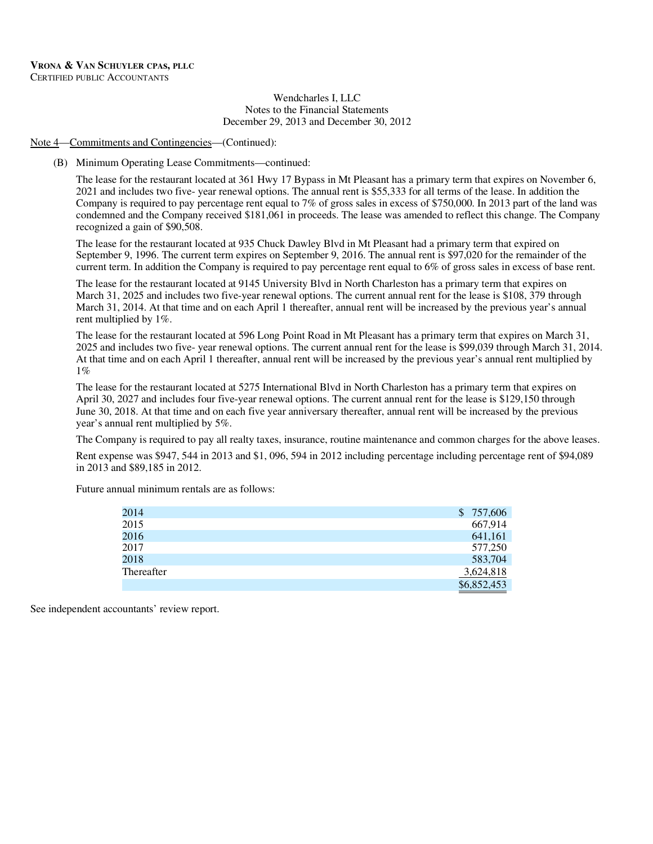### Note 4—Commitments and Contingencies—(Continued):

### (B) Minimum Operating Lease Commitments—continued:

The lease for the restaurant located at 361 Hwy 17 Bypass in Mt Pleasant has a primary term that expires on November 6, 2021 and includes two five- year renewal options. The annual rent is \$55,333 for all terms of the lease. In addition the Company is required to pay percentage rent equal to 7% of gross sales in excess of \$750,000. In 2013 part of the land was condemned and the Company received \$181,061 in proceeds. The lease was amended to reflect this change. The Company recognized a gain of \$90,508.

The lease for the restaurant located at 935 Chuck Dawley Blvd in Mt Pleasant had a primary term that expired on September 9, 1996. The current term expires on September 9, 2016. The annual rent is \$97,020 for the remainder of the current term. In addition the Company is required to pay percentage rent equal to 6% of gross sales in excess of base rent.

The lease for the restaurant located at 9145 University Blvd in North Charleston has a primary term that expires on March 31, 2025 and includes two five-year renewal options. The current annual rent for the lease is \$108, 379 through March 31, 2014. At that time and on each April 1 thereafter, annual rent will be increased by the previous year's annual rent multiplied by 1%.

The lease for the restaurant located at 596 Long Point Road in Mt Pleasant has a primary term that expires on March 31, 2025 and includes two five- year renewal options. The current annual rent for the lease is \$99,039 through March 31, 2014. At that time and on each April 1 thereafter, annual rent will be increased by the previous year's annual rent multiplied by  $1\%$ 

The lease for the restaurant located at 5275 International Blvd in North Charleston has a primary term that expires on April 30, 2027 and includes four five-year renewal options. The current annual rent for the lease is \$129,150 through June 30, 2018. At that time and on each five year anniversary thereafter, annual rent will be increased by the previous year's annual rent multiplied by 5%.

The Company is required to pay all realty taxes, insurance, routine maintenance and common charges for the above leases.

Rent expense was \$947, 544 in 2013 and \$1, 096, 594 in 2012 including percentage including percentage rent of \$94,089 in 2013 and \$89,185 in 2012.

Future annual minimum rentals are as follows:

| 2014       | \$757,606   |
|------------|-------------|
| 2015       | 667,914     |
| 2016       | 641,161     |
| 2017       | 577,250     |
| 2018       | 583,704     |
| Thereafter | 3,624,818   |
|            | \$6,852,453 |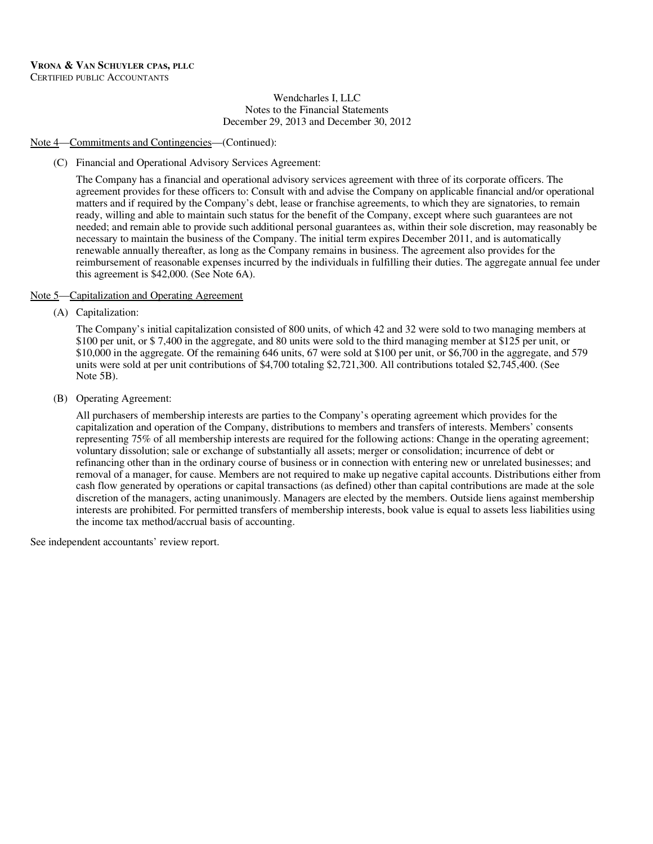## Note 4—Commitments and Contingencies—(Continued):

(C) Financial and Operational Advisory Services Agreement:

The Company has a financial and operational advisory services agreement with three of its corporate officers. The agreement provides for these officers to: Consult with and advise the Company on applicable financial and/or operational matters and if required by the Company's debt, lease or franchise agreements, to which they are signatories, to remain ready, willing and able to maintain such status for the benefit of the Company, except where such guarantees are not needed; and remain able to provide such additional personal guarantees as, within their sole discretion, may reasonably be necessary to maintain the business of the Company. The initial term expires December 2011, and is automatically renewable annually thereafter, as long as the Company remains in business. The agreement also provides for the reimbursement of reasonable expenses incurred by the individuals in fulfilling their duties. The aggregate annual fee under this agreement is \$42,000. (See Note 6A).

### Note 5—Capitalization and Operating Agreement

(A) Capitalization:

The Company's initial capitalization consisted of 800 units, of which 42 and 32 were sold to two managing members at \$100 per unit, or \$ 7,400 in the aggregate, and 80 units were sold to the third managing member at \$125 per unit, or \$10,000 in the aggregate. Of the remaining 646 units, 67 were sold at \$100 per unit, or \$6,700 in the aggregate, and 579 units were sold at per unit contributions of \$4,700 totaling \$2,721,300. All contributions totaled \$2,745,400. (See Note 5B).

(B) Operating Agreement:

All purchasers of membership interests are parties to the Company's operating agreement which provides for the capitalization and operation of the Company, distributions to members and transfers of interests. Members' consents representing 75% of all membership interests are required for the following actions: Change in the operating agreement; voluntary dissolution; sale or exchange of substantially all assets; merger or consolidation; incurrence of debt or refinancing other than in the ordinary course of business or in connection with entering new or unrelated businesses; and removal of a manager, for cause. Members are not required to make up negative capital accounts. Distributions either from cash flow generated by operations or capital transactions (as defined) other than capital contributions are made at the sole discretion of the managers, acting unanimously. Managers are elected by the members. Outside liens against membership interests are prohibited. For permitted transfers of membership interests, book value is equal to assets less liabilities using the income tax method/accrual basis of accounting.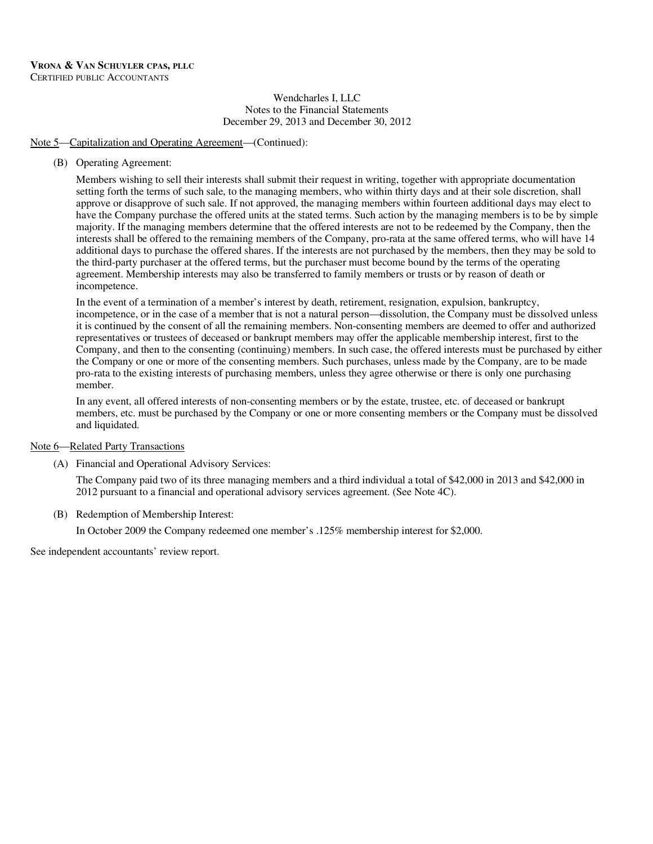## Note 5—Capitalization and Operating Agreement—(Continued):

(B) Operating Agreement:

Members wishing to sell their interests shall submit their request in writing, together with appropriate documentation setting forth the terms of such sale, to the managing members, who within thirty days and at their sole discretion, shall approve or disapprove of such sale. If not approved, the managing members within fourteen additional days may elect to have the Company purchase the offered units at the stated terms. Such action by the managing members is to be by simple majority. If the managing members determine that the offered interests are not to be redeemed by the Company, then the interests shall be offered to the remaining members of the Company, pro-rata at the same offered terms, who will have 14 additional days to purchase the offered shares. If the interests are not purchased by the members, then they may be sold to the third-party purchaser at the offered terms, but the purchaser must become bound by the terms of the operating agreement. Membership interests may also be transferred to family members or trusts or by reason of death or incompetence.

In the event of a termination of a member's interest by death, retirement, resignation, expulsion, bankruptcy, incompetence, or in the case of a member that is not a natural person—dissolution, the Company must be dissolved unless it is continued by the consent of all the remaining members. Non-consenting members are deemed to offer and authorized representatives or trustees of deceased or bankrupt members may offer the applicable membership interest, first to the Company, and then to the consenting (continuing) members. In such case, the offered interests must be purchased by either the Company or one or more of the consenting members. Such purchases, unless made by the Company, are to be made pro-rata to the existing interests of purchasing members, unless they agree otherwise or there is only one purchasing member.

In any event, all offered interests of non-consenting members or by the estate, trustee, etc. of deceased or bankrupt members, etc. must be purchased by the Company or one or more consenting members or the Company must be dissolved and liquidated.

### Note 6—Related Party Transactions

(A) Financial and Operational Advisory Services:

The Company paid two of its three managing members and a third individual a total of \$42,000 in 2013 and \$42,000 in 2012 pursuant to a financial and operational advisory services agreement. (See Note 4C).

(B) Redemption of Membership Interest:

In October 2009 the Company redeemed one member's .125% membership interest for \$2,000.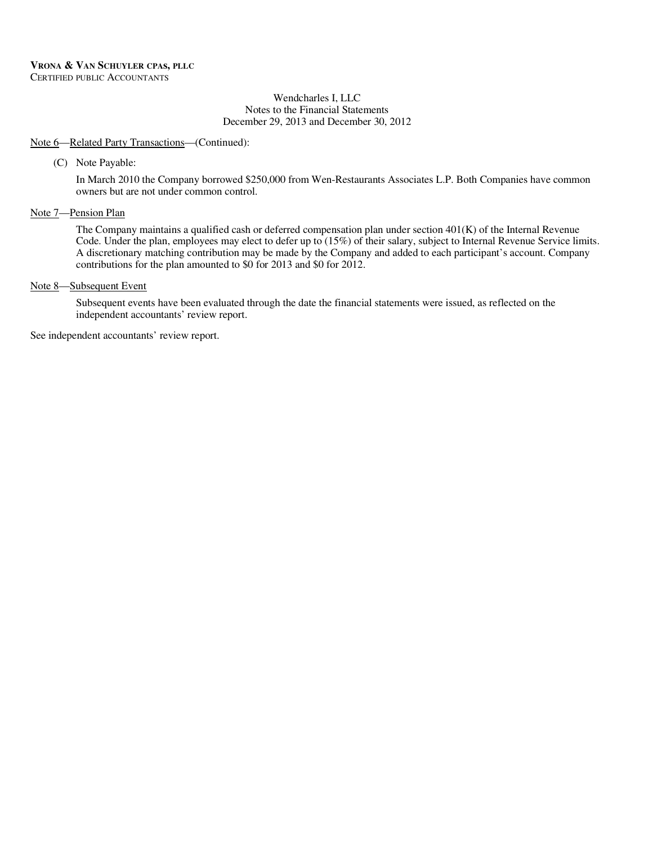### Note 6—Related Party Transactions—(Continued):

(C) Note Payable:

In March 2010 the Company borrowed \$250,000 from Wen-Restaurants Associates L.P. Both Companies have common owners but are not under common control.

## Note 7-Pension Plan

The Company maintains a qualified cash or deferred compensation plan under section  $401(K)$  of the Internal Revenue Code. Under the plan, employees may elect to defer up to (15%) of their salary, subject to Internal Revenue Service limits. A discretionary matching contribution may be made by the Company and added to each participant's account. Company contributions for the plan amounted to \$0 for 2013 and \$0 for 2012.

## Note 8—Subsequent Event

Subsequent events have been evaluated through the date the financial statements were issued, as reflected on the independent accountants' review report.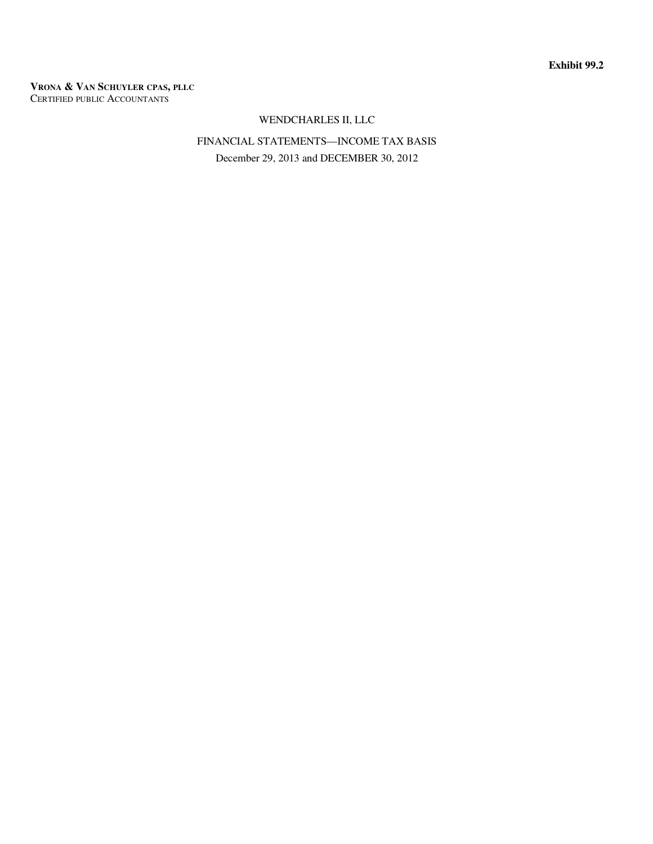**Exhibit 99.2** 

## **VRONA & VAN SCHUYLER CPAS, PLLC** CERTIFIED PUBLIC ACCOUNTANTS

## WENDCHARLES II, LLC

FINANCIAL STATEMENTS—INCOME TAX BASIS December 29, 2013 and DECEMBER 30, 2012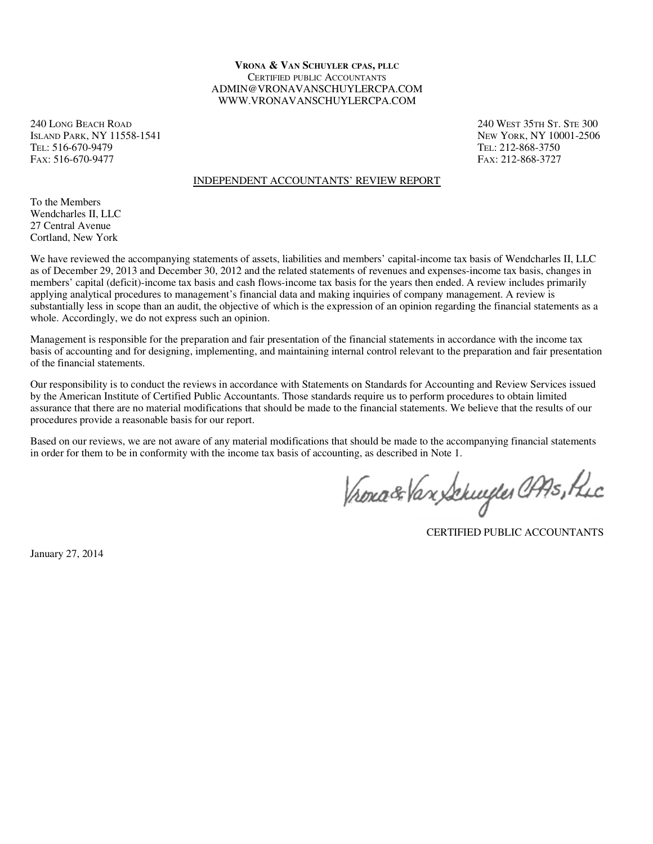### **VRONA & VAN SCHUYLER CPAS, PLLC** CERTIFIED PUBLIC ACCOUNTANTS ADMIN@VRONAVANSCHUYLERCPA.COM WWW.VRONAVANSCHUYLERCPA.COM

240 Long Beach Road (2008) 240 West 35th St. Ste 300<br>240 West 35th St. Ste 300<br>2506 New York, NY 11558-1541 ISLAND PARK, NY 11558-1541<br>TEL: 516-670-9479 FAX: 516-670-9477

TEL: 212-868-3750<br>FAX: 212-868-3727

## INDEPENDENT ACCOUNTANTS' REVIEW REPORT

To the Members Wendcharles II, LLC 27 Central Avenue Cortland, New York

We have reviewed the accompanying statements of assets, liabilities and members' capital-income tax basis of Wendcharles II, LLC as of December 29, 2013 and December 30, 2012 and the related statements of revenues and expenses-income tax basis, changes in members' capital (deficit)-income tax basis and cash flows-income tax basis for the years then ended. A review includes primarily applying analytical procedures to management's financial data and making inquiries of company management. A review is substantially less in scope than an audit, the objective of which is the expression of an opinion regarding the financial statements as a whole. Accordingly, we do not express such an opinion.

Management is responsible for the preparation and fair presentation of the financial statements in accordance with the income tax basis of accounting and for designing, implementing, and maintaining internal control relevant to the preparation and fair presentation of the financial statements.

Our responsibility is to conduct the reviews in accordance with Statements on Standards for Accounting and Review Services issued by the American Institute of Certified Public Accountants. Those standards require us to perform procedures to obtain limited assurance that there are no material modifications that should be made to the financial statements. We believe that the results of our procedures provide a reasonable basis for our report.

Based on our reviews, we are not aware of any material modifications that should be made to the accompanying financial statements in order for them to be in conformity with the income tax basis of accounting, as described in Note 1.

Vrona&VanSchuyler CAAs, Puc

CERTIFIED PUBLIC ACCOUNTANTS

January 27, 2014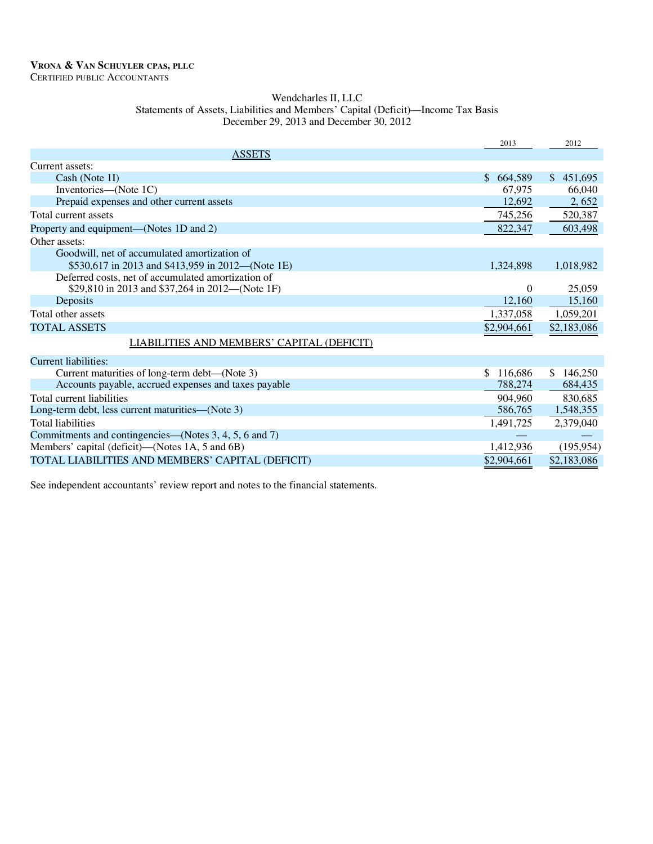## Wendcharles II, LLC Statements of Assets, Liabilities and Members' Capital (Deficit)—Income Tax Basis December 29, 2013 and December 30, 2012

|                                                        | 2013           | 2012        |
|--------------------------------------------------------|----------------|-------------|
| <b>ASSETS</b>                                          |                |             |
| Current assets:                                        |                |             |
| Cash (Note 1I)                                         | \$.<br>664,589 | \$451,695   |
| Inventories—(Note 1C)                                  | 67,975         | 66,040      |
| Prepaid expenses and other current assets              | 12,692         | 2,652       |
| Total current assets                                   | 745,256        | 520,387     |
| Property and equipment—(Notes 1D and 2)                | 822,347        | 603,498     |
| Other assets:                                          |                |             |
| Goodwill, net of accumulated amortization of           |                |             |
| \$530,617 in 2013 and \$413,959 in 2012—(Note 1E)      | 1,324,898      | 1,018,982   |
| Deferred costs, net of accumulated amortization of     |                |             |
| \$29,810 in 2013 and \$37,264 in 2012—(Note 1F)        | $\Omega$       | 25,059      |
| Deposits                                               | 12,160         | 15,160      |
| Total other assets                                     | 1,337,058      | 1,059,201   |
| <b>TOTAL ASSETS</b>                                    | \$2,904,661    | \$2,183,086 |
| LIABILITIES AND MEMBERS' CAPITAL (DEFICIT)             |                |             |
| Current liabilities:                                   |                |             |
| Current maturities of long-term debt—(Note 3)          | \$<br>116,686  | \$146,250   |
| Accounts payable, accrued expenses and taxes payable   | 788,274        | 684,435     |
| Total current liabilities                              | 904.960        | 830,685     |
| Long-term debt, less current maturities—(Note 3)       | 586,765        | 1,548,355   |
| <b>Total liabilities</b>                               | 1,491,725      | 2,379,040   |
| Commitments and contingencies—(Notes 3, 4, 5, 6 and 7) |                |             |
| Members' capital (deficit)—(Notes 1A, 5 and 6B)        | 1,412,936      | (195, 954)  |
| TOTAL LIABILITIES AND MEMBERS' CAPITAL (DEFICIT)       | \$2,904,661    | \$2,183,086 |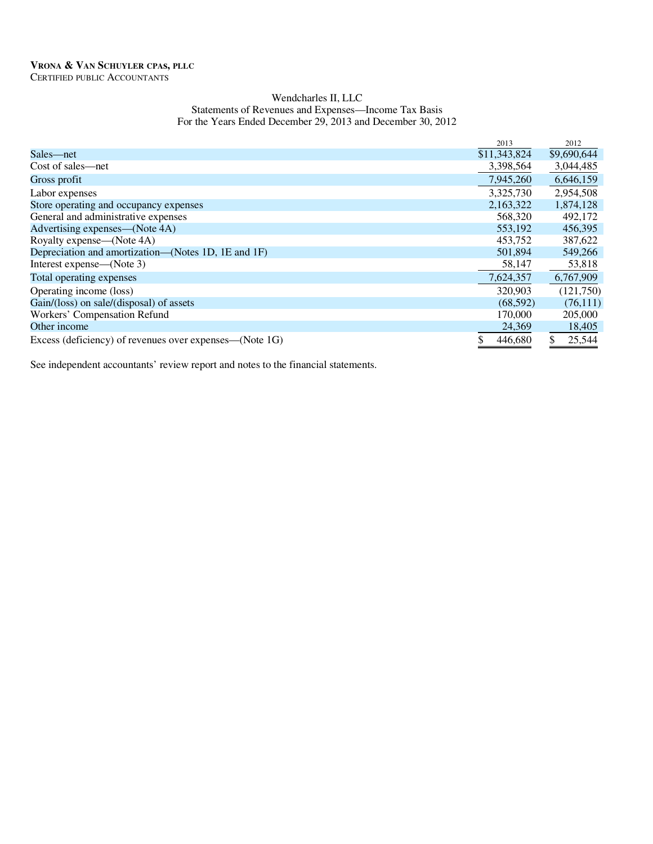## Wendcharles II, LLC

Statements of Revenues and Expenses—Income Tax Basis For the Years Ended December 29, 2013 and December 30, 2012

|                                                         | 2013         | 2012        |
|---------------------------------------------------------|--------------|-------------|
| Sales—net                                               | \$11,343,824 | \$9,690,644 |
| Cost of sales—net                                       | 3,398,564    | 3,044,485   |
| Gross profit                                            | 7,945,260    | 6,646,159   |
| Labor expenses                                          | 3,325,730    | 2,954,508   |
| Store operating and occupancy expenses                  | 2,163,322    | 1,874,128   |
| General and administrative expenses                     | 568,320      | 492,172     |
| Advertising expenses—(Note 4A)                          | 553,192      | 456,395     |
| Royalty expense—(Note 4A)                               | 453,752      | 387,622     |
| Depreciation and amortization—(Notes 1D, 1E and 1F)     | 501,894      | 549,266     |
| Interest expense—(Note 3)                               | 58,147       | 53,818      |
| Total operating expenses                                | 7,624,357    | 6,767,909   |
| Operating income (loss)                                 | 320,903      | (121,750)   |
| Gain/(loss) on sale/(disposal) of assets                | (68, 592)    | (76,111)    |
| Workers' Compensation Refund                            | 170,000      | 205,000     |
| Other income                                            | 24,369       | 18,405      |
| Excess (deficiency) of revenues over expenses—(Note 1G) | 446,680      | 25,544      |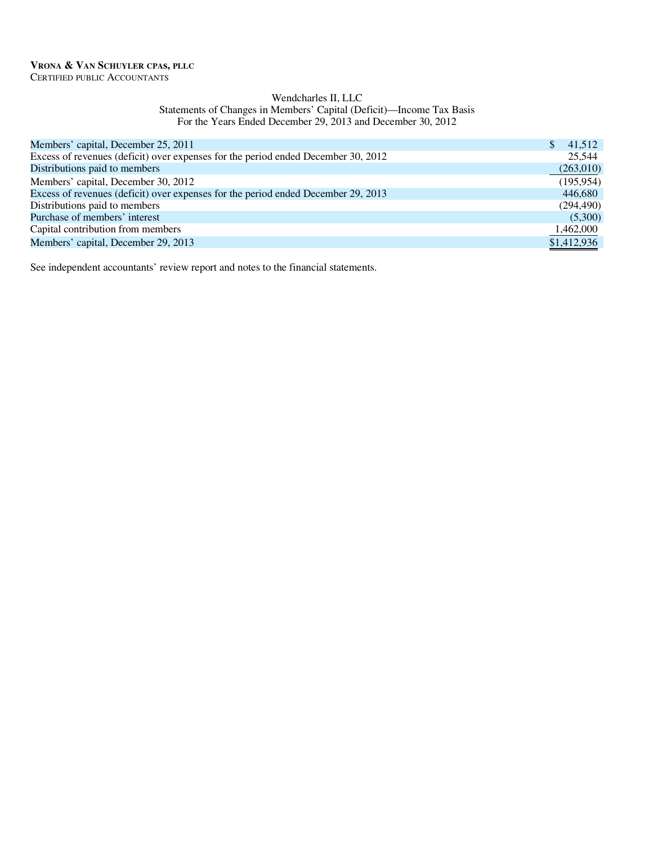## Wendcharles II, LLC Statements of Changes in Members' Capital (Deficit)—Income Tax Basis For the Years Ended December 29, 2013 and December 30, 2012

| Members' capital, December 25, 2011                                               | 41,512      |
|-----------------------------------------------------------------------------------|-------------|
| Excess of revenues (deficit) over expenses for the period ended December 30, 2012 | 25.544      |
| Distributions paid to members                                                     | (263,010)   |
| Members' capital, December 30, 2012                                               | (195, 954)  |
| Excess of revenues (deficit) over expenses for the period ended December 29, 2013 | 446,680     |
| Distributions paid to members                                                     | (294, 490)  |
| Purchase of members' interest                                                     | (5,300)     |
| Capital contribution from members                                                 | 1,462,000   |
| Members' capital, December 29, 2013                                               | \$1,412,936 |
|                                                                                   |             |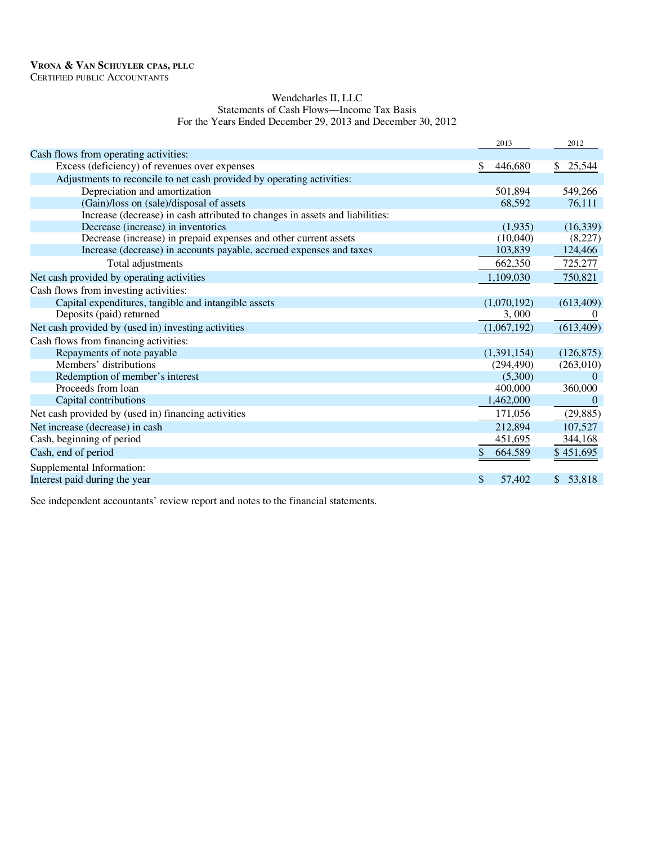## Wendcharles II, LLC Statements of Cash Flows—Income Tax Basis For the Years Ended December 29, 2013 and December 30, 2012

|                                                                              | 2013          | 2012         |
|------------------------------------------------------------------------------|---------------|--------------|
| Cash flows from operating activities:                                        |               |              |
| Excess (deficiency) of revenues over expenses                                | \$<br>446,680 | 25,544<br>\$ |
| Adjustments to reconcile to net cash provided by operating activities:       |               |              |
| Depreciation and amortization                                                | 501,894       | 549,266      |
| (Gain)/loss on (sale)/disposal of assets                                     | 68.592        | 76,111       |
| Increase (decrease) in cash attributed to changes in assets and liabilities: |               |              |
| Decrease (increase) in inventories                                           | (1,935)       | (16, 339)    |
| Decrease (increase) in prepaid expenses and other current assets             | (10,040)      | (8,227)      |
| Increase (decrease) in accounts payable, accrued expenses and taxes          | 103,839       | 124,466      |
| Total adjustments                                                            | 662,350       | 725,277      |
| Net cash provided by operating activities                                    | 1,109,030     | 750,821      |
| Cash flows from investing activities:                                        |               |              |
| Capital expenditures, tangible and intangible assets                         | (1,070,192)   | (613, 409)   |
| Deposits (paid) returned                                                     | 3,000         | O            |
| Net cash provided by (used in) investing activities                          | (1,067,192)   | (613, 409)   |
| Cash flows from financing activities:                                        |               |              |
| Repayments of note payable                                                   | (1,391,154)   | (126, 875)   |
| Members' distributions                                                       | (294, 490)    | (263,010)    |
| Redemption of member's interest                                              | (5,300)       |              |
| Proceeds from loan                                                           | 400,000       | 360,000      |
| Capital contributions                                                        | 1,462,000     | $\Omega$     |
| Net cash provided by (used in) financing activities                          | 171,056       | (29, 885)    |
| Net increase (decrease) in cash                                              | 212,894       | 107,527      |
| Cash, beginning of period                                                    | 451,695       | 344,168      |
| Cash, end of period                                                          | \$<br>664.589 | \$451,695    |
| Supplemental Information:                                                    |               |              |
| Interest paid during the year                                                | \$<br>57,402  | \$53,818     |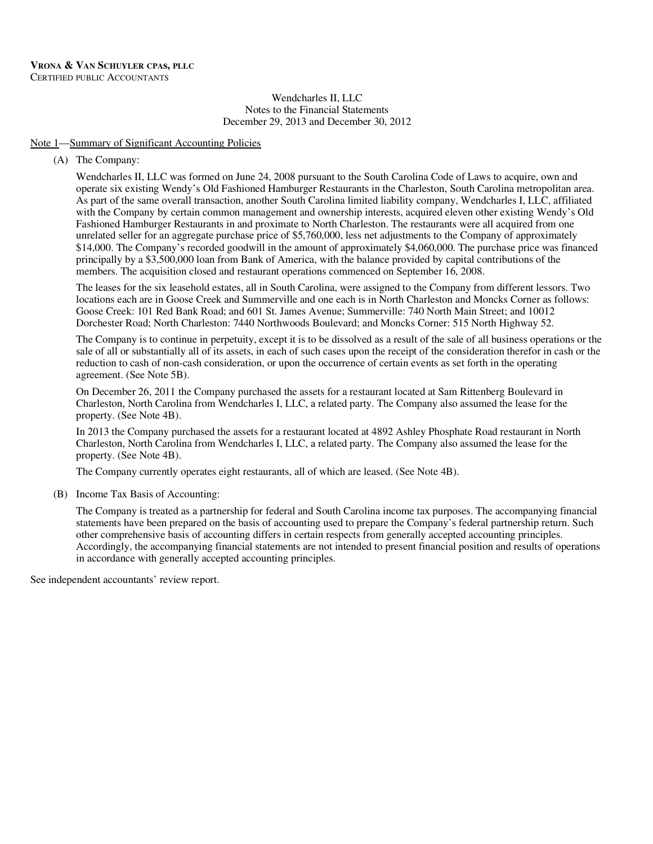## Note 1—Summary of Significant Accounting Policies

(A) The Company:

Wendcharles II, LLC was formed on June 24, 2008 pursuant to the South Carolina Code of Laws to acquire, own and operate six existing Wendy's Old Fashioned Hamburger Restaurants in the Charleston, South Carolina metropolitan area. As part of the same overall transaction, another South Carolina limited liability company, Wendcharles I, LLC, affiliated with the Company by certain common management and ownership interests, acquired eleven other existing Wendy's Old Fashioned Hamburger Restaurants in and proximate to North Charleston. The restaurants were all acquired from one unrelated seller for an aggregate purchase price of \$5,760,000, less net adjustments to the Company of approximately \$14,000. The Company's recorded goodwill in the amount of approximately \$4,060,000. The purchase price was financed principally by a \$3,500,000 loan from Bank of America, with the balance provided by capital contributions of the members. The acquisition closed and restaurant operations commenced on September 16, 2008.

The leases for the six leasehold estates, all in South Carolina, were assigned to the Company from different lessors. Two locations each are in Goose Creek and Summerville and one each is in North Charleston and Moncks Corner as follows: Goose Creek: 101 Red Bank Road; and 601 St. James Avenue; Summerville: 740 North Main Street; and 10012 Dorchester Road; North Charleston: 7440 Northwoods Boulevard; and Moncks Corner: 515 North Highway 52.

The Company is to continue in perpetuity, except it is to be dissolved as a result of the sale of all business operations or the sale of all or substantially all of its assets, in each of such cases upon the receipt of the consideration therefor in cash or the reduction to cash of non-cash consideration, or upon the occurrence of certain events as set forth in the operating agreement. (See Note 5B).

On December 26, 2011 the Company purchased the assets for a restaurant located at Sam Rittenberg Boulevard in Charleston, North Carolina from Wendcharles I, LLC, a related party. The Company also assumed the lease for the property. (See Note 4B).

In 2013 the Company purchased the assets for a restaurant located at 4892 Ashley Phosphate Road restaurant in North Charleston, North Carolina from Wendcharles I, LLC, a related party. The Company also assumed the lease for the property. (See Note 4B).

The Company currently operates eight restaurants, all of which are leased. (See Note 4B).

(B) Income Tax Basis of Accounting:

The Company is treated as a partnership for federal and South Carolina income tax purposes. The accompanying financial statements have been prepared on the basis of accounting used to prepare the Company's federal partnership return. Such other comprehensive basis of accounting differs in certain respects from generally accepted accounting principles. Accordingly, the accompanying financial statements are not intended to present financial position and results of operations in accordance with generally accepted accounting principles.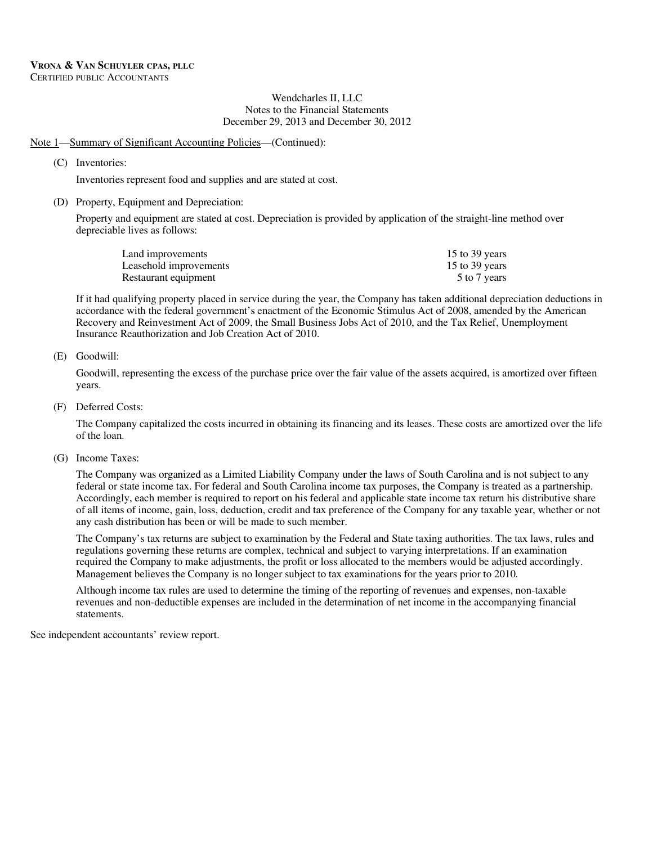### Note 1—Summary of Significant Accounting Policies—(Continued):

(C) Inventories:

Inventories represent food and supplies and are stated at cost.

(D) Property, Equipment and Depreciation:

Property and equipment are stated at cost. Depreciation is provided by application of the straight-line method over depreciable lives as follows:

| Land improvements      | 15 to 39 years |
|------------------------|----------------|
| Leasehold improvements | 15 to 39 years |
| Restaurant equipment   | 5 to 7 years   |

If it had qualifying property placed in service during the year, the Company has taken additional depreciation deductions in accordance with the federal government's enactment of the Economic Stimulus Act of 2008, amended by the American Recovery and Reinvestment Act of 2009, the Small Business Jobs Act of 2010, and the Tax Relief, Unemployment Insurance Reauthorization and Job Creation Act of 2010.

(E) Goodwill:

Goodwill, representing the excess of the purchase price over the fair value of the assets acquired, is amortized over fifteen years.

(F) Deferred Costs:

The Company capitalized the costs incurred in obtaining its financing and its leases. These costs are amortized over the life of the loan.

(G) Income Taxes:

The Company was organized as a Limited Liability Company under the laws of South Carolina and is not subject to any federal or state income tax. For federal and South Carolina income tax purposes, the Company is treated as a partnership. Accordingly, each member is required to report on his federal and applicable state income tax return his distributive share of all items of income, gain, loss, deduction, credit and tax preference of the Company for any taxable year, whether or not any cash distribution has been or will be made to such member.

The Company's tax returns are subject to examination by the Federal and State taxing authorities. The tax laws, rules and regulations governing these returns are complex, technical and subject to varying interpretations. If an examination required the Company to make adjustments, the profit or loss allocated to the members would be adjusted accordingly. Management believes the Company is no longer subject to tax examinations for the years prior to 2010.

Although income tax rules are used to determine the timing of the reporting of revenues and expenses, non-taxable revenues and non-deductible expenses are included in the determination of net income in the accompanying financial statements.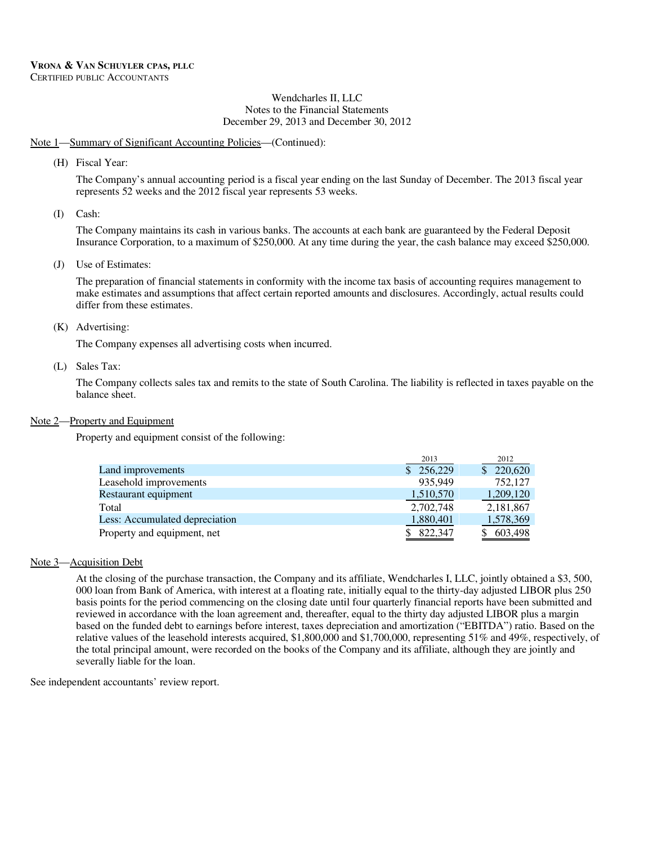## Note 1—Summary of Significant Accounting Policies—(Continued):

(H) Fiscal Year:

The Company's annual accounting period is a fiscal year ending on the last Sunday of December. The 2013 fiscal year represents 52 weeks and the 2012 fiscal year represents 53 weeks.

(I) Cash:

The Company maintains its cash in various banks. The accounts at each bank are guaranteed by the Federal Deposit Insurance Corporation, to a maximum of \$250,000. At any time during the year, the cash balance may exceed \$250,000.

(J) Use of Estimates:

The preparation of financial statements in conformity with the income tax basis of accounting requires management to make estimates and assumptions that affect certain reported amounts and disclosures. Accordingly, actual results could differ from these estimates.

(K) Advertising:

The Company expenses all advertising costs when incurred.

### (L) Sales Tax:

The Company collects sales tax and remits to the state of South Carolina. The liability is reflected in taxes payable on the balance sheet.

## Note 2—Property and Equipment

Property and equipment consist of the following:

|                                | 2013      | 2012      |
|--------------------------------|-----------|-----------|
| Land improvements              | 256,229   | 220,620   |
| Leasehold improvements         | 935.949   | 752,127   |
| Restaurant equipment           | 1,510,570 | 1,209,120 |
| Total                          | 2,702,748 | 2,181,867 |
| Less: Accumulated depreciation | 1,880,401 | 1,578,369 |
| Property and equipment, net    | 822,347   | 603,498   |

## Note 3—Acquisition Debt

At the closing of the purchase transaction, the Company and its affiliate, Wendcharles I, LLC, jointly obtained a \$3, 500, 000 loan from Bank of America, with interest at a floating rate, initially equal to the thirty-day adjusted LIBOR plus 250 basis points for the period commencing on the closing date until four quarterly financial reports have been submitted and reviewed in accordance with the loan agreement and, thereafter, equal to the thirty day adjusted LIBOR plus a margin based on the funded debt to earnings before interest, taxes depreciation and amortization ("EBITDA") ratio. Based on the relative values of the leasehold interests acquired, \$1,800,000 and \$1,700,000, representing 51% and 49%, respectively, of the total principal amount, were recorded on the books of the Company and its affiliate, although they are jointly and severally liable for the loan.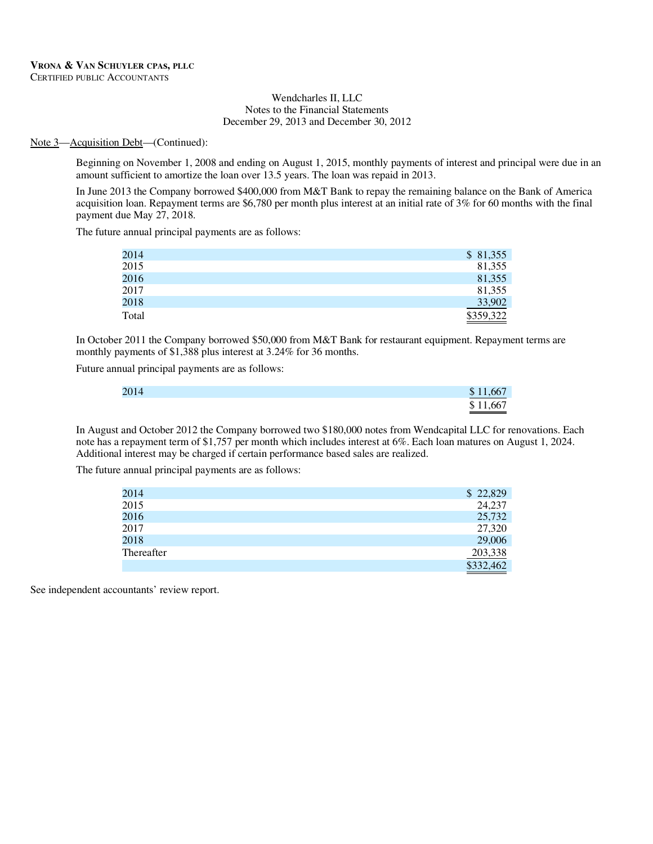### Note 3—Acquisition Debt—(Continued):

Beginning on November 1, 2008 and ending on August 1, 2015, monthly payments of interest and principal were due in an amount sufficient to amortize the loan over 13.5 years. The loan was repaid in 2013.

In June 2013 the Company borrowed \$400,000 from M&T Bank to repay the remaining balance on the Bank of America acquisition loan. Repayment terms are \$6,780 per month plus interest at an initial rate of 3% for 60 months with the final payment due May 27, 2018.

The future annual principal payments are as follows:

| 2014  | \$81,355  |
|-------|-----------|
| 2015  | 81,355    |
| 2016  | 81,355    |
| 2017  | 81,355    |
| 2018  | 33,902    |
| Total | \$359,322 |

In October 2011 the Company borrowed \$50,000 from M&T Bank for restaurant equipment. Repayment terms are monthly payments of \$1,388 plus interest at 3.24% for 36 months.

Future annual principal payments are as follows:

| 2014 | \$11,667 |
|------|----------|
|      | \$11,667 |

In August and October 2012 the Company borrowed two \$180,000 notes from Wendcapital LLC for renovations. Each note has a repayment term of \$1,757 per month which includes interest at 6%. Each loan matures on August 1, 2024. Additional interest may be charged if certain performance based sales are realized.

The future annual principal payments are as follows:

| 2014       | \$22,829  |
|------------|-----------|
| 2015       | 24,237    |
| 2016       | 25,732    |
| 2017       | 27,320    |
| 2018       | 29,006    |
| Thereafter | 203,338   |
|            | \$332,462 |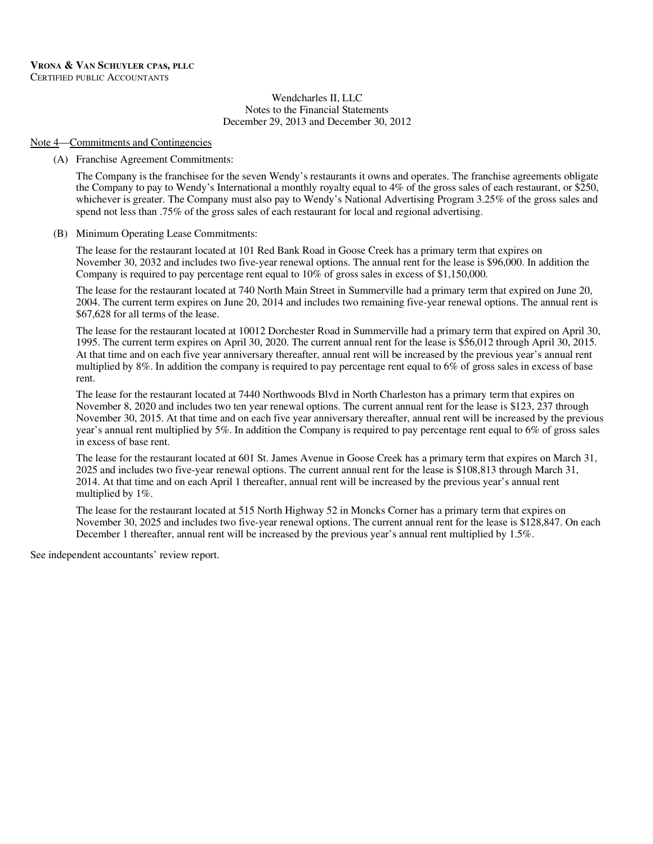### Note 4—Commitments and Contingencies

### (A) Franchise Agreement Commitments:

The Company is the franchisee for the seven Wendy's restaurants it owns and operates. The franchise agreements obligate the Company to pay to Wendy's International a monthly royalty equal to 4% of the gross sales of each restaurant, or \$250, whichever is greater. The Company must also pay to Wendy's National Advertising Program 3.25% of the gross sales and spend not less than .75% of the gross sales of each restaurant for local and regional advertising.

### (B) Minimum Operating Lease Commitments:

The lease for the restaurant located at 101 Red Bank Road in Goose Creek has a primary term that expires on November 30, 2032 and includes two five-year renewal options. The annual rent for the lease is \$96,000. In addition the Company is required to pay percentage rent equal to 10% of gross sales in excess of \$1,150,000.

The lease for the restaurant located at 740 North Main Street in Summerville had a primary term that expired on June 20, 2004. The current term expires on June 20, 2014 and includes two remaining five-year renewal options. The annual rent is \$67,628 for all terms of the lease.

The lease for the restaurant located at 10012 Dorchester Road in Summerville had a primary term that expired on April 30, 1995. The current term expires on April 30, 2020. The current annual rent for the lease is \$56,012 through April 30, 2015. At that time and on each five year anniversary thereafter, annual rent will be increased by the previous year's annual rent multiplied by 8%. In addition the company is required to pay percentage rent equal to 6% of gross sales in excess of base rent.

The lease for the restaurant located at 7440 Northwoods Blvd in North Charleston has a primary term that expires on November 8, 2020 and includes two ten year renewal options. The current annual rent for the lease is \$123, 237 through November 30, 2015. At that time and on each five year anniversary thereafter, annual rent will be increased by the previous year's annual rent multiplied by 5%. In addition the Company is required to pay percentage rent equal to 6% of gross sales in excess of base rent.

The lease for the restaurant located at 601 St. James Avenue in Goose Creek has a primary term that expires on March 31, 2025 and includes two five-year renewal options. The current annual rent for the lease is \$108,813 through March 31, 2014. At that time and on each April 1 thereafter, annual rent will be increased by the previous year's annual rent multiplied by 1%.

The lease for the restaurant located at 515 North Highway 52 in Moncks Corner has a primary term that expires on November 30, 2025 and includes two five-year renewal options. The current annual rent for the lease is \$128,847. On each December 1 thereafter, annual rent will be increased by the previous year's annual rent multiplied by 1.5%.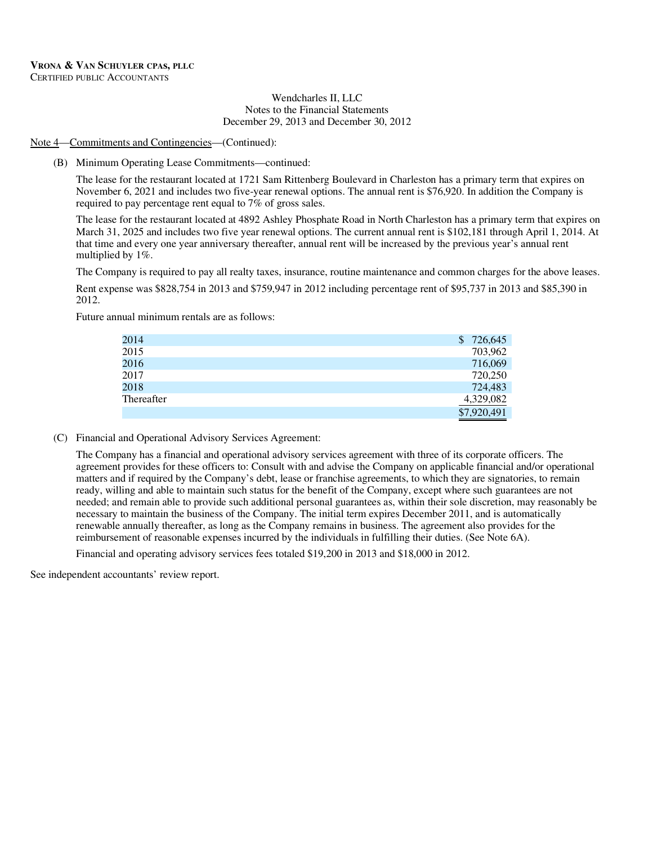### Note 4—Commitments and Contingencies—(Continued):

### (B) Minimum Operating Lease Commitments—continued:

The lease for the restaurant located at 1721 Sam Rittenberg Boulevard in Charleston has a primary term that expires on November 6, 2021 and includes two five-year renewal options. The annual rent is \$76,920. In addition the Company is required to pay percentage rent equal to 7% of gross sales.

The lease for the restaurant located at 4892 Ashley Phosphate Road in North Charleston has a primary term that expires on March 31, 2025 and includes two five year renewal options. The current annual rent is \$102,181 through April 1, 2014. At that time and every one year anniversary thereafter, annual rent will be increased by the previous year's annual rent multiplied by 1%.

The Company is required to pay all realty taxes, insurance, routine maintenance and common charges for the above leases.

Rent expense was \$828,754 in 2013 and \$759,947 in 2012 including percentage rent of \$95,737 in 2013 and \$85,390 in 2012.

Future annual minimum rentals are as follows:

| 2014       | 726,645<br>$\mathbb{S}^-$ |
|------------|---------------------------|
| 2015       | 703,962                   |
| 2016       | 716,069                   |
| 2017       | 720,250                   |
| 2018       | 724,483                   |
| Thereafter | 4,329,082                 |
|            | \$7,920,491               |

(C) Financial and Operational Advisory Services Agreement:

The Company has a financial and operational advisory services agreement with three of its corporate officers. The agreement provides for these officers to: Consult with and advise the Company on applicable financial and/or operational matters and if required by the Company's debt, lease or franchise agreements, to which they are signatories, to remain ready, willing and able to maintain such status for the benefit of the Company, except where such guarantees are not needed; and remain able to provide such additional personal guarantees as, within their sole discretion, may reasonably be necessary to maintain the business of the Company. The initial term expires December 2011, and is automatically renewable annually thereafter, as long as the Company remains in business. The agreement also provides for the reimbursement of reasonable expenses incurred by the individuals in fulfilling their duties. (See Note 6A).

Financial and operating advisory services fees totaled \$19,200 in 2013 and \$18,000 in 2012.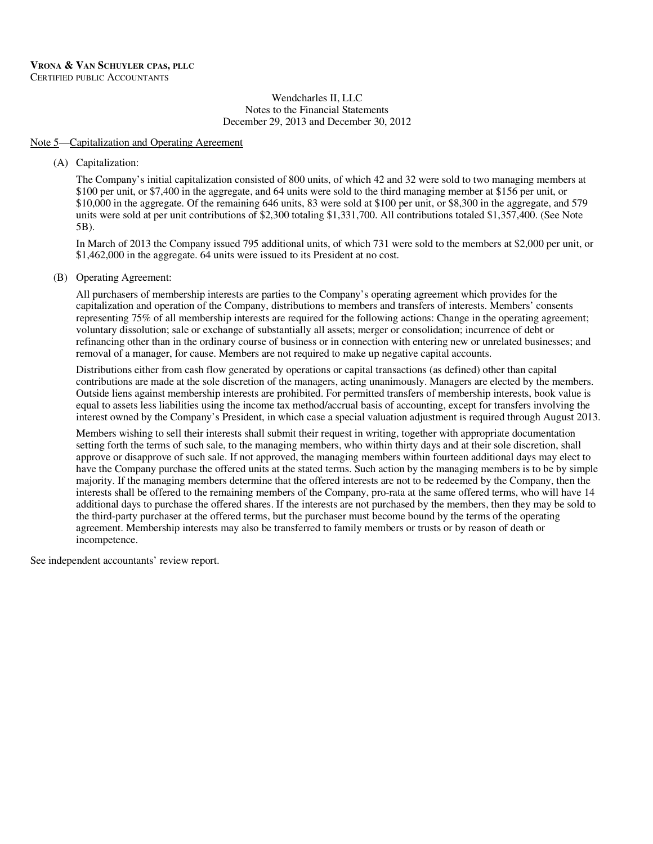## Note 5—Capitalization and Operating Agreement

(A) Capitalization:

The Company's initial capitalization consisted of 800 units, of which 42 and 32 were sold to two managing members at \$100 per unit, or \$7,400 in the aggregate, and 64 units were sold to the third managing member at \$156 per unit, or \$10,000 in the aggregate. Of the remaining 646 units, 83 were sold at \$100 per unit, or \$8,300 in the aggregate, and 579 units were sold at per unit contributions of \$2,300 totaling \$1,331,700. All contributions totaled \$1,357,400. (See Note 5B).

In March of 2013 the Company issued 795 additional units, of which 731 were sold to the members at \$2,000 per unit, or \$1,462,000 in the aggregate. 64 units were issued to its President at no cost.

(B) Operating Agreement:

All purchasers of membership interests are parties to the Company's operating agreement which provides for the capitalization and operation of the Company, distributions to members and transfers of interests. Members' consents representing 75% of all membership interests are required for the following actions: Change in the operating agreement; voluntary dissolution; sale or exchange of substantially all assets; merger or consolidation; incurrence of debt or refinancing other than in the ordinary course of business or in connection with entering new or unrelated businesses; and removal of a manager, for cause. Members are not required to make up negative capital accounts.

Distributions either from cash flow generated by operations or capital transactions (as defined) other than capital contributions are made at the sole discretion of the managers, acting unanimously. Managers are elected by the members. Outside liens against membership interests are prohibited. For permitted transfers of membership interests, book value is equal to assets less liabilities using the income tax method/accrual basis of accounting, except for transfers involving the interest owned by the Company's President, in which case a special valuation adjustment is required through August 2013.

Members wishing to sell their interests shall submit their request in writing, together with appropriate documentation setting forth the terms of such sale, to the managing members, who within thirty days and at their sole discretion, shall approve or disapprove of such sale. If not approved, the managing members within fourteen additional days may elect to have the Company purchase the offered units at the stated terms. Such action by the managing members is to be by simple majority. If the managing members determine that the offered interests are not to be redeemed by the Company, then the interests shall be offered to the remaining members of the Company, pro-rata at the same offered terms, who will have 14 additional days to purchase the offered shares. If the interests are not purchased by the members, then they may be sold to the third-party purchaser at the offered terms, but the purchaser must become bound by the terms of the operating agreement. Membership interests may also be transferred to family members or trusts or by reason of death or incompetence.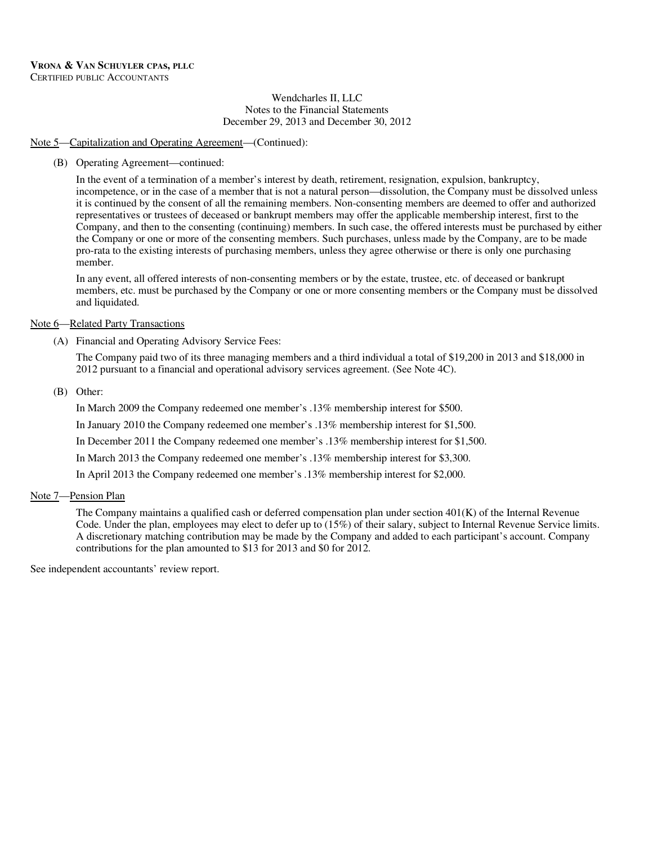## Note 5—Capitalization and Operating Agreement—(Continued):

(B) Operating Agreement—continued:

In the event of a termination of a member's interest by death, retirement, resignation, expulsion, bankruptcy, incompetence, or in the case of a member that is not a natural person—dissolution, the Company must be dissolved unless it is continued by the consent of all the remaining members. Non-consenting members are deemed to offer and authorized representatives or trustees of deceased or bankrupt members may offer the applicable membership interest, first to the Company, and then to the consenting (continuing) members. In such case, the offered interests must be purchased by either the Company or one or more of the consenting members. Such purchases, unless made by the Company, are to be made pro-rata to the existing interests of purchasing members, unless they agree otherwise or there is only one purchasing member.

In any event, all offered interests of non-consenting members or by the estate, trustee, etc. of deceased or bankrupt members, etc. must be purchased by the Company or one or more consenting members or the Company must be dissolved and liquidated.

## Note 6—Related Party Transactions

(A) Financial and Operating Advisory Service Fees:

The Company paid two of its three managing members and a third individual a total of \$19,200 in 2013 and \$18,000 in 2012 pursuant to a financial and operational advisory services agreement. (See Note 4C).

(B) Other:

In March 2009 the Company redeemed one member's .13% membership interest for \$500.

In January 2010 the Company redeemed one member's .13% membership interest for \$1,500.

In December 2011 the Company redeemed one member's .13% membership interest for \$1,500.

In March 2013 the Company redeemed one member's .13% membership interest for \$3,300.

In April 2013 the Company redeemed one member's .13% membership interest for \$2,000.

## Note 7—Pension Plan

The Company maintains a qualified cash or deferred compensation plan under section  $401(K)$  of the Internal Revenue Code. Under the plan, employees may elect to defer up to (15%) of their salary, subject to Internal Revenue Service limits. A discretionary matching contribution may be made by the Company and added to each participant's account. Company contributions for the plan amounted to \$13 for 2013 and \$0 for 2012.